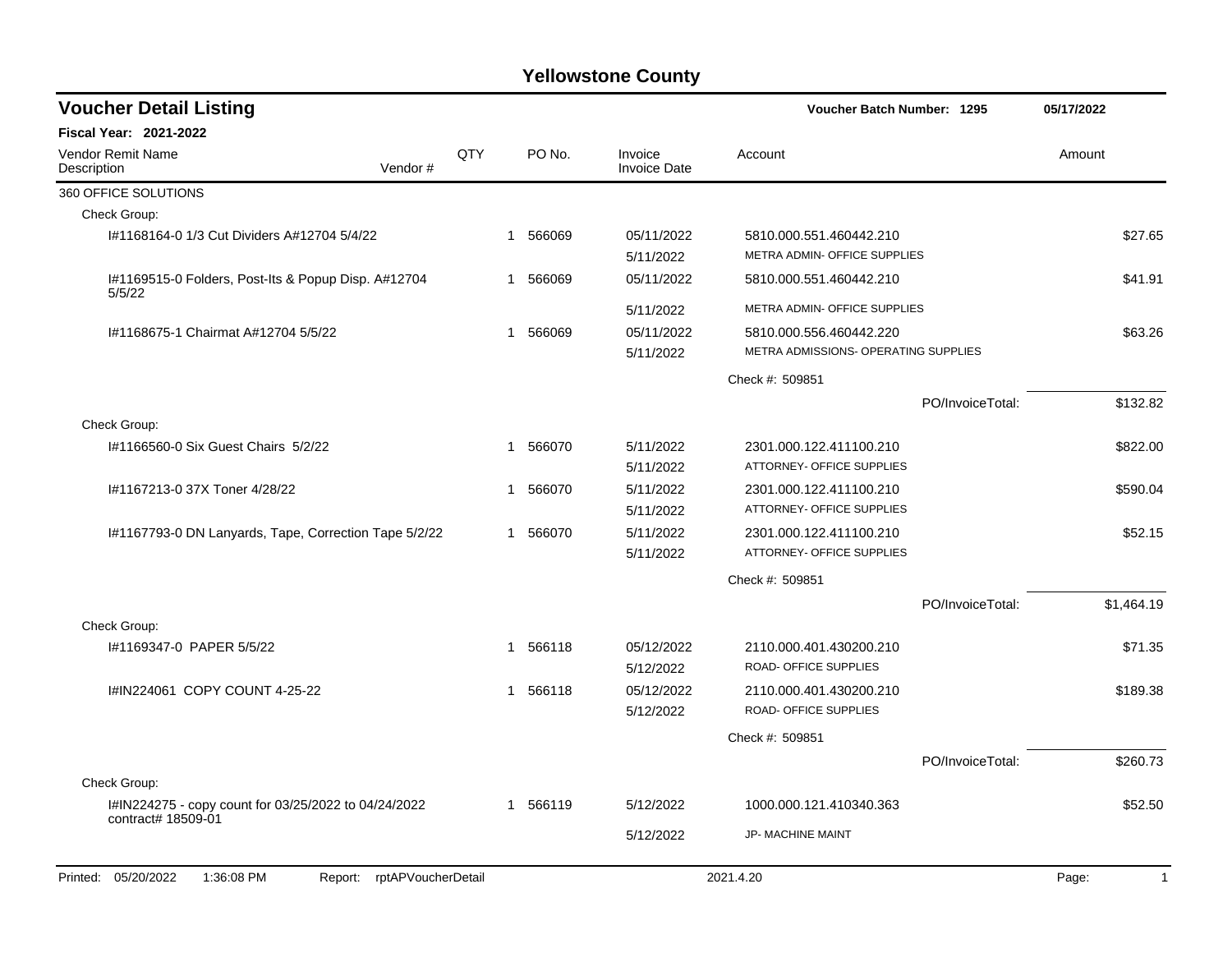| <b>Voucher Detail Listing</b>                                      |     |   |          |                                | <b>Voucher Batch Number: 1295</b>                               |                  | 05/17/2022            |
|--------------------------------------------------------------------|-----|---|----------|--------------------------------|-----------------------------------------------------------------|------------------|-----------------------|
| <b>Fiscal Year: 2021-2022</b>                                      |     |   |          |                                |                                                                 |                  |                       |
| <b>Vendor Remit Name</b><br>Description<br>Vendor#                 | QTY |   | PO No.   | Invoice<br><b>Invoice Date</b> | Account                                                         |                  | Amount                |
| 360 OFFICE SOLUTIONS                                               |     |   |          |                                |                                                                 |                  |                       |
| Check Group:                                                       |     |   |          |                                |                                                                 |                  |                       |
| I#1168164-0 1/3 Cut Dividers A#12704 5/4/22                        |     |   | 1 566069 | 05/11/2022<br>5/11/2022        | 5810.000.551.460442.210<br>METRA ADMIN- OFFICE SUPPLIES         |                  | \$27.65               |
| I#1169515-0 Folders, Post-Its & Popup Disp. A#12704<br>5/5/22      |     | 1 | 566069   | 05/11/2022                     | 5810.000.551.460442.210                                         |                  | \$41.91               |
|                                                                    |     |   |          | 5/11/2022                      | METRA ADMIN- OFFICE SUPPLIES                                    |                  |                       |
| I#1168675-1 Chairmat A#12704 5/5/22                                |     | 1 | 566069   | 05/11/2022<br>5/11/2022        | 5810.000.556.460442.220<br>METRA ADMISSIONS- OPERATING SUPPLIES |                  | \$63.26               |
|                                                                    |     |   |          |                                | Check #: 509851                                                 |                  |                       |
|                                                                    |     |   |          |                                |                                                                 | PO/InvoiceTotal: | \$132.82              |
| Check Group:                                                       |     |   |          |                                |                                                                 |                  |                       |
| #1166560-0 Six Guest Chairs 5/2/22                                 |     |   | 1 566070 | 5/11/2022<br>5/11/2022         | 2301.000.122.411100.210<br>ATTORNEY- OFFICE SUPPLIES            |                  | \$822.00              |
| I#1167213-0 37X Toner 4/28/22                                      |     | 1 | 566070   | 5/11/2022                      | 2301.000.122.411100.210                                         |                  | \$590.04              |
|                                                                    |     |   |          | 5/11/2022                      | ATTORNEY- OFFICE SUPPLIES                                       |                  |                       |
| I#1167793-0 DN Lanyards, Tape, Correction Tape 5/2/22              |     |   | 1 566070 | 5/11/2022                      | 2301.000.122.411100.210                                         |                  | \$52.15               |
|                                                                    |     |   |          | 5/11/2022                      | ATTORNEY- OFFICE SUPPLIES                                       |                  |                       |
|                                                                    |     |   |          |                                | Check #: 509851                                                 |                  |                       |
| Check Group:                                                       |     |   |          |                                |                                                                 | PO/InvoiceTotal: | \$1,464.19            |
| I#1169347-0 PAPER 5/5/22                                           |     |   | 1 566118 | 05/12/2022                     | 2110.000.401.430200.210                                         |                  | \$71.35               |
|                                                                    |     |   |          | 5/12/2022                      | ROAD- OFFICE SUPPLIES                                           |                  |                       |
| I#IN224061 COPY COUNT 4-25-22                                      |     | 1 | 566118   | 05/12/2022                     | 2110.000.401.430200.210                                         |                  | \$189.38              |
|                                                                    |     |   |          | 5/12/2022                      | ROAD- OFFICE SUPPLIES                                           |                  |                       |
|                                                                    |     |   |          |                                | Check #: 509851                                                 |                  |                       |
| Check Group:                                                       |     |   |          |                                |                                                                 | PO/InvoiceTotal: | \$260.73              |
| I#IN224275 - copy count for 03/25/2022 to 04/24/2022               |     |   | 1 566119 | 5/12/2022                      | 1000.000.121.410340.363                                         |                  | \$52.50               |
| contract# 18509-01                                                 |     |   |          | 5/12/2022                      | JP- MACHINE MAINT                                               |                  |                       |
| Printed: 05/20/2022<br>1:36:08 PM<br>rptAPVoucherDetail<br>Report: |     |   |          |                                | 2021.4.20                                                       |                  | Page:<br>$\mathbf{1}$ |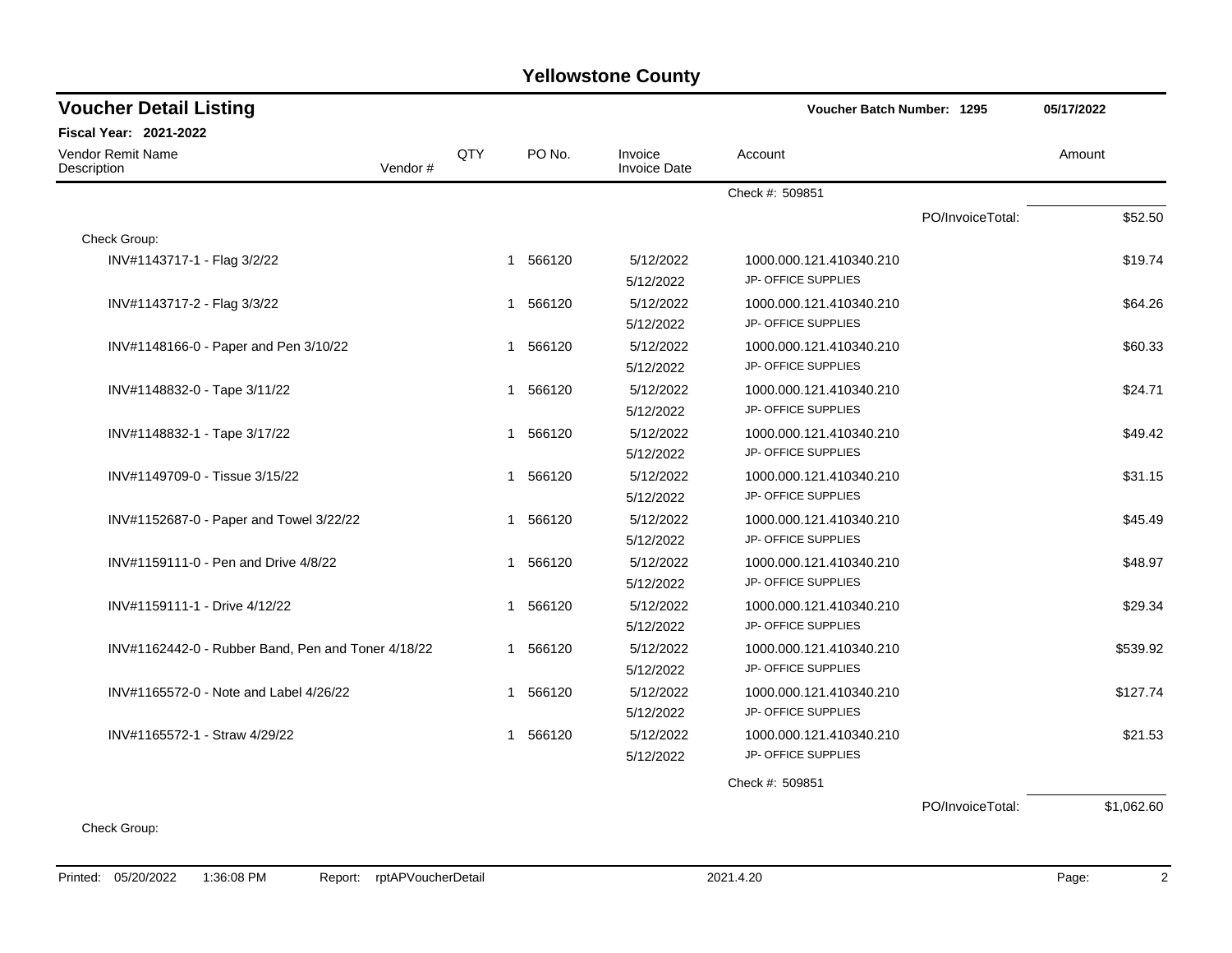| <b>Voucher Detail Listing</b>                      |         | <b>Voucher Batch Number: 1295</b> |                        |                                |                            |                  | 05/17/2022 |
|----------------------------------------------------|---------|-----------------------------------|------------------------|--------------------------------|----------------------------|------------------|------------|
| <b>Fiscal Year: 2021-2022</b>                      |         |                                   |                        |                                |                            |                  |            |
| <b>Vendor Remit Name</b><br>Description            | Vendor# | QTY                               | PO No.                 | Invoice<br><b>Invoice Date</b> | Account                    |                  | Amount     |
|                                                    |         |                                   |                        |                                | Check #: 509851            |                  |            |
|                                                    |         |                                   |                        |                                |                            | PO/InvoiceTotal: | \$52.50    |
| Check Group:                                       |         |                                   |                        |                                |                            |                  |            |
| INV#1143717-1 - Flag 3/2/22                        |         |                                   | 1 566120               | 5/12/2022                      | 1000.000.121.410340.210    |                  | \$19.74    |
|                                                    |         |                                   |                        | 5/12/2022                      | JP- OFFICE SUPPLIES        |                  |            |
| INV#1143717-2 - Flag 3/3/22                        |         |                                   | 1 566120               | 5/12/2022                      | 1000.000.121.410340.210    |                  | \$64.26    |
|                                                    |         |                                   |                        | 5/12/2022                      | JP- OFFICE SUPPLIES        |                  |            |
| INV#1148166-0 - Paper and Pen 3/10/22              |         |                                   | 1 566120               | 5/12/2022                      | 1000.000.121.410340.210    |                  | \$60.33    |
|                                                    |         |                                   |                        | 5/12/2022                      | <b>JP- OFFICE SUPPLIES</b> |                  |            |
| INV#1148832-0 - Tape 3/11/22                       |         |                                   | 1 566120               | 5/12/2022                      | 1000.000.121.410340.210    |                  | \$24.71    |
|                                                    |         |                                   |                        | 5/12/2022                      | JP- OFFICE SUPPLIES        |                  |            |
| INV#1148832-1 - Tape 3/17/22                       |         |                                   | 566120<br>$\mathbf{1}$ | 5/12/2022                      | 1000.000.121.410340.210    |                  | \$49.42    |
|                                                    |         |                                   |                        | 5/12/2022                      | JP- OFFICE SUPPLIES        |                  |            |
| INV#1149709-0 - Tissue 3/15/22                     |         |                                   | 1 566120               | 5/12/2022                      | 1000.000.121.410340.210    |                  | \$31.15    |
|                                                    |         |                                   |                        | 5/12/2022                      | JP- OFFICE SUPPLIES        |                  |            |
| INV#1152687-0 - Paper and Towel 3/22/22            |         |                                   | 1 566120               | 5/12/2022                      | 1000.000.121.410340.210    |                  | \$45.49    |
|                                                    |         |                                   |                        | 5/12/2022                      | JP- OFFICE SUPPLIES        |                  |            |
| INV#1159111-0 - Pen and Drive 4/8/22               |         |                                   | 1 566120               | 5/12/2022                      | 1000.000.121.410340.210    |                  | \$48.97    |
|                                                    |         |                                   |                        | 5/12/2022                      | JP- OFFICE SUPPLIES        |                  |            |
| INV#1159111-1 - Drive 4/12/22                      |         |                                   | 566120<br>1            | 5/12/2022                      | 1000.000.121.410340.210    |                  | \$29.34    |
|                                                    |         |                                   |                        | 5/12/2022                      | <b>JP- OFFICE SUPPLIES</b> |                  |            |
| INV#1162442-0 - Rubber Band, Pen and Toner 4/18/22 |         |                                   | 1 566120               | 5/12/2022                      | 1000.000.121.410340.210    |                  | \$539.92   |
|                                                    |         |                                   |                        | 5/12/2022                      | JP- OFFICE SUPPLIES        |                  |            |
| INV#1165572-0 - Note and Label 4/26/22             |         |                                   | 1 566120               | 5/12/2022                      | 1000.000.121.410340.210    |                  | \$127.74   |
|                                                    |         |                                   |                        | 5/12/2022                      | JP- OFFICE SUPPLIES        |                  |            |
| INV#1165572-1 - Straw 4/29/22                      |         |                                   | 566120<br>1            | 5/12/2022                      | 1000.000.121.410340.210    |                  | \$21.53    |
|                                                    |         |                                   |                        | 5/12/2022                      | JP- OFFICE SUPPLIES        |                  |            |
|                                                    |         |                                   |                        |                                | Check #: 509851            |                  |            |
|                                                    |         |                                   |                        |                                |                            |                  |            |

PO/InvoiceTotal: \$1,062.60

Check Group: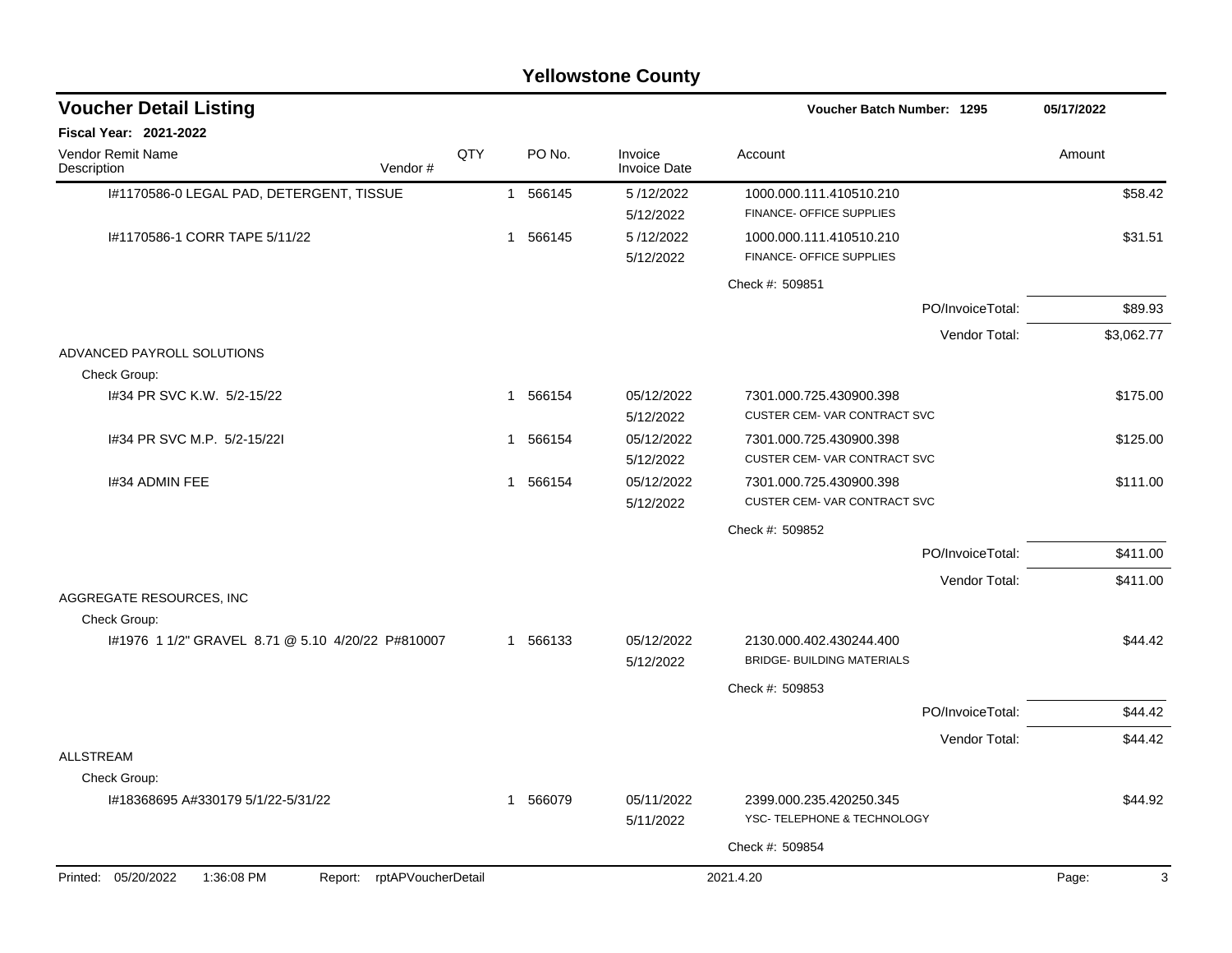|                                                                 |                        | <b>Yellowstone County</b>      |                                                              |            |
|-----------------------------------------------------------------|------------------------|--------------------------------|--------------------------------------------------------------|------------|
| <b>Voucher Detail Listing</b>                                   |                        |                                | <b>Voucher Batch Number: 1295</b>                            | 05/17/2022 |
| Fiscal Year: 2021-2022                                          |                        |                                |                                                              |            |
| Vendor Remit Name<br>Vendor#<br>Description                     | QTY<br>PO No.          | Invoice<br><b>Invoice Date</b> | Account                                                      | Amount     |
| I#1170586-0 LEGAL PAD, DETERGENT, TISSUE                        | 566145<br>$\mathbf{1}$ | 5/12/2022<br>5/12/2022         | 1000.000.111.410510.210<br>FINANCE- OFFICE SUPPLIES          | \$58.42    |
| I#1170586-1 CORR TAPE 5/11/22                                   | 566145<br>1            | 5/12/2022<br>5/12/2022         | 1000.000.111.410510.210<br>FINANCE- OFFICE SUPPLIES          | \$31.51    |
|                                                                 |                        |                                | Check #: 509851                                              |            |
|                                                                 |                        |                                | PO/InvoiceTotal:                                             | \$89.93    |
|                                                                 |                        |                                | Vendor Total:                                                | \$3,062.77 |
| ADVANCED PAYROLL SOLUTIONS<br>Check Group:                      |                        |                                |                                                              |            |
| 1#34 PR SVC K.W. 5/2-15/22                                      | 566154<br>1            | 05/12/2022<br>5/12/2022        | 7301.000.725.430900.398<br>CUSTER CEM-VAR CONTRACT SVC       | \$175.00   |
| 1#34 PR SVC M.P. 5/2-15/221                                     | 566154<br>$\mathbf{1}$ | 05/12/2022<br>5/12/2022        | 7301.000.725.430900.398<br>CUSTER CEM-VAR CONTRACT SVC       | \$125.00   |
| 1#34 ADMIN FEE                                                  | 566154<br>$\mathbf{1}$ | 05/12/2022<br>5/12/2022        | 7301.000.725.430900.398<br>CUSTER CEM-VAR CONTRACT SVC       | \$111.00   |
|                                                                 |                        |                                | Check #: 509852                                              |            |
|                                                                 |                        |                                | PO/InvoiceTotal:                                             | \$411.00   |
| AGGREGATE RESOURCES, INC                                        |                        |                                | Vendor Total:                                                | \$411.00   |
| Check Group:                                                    |                        |                                |                                                              |            |
| I#1976 1 1/2" GRAVEL 8.71 @ 5.10 4/20/22 P#810007               | 566133<br>$\mathbf{1}$ | 05/12/2022<br>5/12/2022        | 2130.000.402.430244.400<br><b>BRIDGE- BUILDING MATERIALS</b> | \$44.42    |
|                                                                 |                        |                                | Check #: 509853                                              |            |
|                                                                 |                        |                                | PO/InvoiceTotal:                                             | \$44.42    |
|                                                                 |                        |                                | Vendor Total:                                                | \$44.42    |
| ALLSTREAM<br>Check Group:                                       |                        |                                |                                                              |            |
| I#18368695 A#330179 5/1/22-5/31/22                              | 566079<br>$\mathbf{1}$ | 05/11/2022<br>5/11/2022        | 2399.000.235.420250.345<br>YSC- TELEPHONE & TECHNOLOGY       | \$44.92    |
|                                                                 |                        |                                | Check #: 509854                                              |            |
| Report: rptAPVoucherDetail<br>Printed: 05/20/2022<br>1:36:08 PM |                        |                                | 2021.4.20                                                    | Page:<br>3 |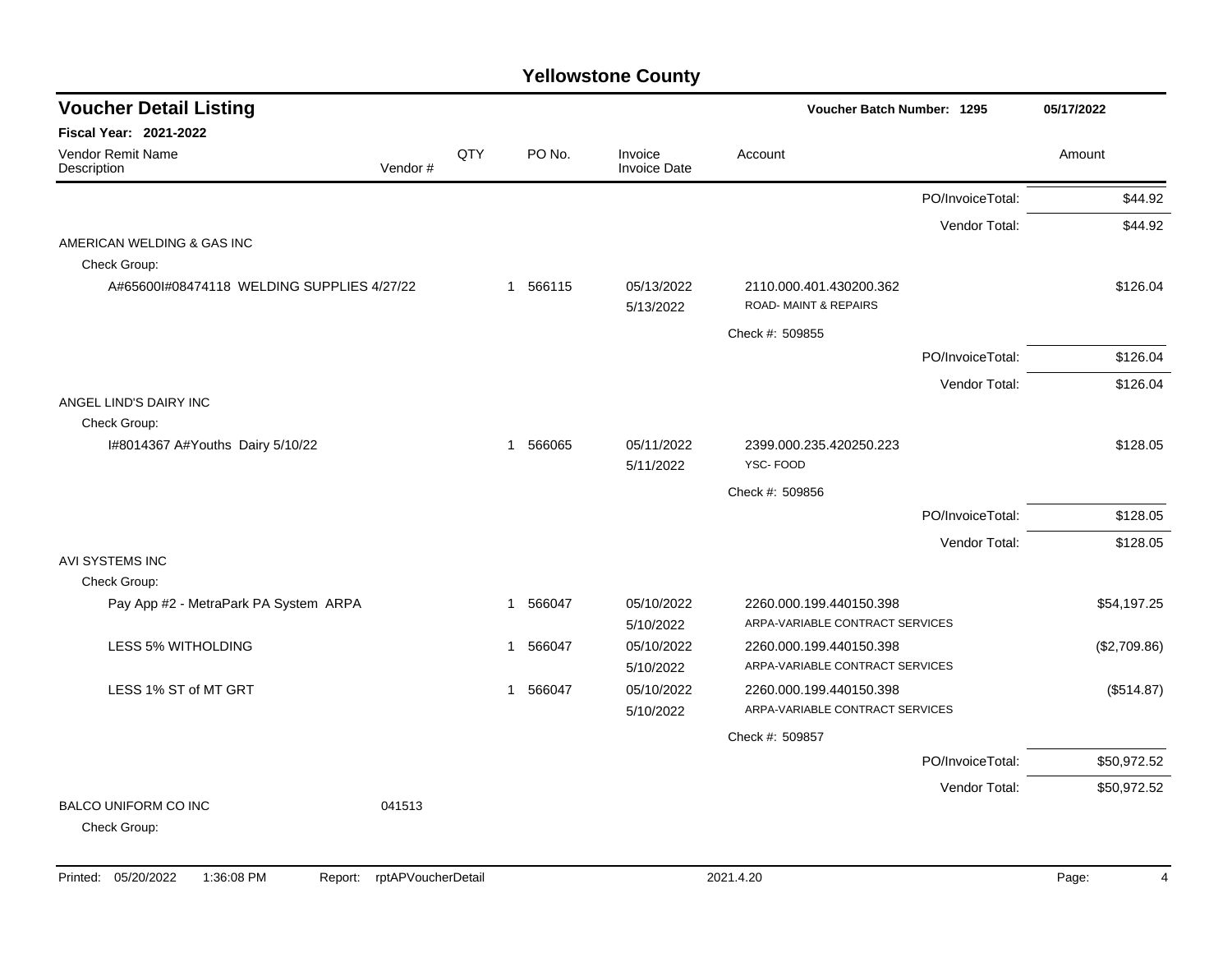| <b>Voucher Detail Listing</b>               |         |     |                        |                         | <b>Voucher Batch Number: 1295</b>                          |                  | 05/17/2022   |  |
|---------------------------------------------|---------|-----|------------------------|-------------------------|------------------------------------------------------------|------------------|--------------|--|
| Fiscal Year: 2021-2022                      |         |     |                        |                         |                                                            |                  |              |  |
| Vendor Remit Name<br>Description            | Vendor# | QTY | PO No.                 | Invoice<br>Invoice Date | Account                                                    |                  | Amount       |  |
|                                             |         |     |                        |                         |                                                            | PO/InvoiceTotal: | \$44.92      |  |
|                                             |         |     |                        |                         |                                                            | Vendor Total:    | \$44.92      |  |
| AMERICAN WELDING & GAS INC                  |         |     |                        |                         |                                                            |                  |              |  |
| Check Group:                                |         |     |                        |                         |                                                            |                  |              |  |
| A#65600I#08474118 WELDING SUPPLIES 4/27/22  |         |     | 1 566115               | 05/13/2022<br>5/13/2022 | 2110.000.401.430200.362<br><b>ROAD-MAINT &amp; REPAIRS</b> |                  | \$126.04     |  |
|                                             |         |     |                        |                         | Check #: 509855                                            |                  |              |  |
|                                             |         |     |                        |                         |                                                            | PO/InvoiceTotal: | \$126.04     |  |
|                                             |         |     |                        |                         |                                                            | Vendor Total:    | \$126.04     |  |
| ANGEL LIND'S DAIRY INC                      |         |     |                        |                         |                                                            |                  |              |  |
| Check Group:                                |         |     |                        |                         |                                                            |                  |              |  |
| I#8014367 A#Youths Dairy 5/10/22            |         |     | 566065<br>$\mathbf{1}$ | 05/11/2022<br>5/11/2022 | 2399.000.235.420250.223<br>YSC-FOOD                        |                  | \$128.05     |  |
|                                             |         |     |                        |                         | Check #: 509856                                            |                  |              |  |
|                                             |         |     |                        |                         |                                                            | PO/InvoiceTotal: | \$128.05     |  |
|                                             |         |     |                        |                         |                                                            | Vendor Total:    | \$128.05     |  |
| AVI SYSTEMS INC                             |         |     |                        |                         |                                                            |                  |              |  |
| Check Group:                                |         |     |                        |                         |                                                            |                  |              |  |
| Pay App #2 - MetraPark PA System ARPA       |         |     | 1 566047               | 05/10/2022              | 2260.000.199.440150.398                                    |                  | \$54,197.25  |  |
|                                             |         |     |                        | 5/10/2022               | ARPA-VARIABLE CONTRACT SERVICES                            |                  |              |  |
| LESS 5% WITHOLDING                          |         |     | 566047<br>1            | 05/10/2022              | 2260.000.199.440150.398                                    |                  | (\$2,709.86) |  |
|                                             |         |     |                        | 5/10/2022               | ARPA-VARIABLE CONTRACT SERVICES                            |                  |              |  |
| LESS 1% ST of MT GRT                        |         |     | 1 566047               | 05/10/2022              | 2260.000.199.440150.398                                    |                  | (\$514.87)   |  |
|                                             |         |     |                        | 5/10/2022               | ARPA-VARIABLE CONTRACT SERVICES                            |                  |              |  |
|                                             |         |     |                        |                         | Check #: 509857                                            |                  |              |  |
|                                             |         |     |                        |                         |                                                            | PO/InvoiceTotal: | \$50,972.52  |  |
|                                             |         |     |                        |                         |                                                            | Vendor Total:    | \$50,972.52  |  |
| <b>BALCO UNIFORM CO INC</b><br>Check Group: | 041513  |     |                        |                         |                                                            |                  |              |  |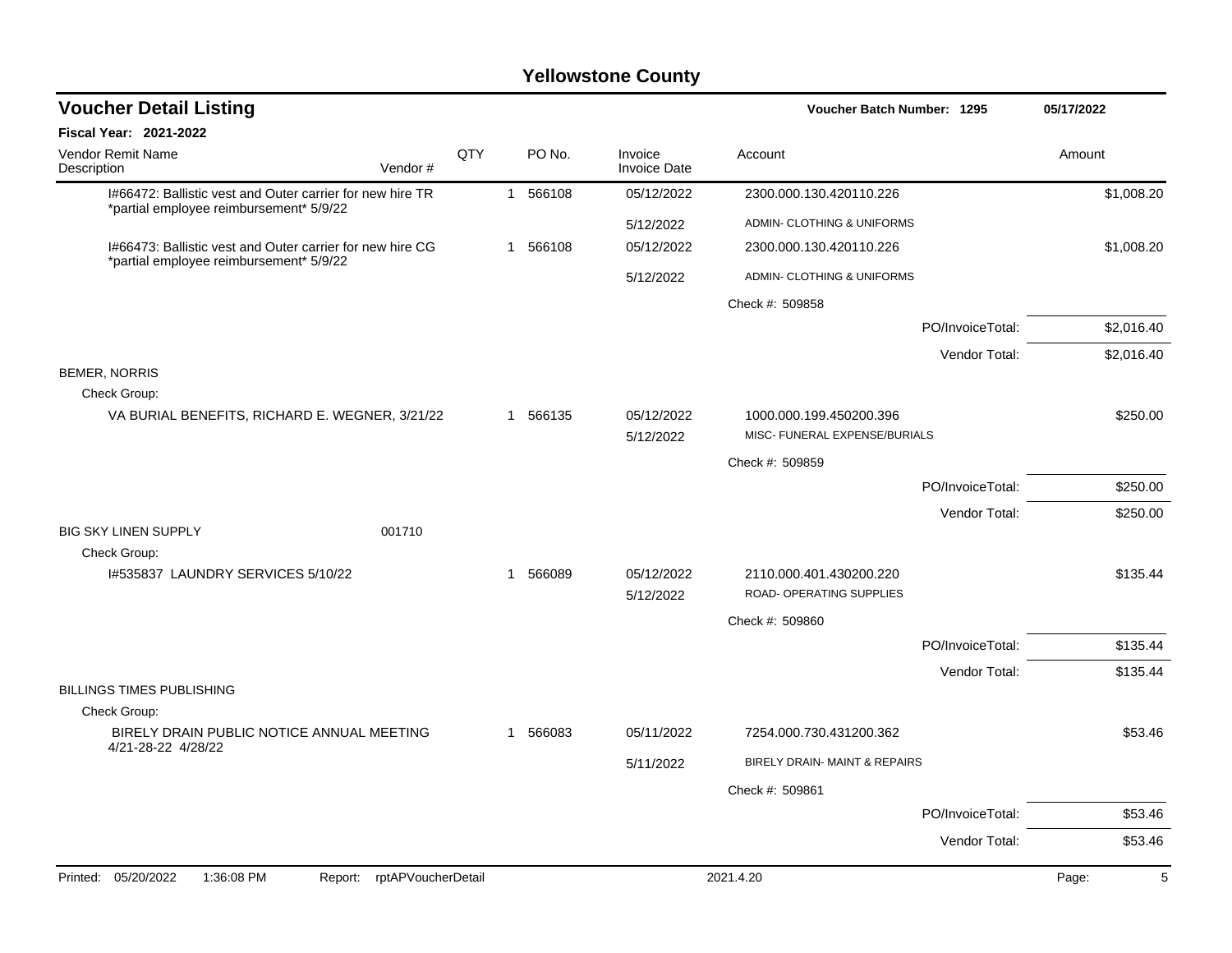| <b>Voucher Detail Listing</b>                                                                        |     |   |          |                                | Voucher Batch Number: 1295                          | 05/17/2022 |
|------------------------------------------------------------------------------------------------------|-----|---|----------|--------------------------------|-----------------------------------------------------|------------|
| <b>Fiscal Year: 2021-2022</b>                                                                        |     |   |          |                                |                                                     |            |
| <b>Vendor Remit Name</b><br>Description<br>Vendor#                                                   | QTY |   | PO No.   | Invoice<br><b>Invoice Date</b> | Account                                             | Amount     |
| I#66472: Ballistic vest and Outer carrier for new hire TR                                            |     |   | 1 566108 | 05/12/2022                     | 2300.000.130.420110.226                             | \$1,008.20 |
| *partial employee reimbursement* 5/9/22                                                              |     |   |          | 5/12/2022                      | ADMIN- CLOTHING & UNIFORMS                          |            |
| 1#66473: Ballistic vest and Outer carrier for new hire CG<br>*partial employee reimbursement* 5/9/22 |     |   | 1 566108 | 05/12/2022                     | 2300.000.130.420110.226                             | \$1,008.20 |
|                                                                                                      |     |   |          | 5/12/2022                      | ADMIN- CLOTHING & UNIFORMS                          |            |
|                                                                                                      |     |   |          |                                | Check #: 509858                                     |            |
|                                                                                                      |     |   |          |                                | PO/InvoiceTotal:                                    | \$2,016.40 |
|                                                                                                      |     |   |          |                                | Vendor Total:                                       | \$2,016.40 |
| <b>BEMER, NORRIS</b><br>Check Group:                                                                 |     |   |          |                                |                                                     |            |
| VA BURIAL BENEFITS, RICHARD E. WEGNER, 3/21/22                                                       |     |   | 1 566135 | 05/12/2022                     | 1000.000.199.450200.396                             | \$250.00   |
|                                                                                                      |     |   |          | 5/12/2022                      | MISC- FUNERAL EXPENSE/BURIALS                       |            |
|                                                                                                      |     |   |          |                                | Check #: 509859                                     |            |
|                                                                                                      |     |   |          |                                | PO/InvoiceTotal:                                    | \$250.00   |
| <b>BIG SKY LINEN SUPPLY</b><br>001710                                                                |     |   |          |                                | Vendor Total:                                       | \$250.00   |
| Check Group:<br>1#535837 LAUNDRY SERVICES 5/10/22                                                    |     | 1 | 566089   | 05/12/2022<br>5/12/2022        | 2110.000.401.430200.220<br>ROAD- OPERATING SUPPLIES | \$135.44   |
|                                                                                                      |     |   |          |                                | Check #: 509860                                     |            |
|                                                                                                      |     |   |          |                                | PO/InvoiceTotal:                                    | \$135.44   |
|                                                                                                      |     |   |          |                                | Vendor Total:                                       | \$135.44   |
| <b>BILLINGS TIMES PUBLISHING</b>                                                                     |     |   |          |                                |                                                     |            |
| Check Group:                                                                                         |     |   |          |                                |                                                     |            |
| BIRELY DRAIN PUBLIC NOTICE ANNUAL MEETING<br>4/21-28-22 4/28/22                                      |     |   | 1 566083 | 05/11/2022                     | 7254.000.730.431200.362                             | \$53.46    |
|                                                                                                      |     |   |          | 5/11/2022                      | BIRELY DRAIN- MAINT & REPAIRS                       |            |
|                                                                                                      |     |   |          |                                | Check #: 509861                                     |            |
|                                                                                                      |     |   |          |                                | PO/InvoiceTotal:                                    | \$53.46    |
|                                                                                                      |     |   |          |                                | Vendor Total:                                       | \$53.46    |
| Printed: 05/20/2022<br>rptAPVoucherDetail<br>1:36:08 PM<br>Report:                                   |     |   |          |                                | 2021.4.20                                           | Page:<br>5 |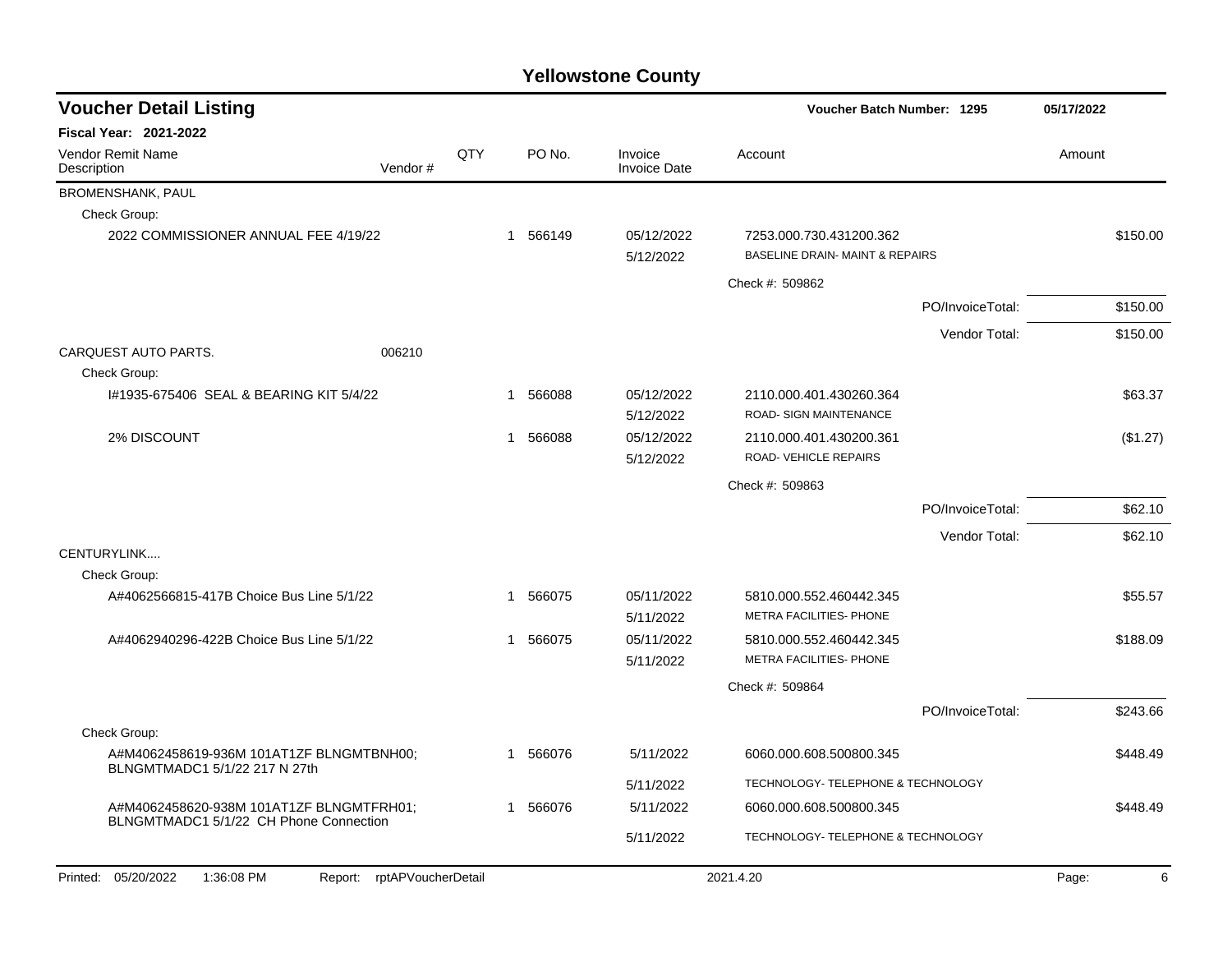| <b>Voucher Detail Listing</b>                                                      |         |     |          |                                | <b>Voucher Batch Number: 1295</b>                                     | 05/17/2022       |            |
|------------------------------------------------------------------------------------|---------|-----|----------|--------------------------------|-----------------------------------------------------------------------|------------------|------------|
| <b>Fiscal Year: 2021-2022</b>                                                      |         |     |          |                                |                                                                       |                  |            |
| <b>Vendor Remit Name</b><br>Description                                            | Vendor# | QTY | PO No.   | Invoice<br><b>Invoice Date</b> | Account                                                               |                  | Amount     |
| BROMENSHANK, PAUL                                                                  |         |     |          |                                |                                                                       |                  |            |
| Check Group:                                                                       |         |     |          |                                |                                                                       |                  |            |
| 2022 COMMISSIONER ANNUAL FEE 4/19/22                                               |         |     | 1 566149 | 05/12/2022<br>5/12/2022        | 7253.000.730.431200.362<br><b>BASELINE DRAIN- MAINT &amp; REPAIRS</b> |                  | \$150.00   |
|                                                                                    |         |     |          |                                | Check #: 509862                                                       |                  |            |
|                                                                                    |         |     |          |                                |                                                                       | PO/InvoiceTotal: | \$150.00   |
|                                                                                    |         |     |          |                                |                                                                       | Vendor Total:    | \$150.00   |
| CARQUEST AUTO PARTS.<br>Check Group:                                               | 006210  |     |          |                                |                                                                       |                  |            |
| I#1935-675406 SEAL & BEARING KIT 5/4/22                                            |         | 1   | 566088   | 05/12/2022<br>5/12/2022        | 2110.000.401.430260.364<br>ROAD- SIGN MAINTENANCE                     |                  | \$63.37    |
| 2% DISCOUNT                                                                        |         | 1   | 566088   | 05/12/2022<br>5/12/2022        | 2110.000.401.430200.361<br>ROAD-VEHICLE REPAIRS                       |                  | (\$1.27)   |
|                                                                                    |         |     |          |                                | Check #: 509863                                                       |                  |            |
|                                                                                    |         |     |          |                                |                                                                       | PO/InvoiceTotal: | \$62.10    |
|                                                                                    |         |     |          |                                |                                                                       | Vendor Total:    | \$62.10    |
| CENTURYLINK                                                                        |         |     |          |                                |                                                                       |                  |            |
| Check Group:                                                                       |         |     |          |                                |                                                                       |                  |            |
| A#4062566815-417B Choice Bus Line 5/1/22                                           |         |     | 1 566075 | 05/11/2022<br>5/11/2022        | 5810.000.552.460442.345<br>METRA FACILITIES- PHONE                    |                  | \$55.57    |
| A#4062940296-422B Choice Bus Line 5/1/22                                           |         |     | 1 566075 | 05/11/2022<br>5/11/2022        | 5810.000.552.460442.345<br>METRA FACILITIES- PHONE                    |                  | \$188.09   |
|                                                                                    |         |     |          |                                | Check #: 509864                                                       |                  |            |
|                                                                                    |         |     |          |                                |                                                                       | PO/InvoiceTotal: | \$243.66   |
| Check Group:                                                                       |         |     |          |                                |                                                                       |                  |            |
| A#M4062458619-936M 101AT1ZF BLNGMTBNH00;<br>BLNGMTMADC1 5/1/22 217 N 27th          |         | 1   | 566076   | 5/11/2022                      | 6060.000.608.500800.345                                               |                  | \$448.49   |
|                                                                                    |         |     |          | 5/11/2022                      | TECHNOLOGY- TELEPHONE & TECHNOLOGY                                    |                  |            |
| A#M4062458620-938M 101AT1ZF BLNGMTFRH01;<br>BLNGMTMADC1 5/1/22 CH Phone Connection |         | 1   | 566076   | 5/11/2022                      | 6060.000.608.500800.345                                               |                  | \$448.49   |
|                                                                                    |         |     |          | 5/11/2022                      | TECHNOLOGY- TELEPHONE & TECHNOLOGY                                    |                  |            |
| Printed: 05/20/2022<br>1:36:08 PM<br>Report: rptAPVoucherDetail                    |         |     |          |                                | 2021.4.20                                                             |                  | Page:<br>6 |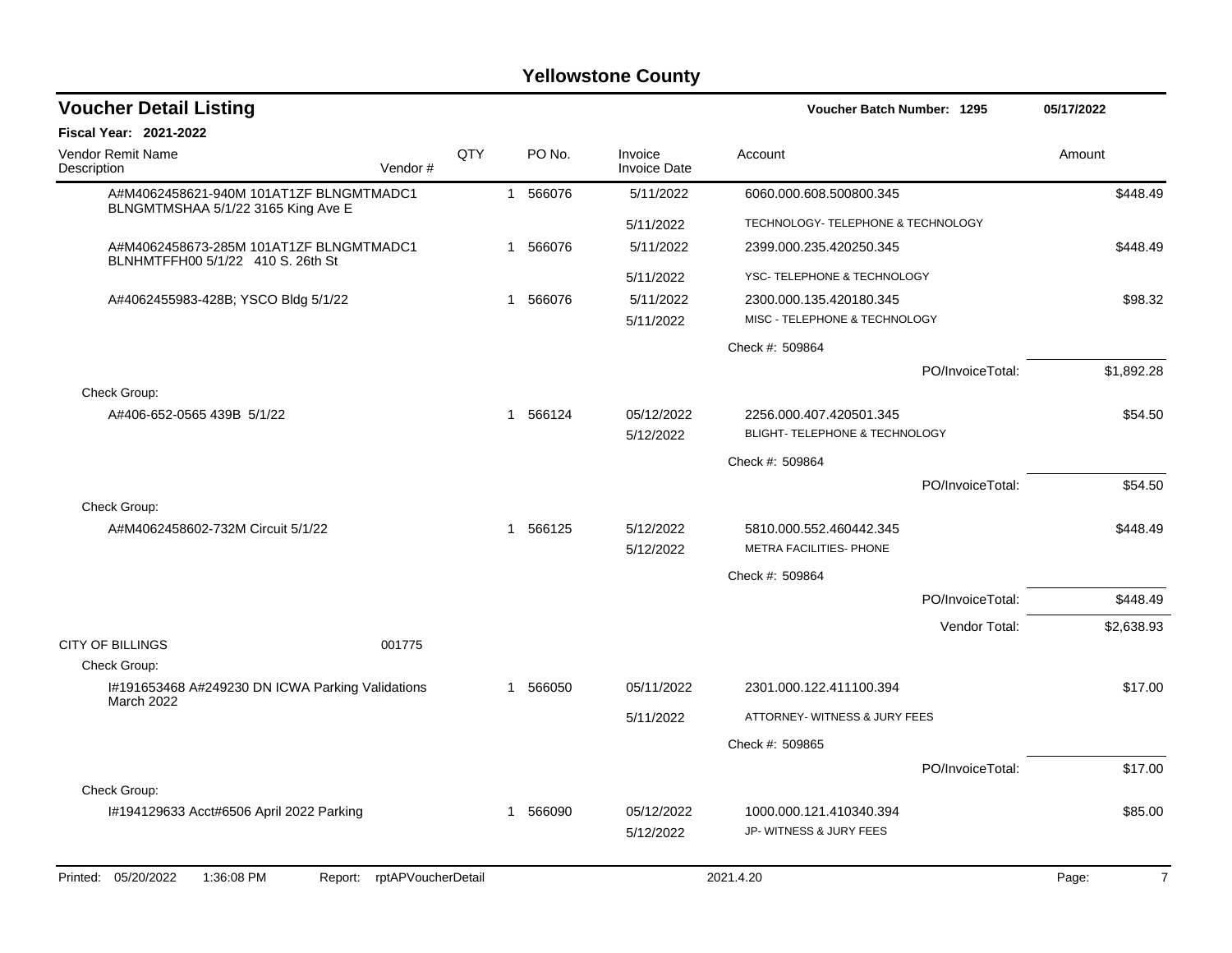| <b>Voucher Detail Listing</b>                                                 |                    |            |              |        |                                | Voucher Batch Number: 1295         |                  | 05/17/2022              |
|-------------------------------------------------------------------------------|--------------------|------------|--------------|--------|--------------------------------|------------------------------------|------------------|-------------------------|
| <b>Fiscal Year: 2021-2022</b>                                                 |                    |            |              |        |                                |                                    |                  |                         |
| <b>Vendor Remit Name</b><br>Description                                       | Vendor#            | <b>QTY</b> |              | PO No. | Invoice<br><b>Invoice Date</b> | Account                            |                  | Amount                  |
| A#M4062458621-940M 101AT1ZF BLNGMTMADC1<br>BLNGMTMSHAA 5/1/22 3165 King Ave E |                    |            | $\mathbf{1}$ | 566076 | 5/11/2022                      | 6060.000.608.500800.345            |                  | \$448.49                |
|                                                                               |                    |            |              |        | 5/11/2022                      | TECHNOLOGY- TELEPHONE & TECHNOLOGY |                  |                         |
| A#M4062458673-285M 101AT1ZF BLNGMTMADC1<br>BLNHMTFFH00 5/1/22 410 S. 26th St  |                    |            | $\mathbf{1}$ | 566076 | 5/11/2022                      | 2399.000.235.420250.345            |                  | \$448.49                |
|                                                                               |                    |            |              |        | 5/11/2022                      | YSC- TELEPHONE & TECHNOLOGY        |                  |                         |
| A#4062455983-428B; YSCO Bldg 5/1/22                                           |                    |            | $\mathbf{1}$ | 566076 | 5/11/2022                      | 2300.000.135.420180.345            |                  | \$98.32                 |
|                                                                               |                    |            |              |        | 5/11/2022                      | MISC - TELEPHONE & TECHNOLOGY      |                  |                         |
|                                                                               |                    |            |              |        |                                | Check #: 509864                    |                  |                         |
|                                                                               |                    |            |              |        |                                |                                    | PO/InvoiceTotal: | \$1,892.28              |
| Check Group:<br>A#406-652-0565 439B 5/1/22                                    |                    |            | $\mathbf{1}$ | 566124 | 05/12/2022                     | 2256.000.407.420501.345            |                  | \$54.50                 |
|                                                                               |                    |            |              |        | 5/12/2022                      | BLIGHT- TELEPHONE & TECHNOLOGY     |                  |                         |
|                                                                               |                    |            |              |        |                                | Check #: 509864                    |                  |                         |
|                                                                               |                    |            |              |        |                                |                                    | PO/InvoiceTotal: | \$54.50                 |
| Check Group:                                                                  |                    |            |              |        |                                |                                    |                  |                         |
| A#M4062458602-732M Circuit 5/1/22                                             |                    |            | 1            | 566125 | 5/12/2022                      | 5810.000.552.460442.345            |                  | \$448.49                |
|                                                                               |                    |            |              |        | 5/12/2022                      | <b>METRA FACILITIES- PHONE</b>     |                  |                         |
|                                                                               |                    |            |              |        |                                | Check #: 509864                    |                  |                         |
|                                                                               |                    |            |              |        |                                |                                    | PO/InvoiceTotal: | \$448.49                |
|                                                                               |                    |            |              |        |                                |                                    | Vendor Total:    | \$2,638.93              |
| <b>CITY OF BILLINGS</b>                                                       | 001775             |            |              |        |                                |                                    |                  |                         |
| Check Group:                                                                  |                    |            |              |        |                                |                                    |                  |                         |
| I#191653468 A#249230 DN ICWA Parking Validations<br><b>March 2022</b>         |                    |            | 1            | 566050 | 05/11/2022                     | 2301.000.122.411100.394            |                  | \$17.00                 |
|                                                                               |                    |            |              |        | 5/11/2022                      | ATTORNEY- WITNESS & JURY FEES      |                  |                         |
|                                                                               |                    |            |              |        |                                | Check #: 509865                    |                  |                         |
|                                                                               |                    |            |              |        |                                |                                    | PO/InvoiceTotal: | \$17.00                 |
| Check Group:                                                                  |                    |            |              |        |                                |                                    |                  |                         |
| I#194129633 Acct#6506 April 2022 Parking                                      |                    |            | 1            | 566090 | 05/12/2022                     | 1000.000.121.410340.394            |                  | \$85.00                 |
|                                                                               |                    |            |              |        | 5/12/2022                      | JP- WITNESS & JURY FEES            |                  |                         |
| Printed: 05/20/2022<br>1:36:08 PM<br>Report:                                  | rptAPVoucherDetail |            |              |        |                                | 2021.4.20                          |                  | $\overline{7}$<br>Page: |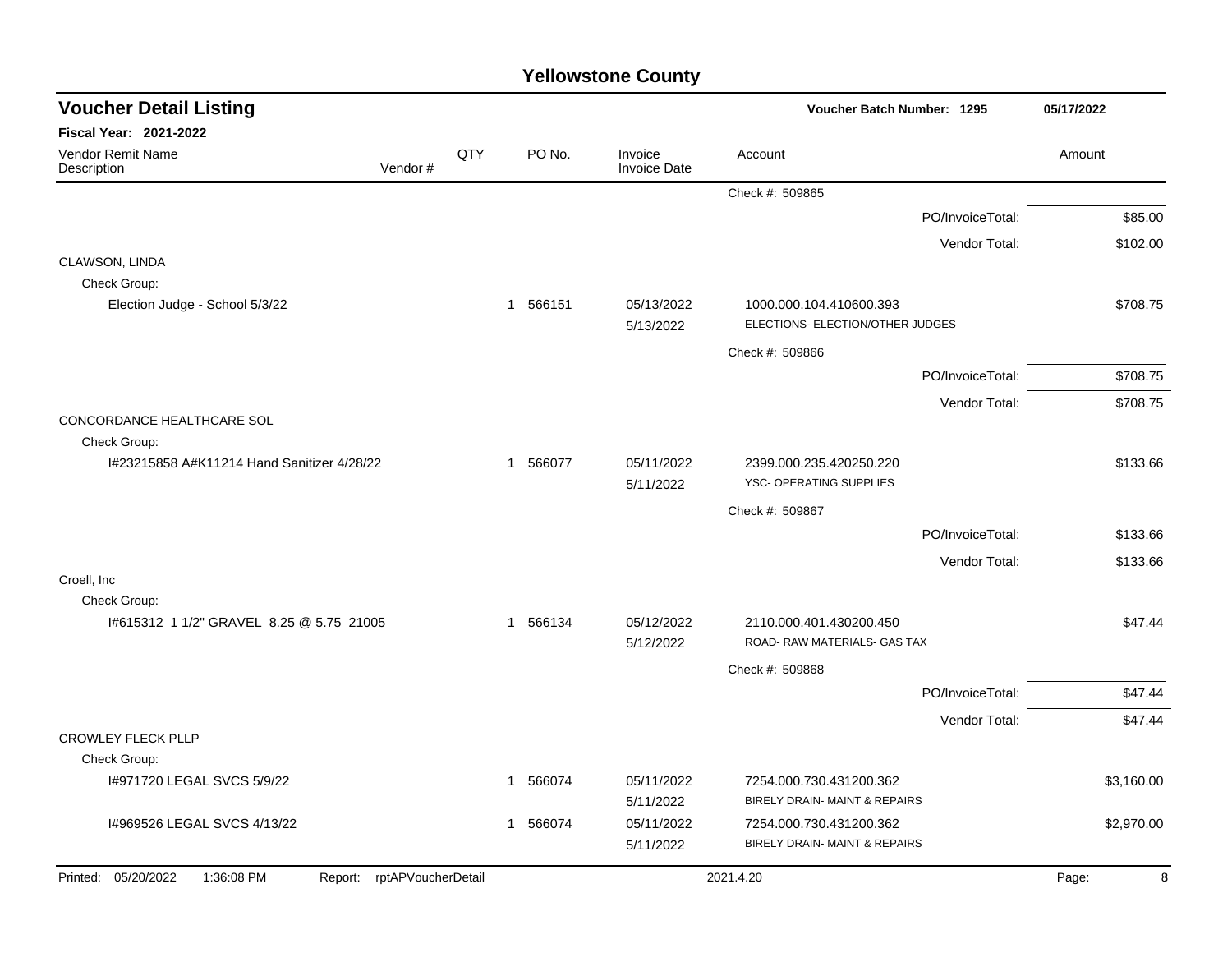| <b>Voucher Detail Listing</b><br><b>Voucher Batch Number: 1295</b> |                            |     | 05/17/2022  |                                |                                                             |                  |            |         |
|--------------------------------------------------------------------|----------------------------|-----|-------------|--------------------------------|-------------------------------------------------------------|------------------|------------|---------|
| <b>Fiscal Year: 2021-2022</b>                                      |                            |     |             |                                |                                                             |                  |            |         |
| <b>Vendor Remit Name</b><br>Description                            | Vendor#                    | QTY | PO No.      | Invoice<br><b>Invoice Date</b> | Account                                                     |                  | Amount     |         |
|                                                                    |                            |     |             |                                | Check #: 509865                                             |                  |            |         |
|                                                                    |                            |     |             |                                |                                                             | PO/InvoiceTotal: | \$85.00    |         |
|                                                                    |                            |     |             |                                |                                                             | Vendor Total:    | \$102.00   |         |
| CLAWSON, LINDA<br>Check Group:                                     |                            |     |             |                                |                                                             |                  |            |         |
| Election Judge - School 5/3/22                                     |                            |     | 1 566151    | 05/13/2022<br>5/13/2022        | 1000.000.104.410600.393<br>ELECTIONS- ELECTION/OTHER JUDGES |                  | \$708.75   |         |
|                                                                    |                            |     |             |                                | Check #: 509866                                             |                  |            |         |
|                                                                    |                            |     |             |                                |                                                             | PO/InvoiceTotal: | \$708.75   |         |
|                                                                    |                            |     |             |                                |                                                             | Vendor Total:    | \$708.75   |         |
| CONCORDANCE HEALTHCARE SOL                                         |                            |     |             |                                |                                                             |                  |            |         |
| Check Group:                                                       |                            |     |             |                                |                                                             |                  |            |         |
| I#23215858 A#K11214 Hand Sanitizer 4/28/22                         |                            |     | 1 566077    | 05/11/2022<br>5/11/2022        | 2399.000.235.420250.220<br>YSC- OPERATING SUPPLIES          |                  | \$133.66   |         |
|                                                                    |                            |     |             |                                | Check #: 509867                                             |                  |            |         |
|                                                                    |                            |     |             |                                |                                                             | PO/InvoiceTotal: | \$133.66   |         |
|                                                                    |                            |     |             |                                |                                                             | Vendor Total:    | \$133.66   |         |
| Croell, Inc.                                                       |                            |     |             |                                |                                                             |                  |            |         |
| Check Group:<br>I#615312 1 1/2" GRAVEL 8.25 @ 5.75 21005           |                            |     | 566134<br>1 | 05/12/2022                     | 2110.000.401.430200.450                                     |                  |            | \$47.44 |
|                                                                    |                            |     |             | 5/12/2022                      | ROAD- RAW MATERIALS- GAS TAX                                |                  |            |         |
|                                                                    |                            |     |             |                                | Check #: 509868                                             |                  |            |         |
|                                                                    |                            |     |             |                                |                                                             | PO/InvoiceTotal: |            | \$47.44 |
|                                                                    |                            |     |             |                                |                                                             | Vendor Total:    |            | \$47.44 |
| <b>CROWLEY FLECK PLLP</b>                                          |                            |     |             |                                |                                                             |                  |            |         |
| Check Group:                                                       |                            |     |             |                                |                                                             |                  |            |         |
| I#971720 LEGAL SVCS 5/9/22                                         |                            |     | 566074<br>1 | 05/11/2022                     | 7254.000.730.431200.362<br>BIRELY DRAIN- MAINT & REPAIRS    |                  | \$3,160.00 |         |
| 1#969526 LEGAL SVCS 4/13/22                                        |                            |     | 566074<br>1 | 5/11/2022<br>05/11/2022        | 7254.000.730.431200.362                                     |                  | \$2,970.00 |         |
|                                                                    |                            |     |             | 5/11/2022                      | BIRELY DRAIN- MAINT & REPAIRS                               |                  |            |         |
| Printed: 05/20/2022<br>1:36:08 PM                                  | Report: rptAPVoucherDetail |     |             |                                | 2021.4.20                                                   |                  | Page:      | 8       |
|                                                                    |                            |     |             |                                |                                                             |                  |            |         |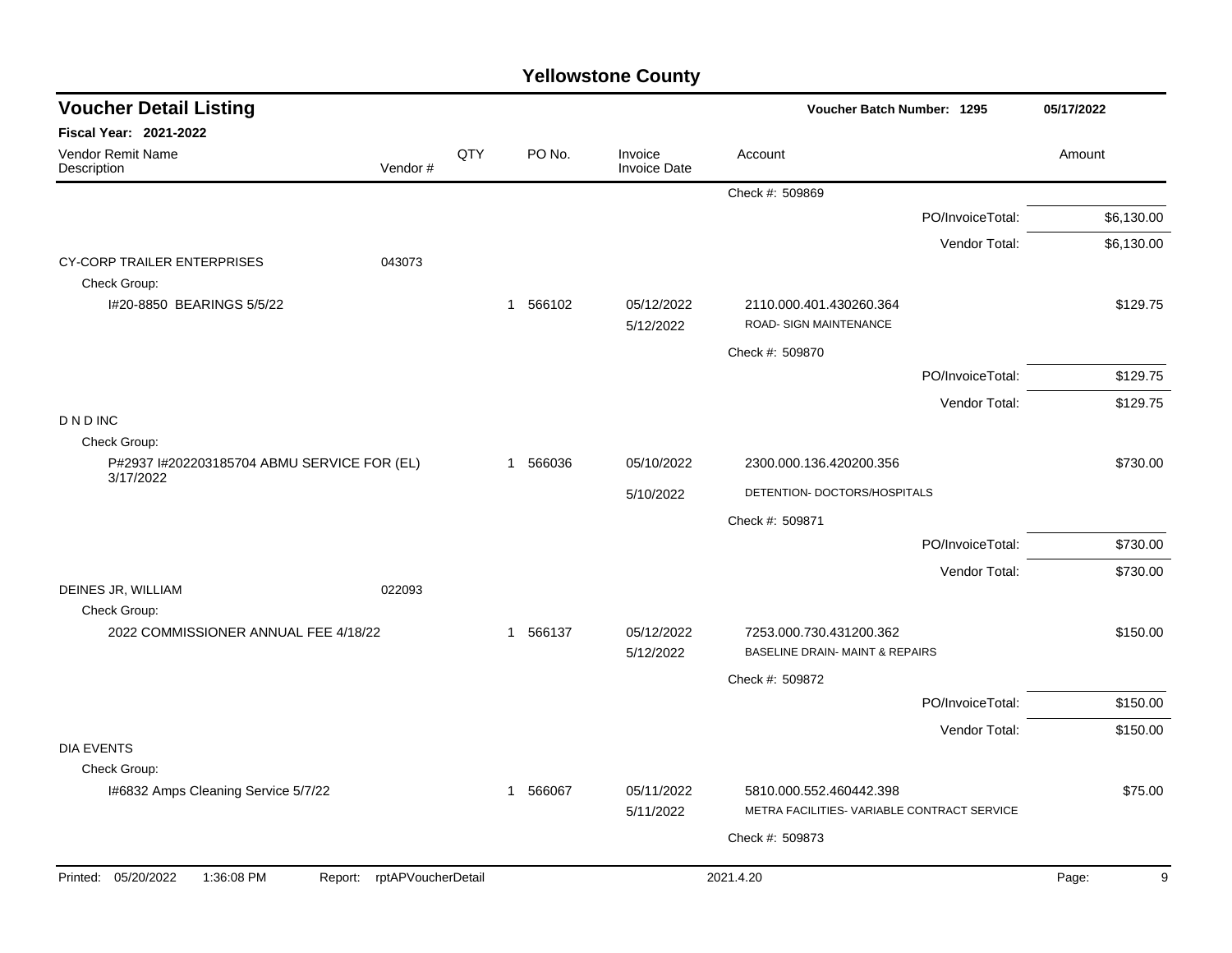| <b>Voucher Detail Listing</b>                               | Voucher Batch Number: 1295 |     | 05/17/2022 |                                |                                                                        |                  |            |
|-------------------------------------------------------------|----------------------------|-----|------------|--------------------------------|------------------------------------------------------------------------|------------------|------------|
| <b>Fiscal Year: 2021-2022</b>                               |                            |     |            |                                |                                                                        |                  |            |
| Vendor Remit Name<br>Description                            | Vendor#                    | QTY | PO No.     | Invoice<br><b>Invoice Date</b> | Account                                                                |                  | Amount     |
|                                                             |                            |     |            |                                | Check #: 509869                                                        |                  |            |
|                                                             |                            |     |            |                                |                                                                        | PO/InvoiceTotal: | \$6,130.00 |
|                                                             |                            |     |            |                                |                                                                        | Vendor Total:    | \$6,130.00 |
| CY-CORP TRAILER ENTERPRISES<br>Check Group:                 | 043073                     |     |            |                                |                                                                        |                  |            |
| I#20-8850 BEARINGS 5/5/22                                   |                            |     | 1 566102   | 05/12/2022<br>5/12/2022        | 2110.000.401.430260.364<br>ROAD- SIGN MAINTENANCE                      |                  | \$129.75   |
|                                                             |                            |     |            |                                | Check #: 509870                                                        |                  |            |
|                                                             |                            |     |            |                                |                                                                        | PO/InvoiceTotal: | \$129.75   |
|                                                             |                            |     |            |                                |                                                                        | Vendor Total:    | \$129.75   |
| <b>DNDINC</b>                                               |                            |     |            |                                |                                                                        |                  |            |
| Check Group:<br>P#2937 I#202203185704 ABMU SERVICE FOR (EL) |                            |     | 1 566036   | 05/10/2022                     | 2300.000.136.420200.356                                                |                  | \$730.00   |
| 3/17/2022                                                   |                            |     |            | 5/10/2022                      | DETENTION- DOCTORS/HOSPITALS                                           |                  |            |
|                                                             |                            |     |            |                                | Check #: 509871                                                        |                  |            |
|                                                             |                            |     |            |                                |                                                                        | PO/InvoiceTotal: | \$730.00   |
|                                                             |                            |     |            |                                |                                                                        | Vendor Total:    | \$730.00   |
| DEINES JR, WILLIAM<br>Check Group:                          | 022093                     |     |            |                                |                                                                        |                  |            |
| 2022 COMMISSIONER ANNUAL FEE 4/18/22                        |                            |     | 1 566137   | 05/12/2022<br>5/12/2022        | 7253.000.730.431200.362<br><b>BASELINE DRAIN- MAINT &amp; REPAIRS</b>  |                  | \$150.00   |
|                                                             |                            |     |            |                                | Check #: 509872                                                        |                  |            |
|                                                             |                            |     |            |                                |                                                                        | PO/InvoiceTotal: | \$150.00   |
|                                                             |                            |     |            |                                |                                                                        | Vendor Total:    | \$150.00   |
| <b>DIA EVENTS</b>                                           |                            |     |            |                                |                                                                        |                  |            |
| Check Group:                                                |                            |     |            |                                |                                                                        |                  |            |
| I#6832 Amps Cleaning Service 5/7/22                         |                            |     | 1 566067   | 05/11/2022<br>5/11/2022        | 5810.000.552.460442.398<br>METRA FACILITIES- VARIABLE CONTRACT SERVICE |                  | \$75.00    |
|                                                             |                            |     |            |                                |                                                                        |                  |            |
|                                                             |                            |     |            |                                | Check #: 509873                                                        |                  |            |
| Printed: 05/20/2022<br>1:36:08 PM                           | Report: rptAPVoucherDetail |     |            |                                | 2021.4.20                                                              |                  | Page:<br>9 |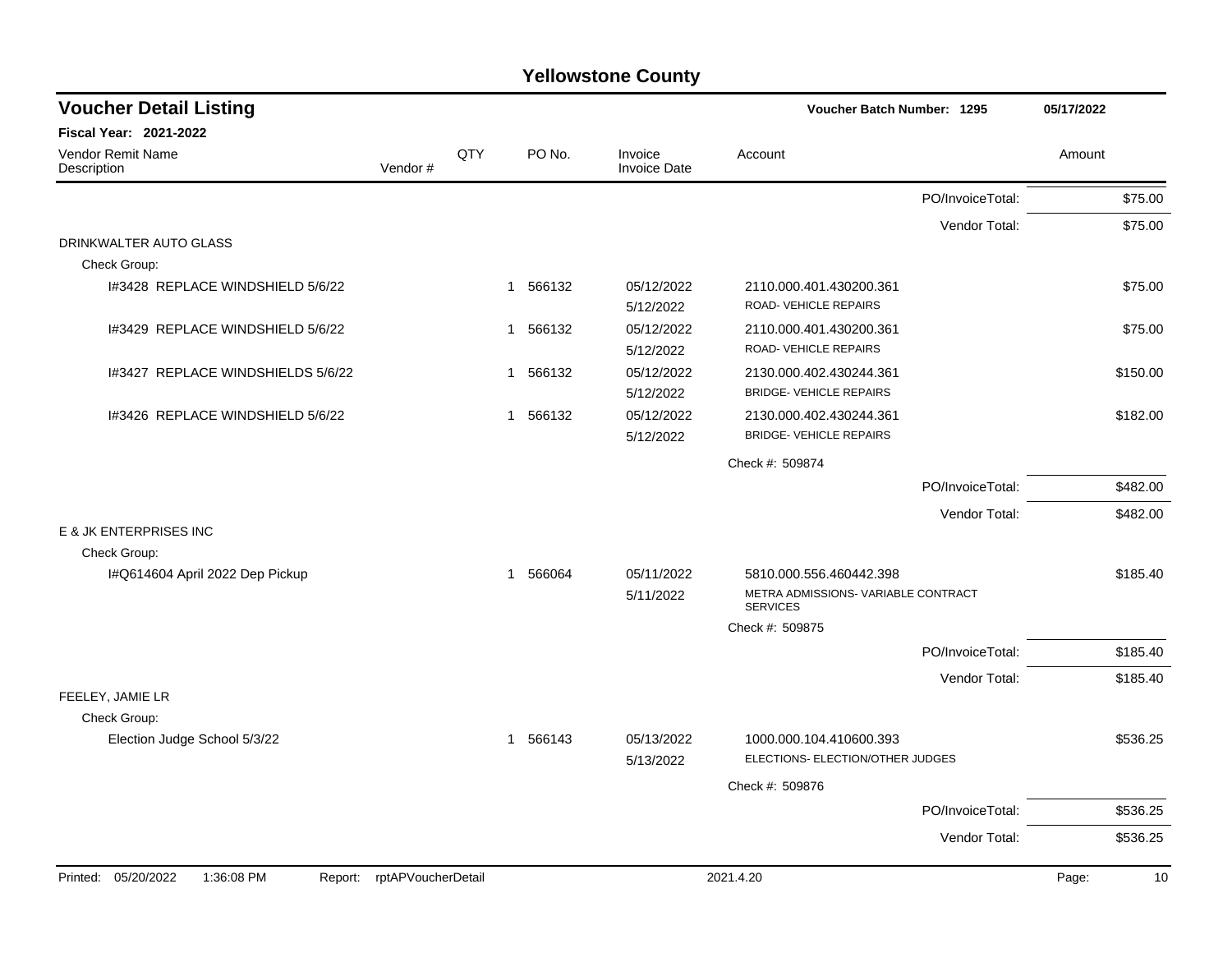| <b>Voucher Detail Listing</b>                |                    |     |              |                                | Voucher Batch Number: 1295                                  |                  | 05/17/2022 |          |
|----------------------------------------------|--------------------|-----|--------------|--------------------------------|-------------------------------------------------------------|------------------|------------|----------|
| <b>Fiscal Year: 2021-2022</b>                |                    |     |              |                                |                                                             |                  |            |          |
| <b>Vendor Remit Name</b><br>Description      | Vendor#            | QTY | PO No.       | Invoice<br><b>Invoice Date</b> | Account                                                     |                  | Amount     |          |
|                                              |                    |     |              |                                |                                                             | PO/InvoiceTotal: |            | \$75.00  |
|                                              |                    |     |              |                                |                                                             | Vendor Total:    |            | \$75.00  |
| DRINKWALTER AUTO GLASS<br>Check Group:       |                    |     |              |                                |                                                             |                  |            |          |
| I#3428 REPLACE WINDSHIELD 5/6/22             |                    |     | 566132<br>-1 | 05/12/2022<br>5/12/2022        | 2110.000.401.430200.361<br>ROAD- VEHICLE REPAIRS            |                  |            | \$75.00  |
| I#3429 REPLACE WINDSHIELD 5/6/22             |                    |     | 566132<br>-1 | 05/12/2022<br>5/12/2022        | 2110.000.401.430200.361<br>ROAD-VEHICLE REPAIRS             |                  |            | \$75.00  |
| I#3427 REPLACE WINDSHIELDS 5/6/22            |                    |     | 1 566132     | 05/12/2022<br>5/12/2022        | 2130.000.402.430244.361<br><b>BRIDGE- VEHICLE REPAIRS</b>   |                  |            | \$150.00 |
| I#3426 REPLACE WINDSHIELD 5/6/22             |                    |     | 1 566132     | 05/12/2022<br>5/12/2022        | 2130.000.402.430244.361<br><b>BRIDGE- VEHICLE REPAIRS</b>   |                  |            | \$182.00 |
|                                              |                    |     |              |                                | Check #: 509874                                             |                  |            |          |
|                                              |                    |     |              |                                |                                                             | PO/InvoiceTotal: |            | \$482.00 |
|                                              |                    |     |              |                                |                                                             | Vendor Total:    |            | \$482.00 |
| E & JK ENTERPRISES INC<br>Check Group:       |                    |     |              |                                |                                                             |                  |            |          |
| I#Q614604 April 2022 Dep Pickup              |                    |     | 1 566064     | 05/11/2022                     | 5810.000.556.460442.398                                     |                  |            | \$185.40 |
|                                              |                    |     |              | 5/11/2022                      | METRA ADMISSIONS- VARIABLE CONTRACT<br><b>SERVICES</b>      |                  |            |          |
|                                              |                    |     |              |                                | Check #: 509875                                             |                  |            |          |
|                                              |                    |     |              |                                |                                                             | PO/InvoiceTotal: |            | \$185.40 |
| FEELEY, JAMIE LR<br>Check Group:             |                    |     |              |                                |                                                             | Vendor Total:    |            | \$185.40 |
| Election Judge School 5/3/22                 |                    |     | 1 566143     | 05/13/2022<br>5/13/2022        | 1000.000.104.410600.393<br>ELECTIONS- ELECTION/OTHER JUDGES |                  |            | \$536.25 |
|                                              |                    |     |              |                                | Check #: 509876                                             |                  |            |          |
|                                              |                    |     |              |                                |                                                             | PO/InvoiceTotal: |            | \$536.25 |
|                                              |                    |     |              |                                |                                                             | Vendor Total:    |            | \$536.25 |
| Printed: 05/20/2022<br>1:36:08 PM<br>Report: | rptAPVoucherDetail |     |              |                                | 2021.4.20                                                   |                  | Page:      | 10       |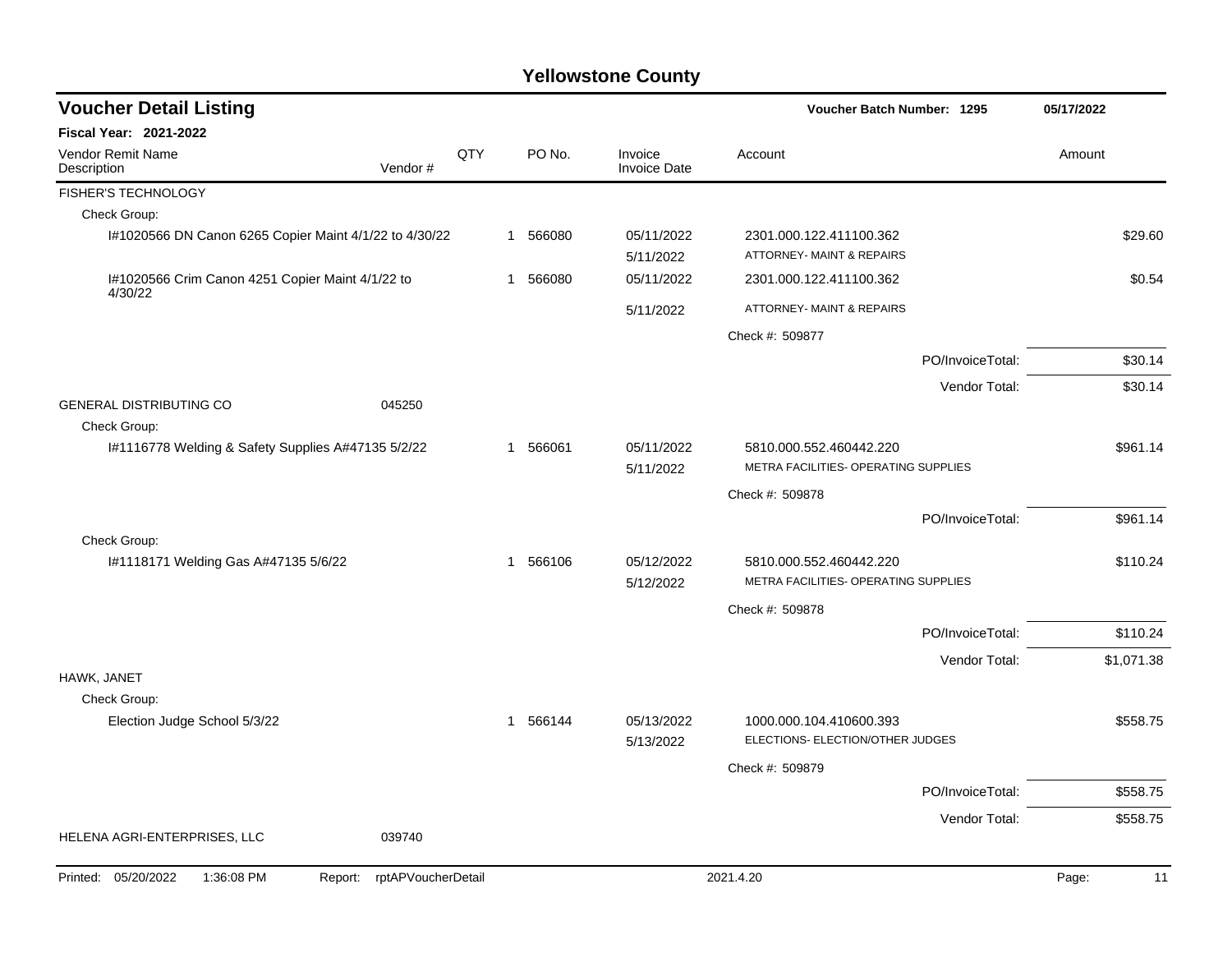| <b>Voucher Detail Listing</b>                                      |                               |     |          |                                | Voucher Batch Number: 1295                                  |                  | 05/17/2022 |            |
|--------------------------------------------------------------------|-------------------------------|-----|----------|--------------------------------|-------------------------------------------------------------|------------------|------------|------------|
| Fiscal Year: 2021-2022                                             |                               |     |          |                                |                                                             |                  |            |            |
| Vendor Remit Name<br>Description                                   | Vendor#                       | QTY | PO No.   | Invoice<br><b>Invoice Date</b> | Account                                                     |                  | Amount     |            |
| FISHER'S TECHNOLOGY                                                |                               |     |          |                                |                                                             |                  |            |            |
| Check Group:                                                       |                               |     |          |                                |                                                             |                  |            |            |
| I#1020566 DN Canon 6265 Copier Maint 4/1/22 to 4/30/22             |                               |     | 1 566080 | 05/11/2022<br>5/11/2022        | 2301.000.122.411100.362<br>ATTORNEY- MAINT & REPAIRS        |                  |            | \$29.60    |
| I#1020566 Crim Canon 4251 Copier Maint 4/1/22 to<br>4/30/22        |                               |     | 1 566080 | 05/11/2022                     | 2301.000.122.411100.362                                     |                  |            | \$0.54     |
|                                                                    |                               |     |          | 5/11/2022                      | ATTORNEY- MAINT & REPAIRS                                   |                  |            |            |
|                                                                    |                               |     |          |                                | Check #: 509877                                             |                  |            |            |
|                                                                    |                               |     |          |                                |                                                             | PO/InvoiceTotal: |            | \$30.14    |
|                                                                    |                               |     |          |                                |                                                             | Vendor Total:    |            | \$30.14    |
| <b>GENERAL DISTRIBUTING CO</b>                                     | 045250                        |     |          |                                |                                                             |                  |            |            |
| Check Group:<br>I#1116778 Welding & Safety Supplies A#47135 5/2/22 |                               |     | 1 566061 | 05/11/2022                     | 5810.000.552.460442.220                                     |                  |            | \$961.14   |
|                                                                    |                               |     |          | 5/11/2022                      | METRA FACILITIES- OPERATING SUPPLIES                        |                  |            |            |
|                                                                    |                               |     |          |                                | Check #: 509878                                             |                  |            |            |
|                                                                    |                               |     |          |                                |                                                             | PO/InvoiceTotal: |            | \$961.14   |
| Check Group:                                                       |                               |     |          |                                |                                                             |                  |            |            |
| I#1118171 Welding Gas A#47135 5/6/22                               |                               |     | 1 566106 | 05/12/2022                     | 5810.000.552.460442.220                                     |                  |            | \$110.24   |
|                                                                    |                               |     |          | 5/12/2022                      | METRA FACILITIES- OPERATING SUPPLIES                        |                  |            |            |
|                                                                    |                               |     |          |                                | Check #: 509878                                             |                  |            |            |
|                                                                    |                               |     |          |                                |                                                             | PO/InvoiceTotal: |            | \$110.24   |
|                                                                    |                               |     |          |                                |                                                             | Vendor Total:    |            | \$1,071.38 |
| HAWK, JANET                                                        |                               |     |          |                                |                                                             |                  |            |            |
| Check Group:                                                       |                               |     |          |                                |                                                             |                  |            |            |
| Election Judge School 5/3/22                                       |                               |     | 1 566144 | 05/13/2022<br>5/13/2022        | 1000.000.104.410600.393<br>ELECTIONS- ELECTION/OTHER JUDGES |                  |            | \$558.75   |
|                                                                    |                               |     |          |                                | Check #: 509879                                             |                  |            |            |
|                                                                    |                               |     |          |                                |                                                             | PO/InvoiceTotal: |            | \$558.75   |
|                                                                    |                               |     |          |                                |                                                             | Vendor Total:    |            | \$558.75   |
| HELENA AGRI-ENTERPRISES, LLC                                       | 039740                        |     |          |                                |                                                             |                  |            |            |
| Printed: 05/20/2022<br>1:36:08 PM                                  | rptAPVoucherDetail<br>Report: |     |          |                                | 2021.4.20                                                   |                  | Page:      | 11         |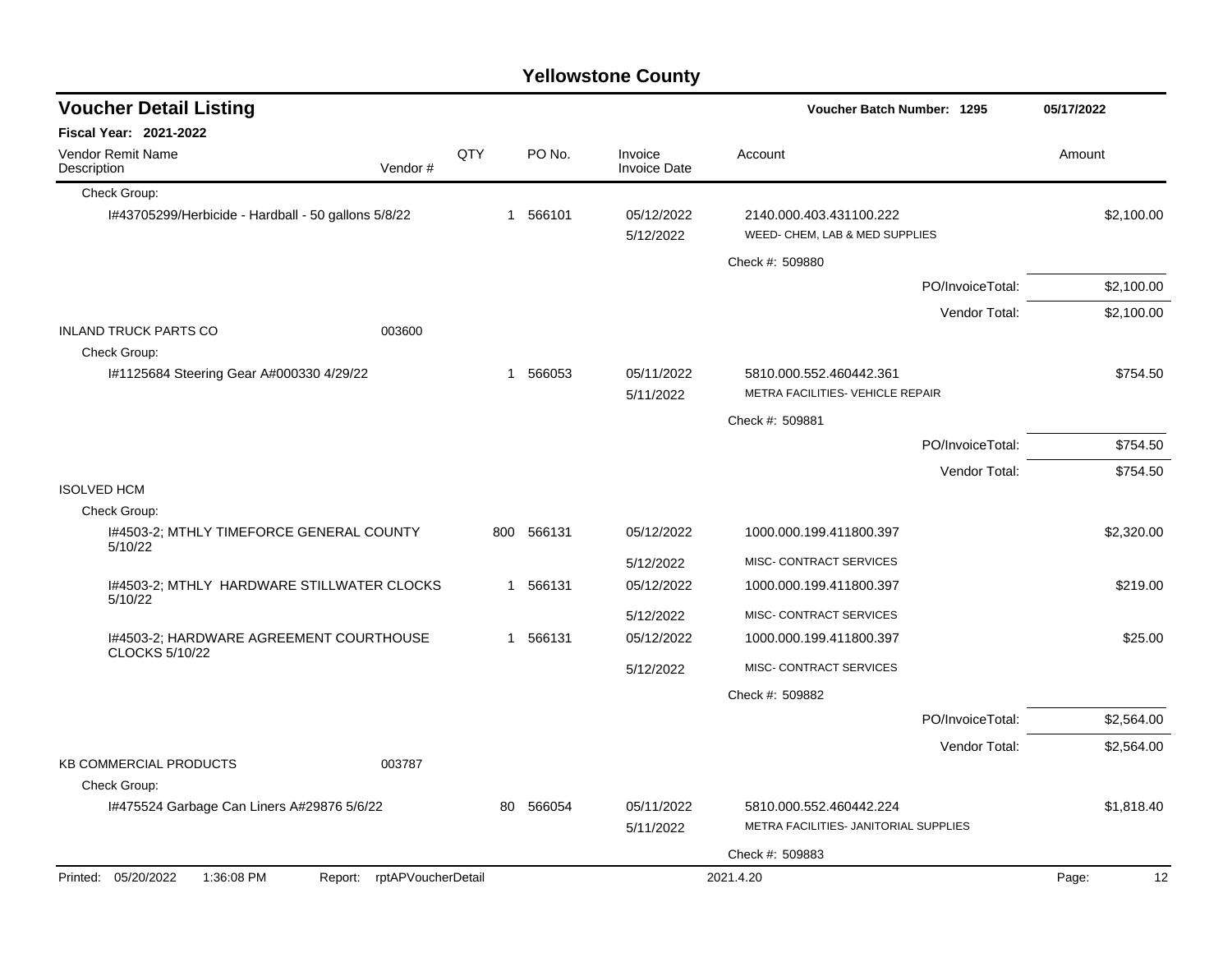| <b>Voucher Detail Listing</b>                                    |     |             |                                | Voucher Batch Number: 1295                                       |                  | 05/17/2022  |  |
|------------------------------------------------------------------|-----|-------------|--------------------------------|------------------------------------------------------------------|------------------|-------------|--|
| <b>Fiscal Year: 2021-2022</b>                                    |     |             |                                |                                                                  |                  |             |  |
| Vendor Remit Name<br>Description<br>Vendor#                      | QTY | PO No.      | Invoice<br><b>Invoice Date</b> | Account                                                          |                  | Amount      |  |
| Check Group:                                                     |     |             |                                |                                                                  |                  |             |  |
| I#43705299/Herbicide - Hardball - 50 gallons 5/8/22              |     | 1 566101    | 05/12/2022<br>5/12/2022        | 2140.000.403.431100.222<br>WEED- CHEM, LAB & MED SUPPLIES        |                  | \$2,100.00  |  |
|                                                                  |     |             |                                | Check #: 509880                                                  |                  |             |  |
|                                                                  |     |             |                                |                                                                  | PO/InvoiceTotal: | \$2,100.00  |  |
|                                                                  |     |             |                                |                                                                  | Vendor Total:    | \$2,100.00  |  |
| <b>INLAND TRUCK PARTS CO</b><br>003600                           |     |             |                                |                                                                  |                  |             |  |
| Check Group:<br>I#1125684 Steering Gear A#000330 4/29/22         |     | 1 566053    | 05/11/2022<br>5/11/2022        | 5810.000.552.460442.361<br>METRA FACILITIES- VEHICLE REPAIR      |                  | \$754.50    |  |
|                                                                  |     |             |                                | Check #: 509881                                                  |                  |             |  |
|                                                                  |     |             |                                |                                                                  | PO/InvoiceTotal: | \$754.50    |  |
|                                                                  |     |             |                                |                                                                  | Vendor Total:    | \$754.50    |  |
| <b>ISOLVED HCM</b>                                               |     |             |                                |                                                                  |                  |             |  |
| Check Group:                                                     |     |             |                                |                                                                  |                  |             |  |
| I#4503-2; MTHLY TIMEFORCE GENERAL COUNTY<br>5/10/22              | 800 | 566131      | 05/12/2022                     | 1000.000.199.411800.397                                          |                  | \$2,320.00  |  |
|                                                                  |     |             | 5/12/2022                      | MISC- CONTRACT SERVICES                                          |                  |             |  |
| I#4503-2; MTHLY HARDWARE STILLWATER CLOCKS<br>5/10/22            |     | 566131<br>1 | 05/12/2022                     | 1000.000.199.411800.397                                          |                  | \$219.00    |  |
|                                                                  |     |             | 5/12/2022                      | MISC- CONTRACT SERVICES                                          |                  |             |  |
| I#4503-2; HARDWARE AGREEMENT COURTHOUSE<br><b>CLOCKS 5/10/22</b> |     | 566131<br>1 | 05/12/2022                     | 1000.000.199.411800.397                                          |                  | \$25.00     |  |
|                                                                  |     |             | 5/12/2022                      | MISC- CONTRACT SERVICES                                          |                  |             |  |
|                                                                  |     |             |                                | Check #: 509882                                                  |                  |             |  |
|                                                                  |     |             |                                |                                                                  | PO/InvoiceTotal: | \$2,564.00  |  |
|                                                                  |     |             |                                |                                                                  | Vendor Total:    | \$2,564.00  |  |
| <b>KB COMMERCIAL PRODUCTS</b><br>003787                          |     |             |                                |                                                                  |                  |             |  |
| Check Group:                                                     |     |             |                                |                                                                  |                  |             |  |
| 1#475524 Garbage Can Liners A#29876 5/6/22                       | 80  | 566054      | 05/11/2022<br>5/11/2022        | 5810.000.552.460442.224<br>METRA FACILITIES- JANITORIAL SUPPLIES |                  | \$1,818.40  |  |
|                                                                  |     |             |                                | Check #: 509883                                                  |                  |             |  |
| Printed: 05/20/2022<br>1:36:08 PM<br>Report: rptAPVoucherDetail  |     |             |                                | 2021.4.20                                                        |                  | 12<br>Page: |  |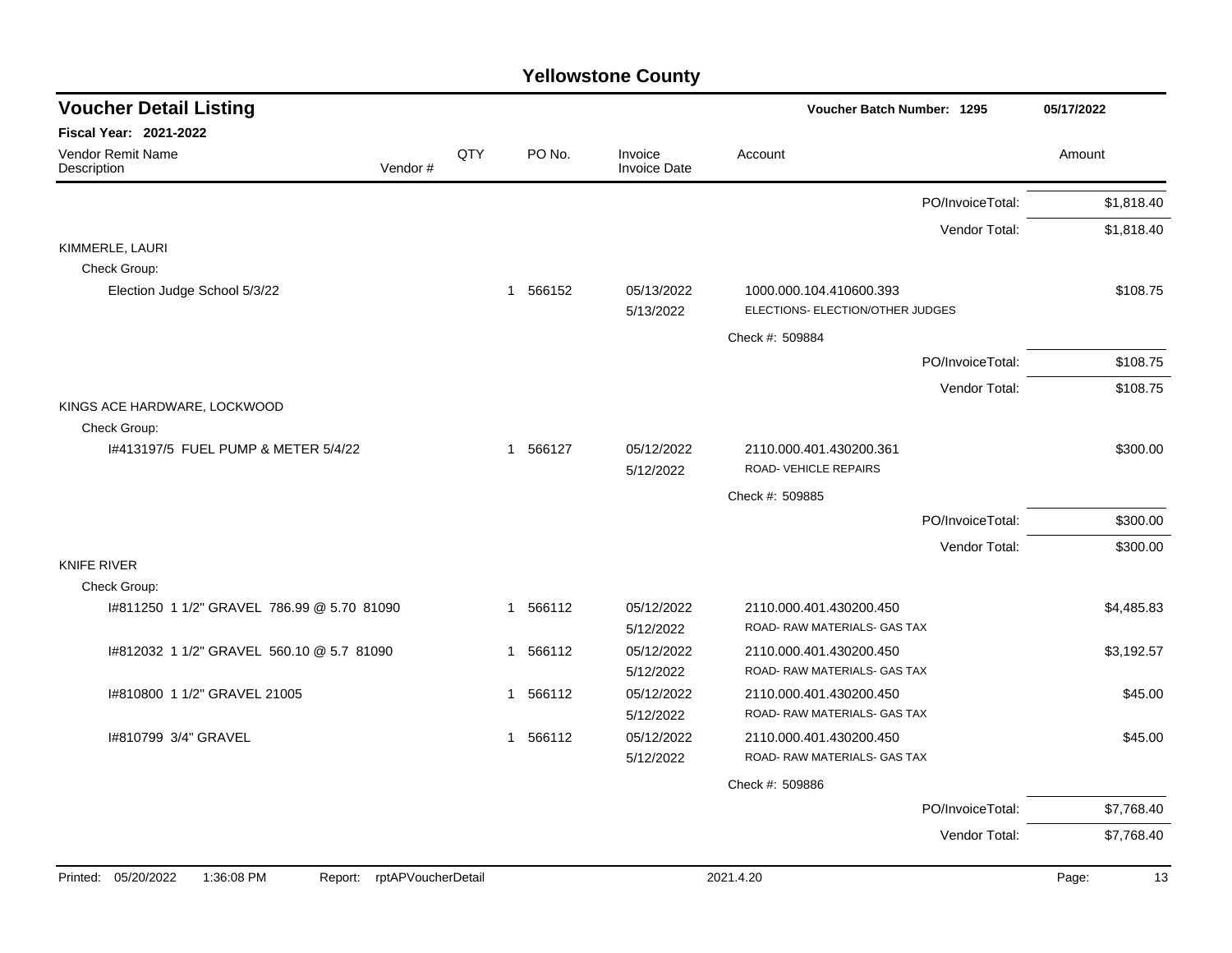| <b>Voucher Detail Listing</b>               |             |          |                                | Voucher Batch Number: 1295                                  | 05/17/2022 |
|---------------------------------------------|-------------|----------|--------------------------------|-------------------------------------------------------------|------------|
| <b>Fiscal Year: 2021-2022</b>               |             |          |                                |                                                             |            |
| Vendor Remit Name<br>Vendor#<br>Description | QTY         | PO No.   | Invoice<br><b>Invoice Date</b> | Account                                                     | Amount     |
|                                             |             |          |                                | PO/InvoiceTotal:                                            | \$1,818.40 |
|                                             |             |          |                                | Vendor Total:                                               | \$1,818.40 |
| KIMMERLE, LAURI                             |             |          |                                |                                                             |            |
| Check Group:                                |             |          |                                |                                                             |            |
| Election Judge School 5/3/22                |             | 1 566152 | 05/13/2022<br>5/13/2022        | 1000.000.104.410600.393<br>ELECTIONS- ELECTION/OTHER JUDGES | \$108.75   |
|                                             |             |          |                                | Check #: 509884                                             |            |
|                                             |             |          |                                | PO/InvoiceTotal:                                            | \$108.75   |
|                                             |             |          |                                | Vendor Total:                                               | \$108.75   |
| KINGS ACE HARDWARE, LOCKWOOD                |             |          |                                |                                                             |            |
| Check Group:                                |             |          |                                |                                                             |            |
| 1#413197/5 FUEL PUMP & METER 5/4/22         | $\mathbf 1$ | 566127   | 05/12/2022<br>5/12/2022        | 2110.000.401.430200.361<br>ROAD-VEHICLE REPAIRS             | \$300.00   |
|                                             |             |          |                                | Check #: 509885                                             |            |
|                                             |             |          |                                | PO/InvoiceTotal:                                            | \$300.00   |
|                                             |             |          |                                | Vendor Total:                                               | \$300.00   |
| <b>KNIFE RIVER</b>                          |             |          |                                |                                                             |            |
| Check Group:                                |             |          |                                |                                                             |            |
| #811250 1 1/2" GRAVEL 786.99 @ 5.70 81090   |             | 1 566112 | 05/12/2022                     | 2110.000.401.430200.450                                     | \$4,485.83 |
|                                             |             |          | 5/12/2022                      | ROAD- RAW MATERIALS- GAS TAX                                |            |
| 1#812032 1 1/2" GRAVEL 560.10 @ 5.7 81090   |             | 1 566112 | 05/12/2022                     | 2110.000.401.430200.450                                     | \$3,192.57 |
|                                             |             |          | 5/12/2022                      | ROAD- RAW MATERIALS- GAS TAX                                |            |
| I#810800 1 1/2" GRAVEL 21005                |             | 1 566112 | 05/12/2022<br>5/12/2022        | 2110.000.401.430200.450<br>ROAD- RAW MATERIALS- GAS TAX     | \$45.00    |
| I#810799 3/4" GRAVEL                        |             | 1 566112 | 05/12/2022                     | 2110.000.401.430200.450                                     | \$45.00    |
|                                             |             |          | 5/12/2022                      | ROAD- RAW MATERIALS- GAS TAX                                |            |
|                                             |             |          |                                | Check #: 509886                                             |            |
|                                             |             |          |                                | PO/InvoiceTotal:                                            | \$7,768.40 |
|                                             |             |          |                                | Vendor Total:                                               | \$7,768.40 |
|                                             |             |          |                                |                                                             |            |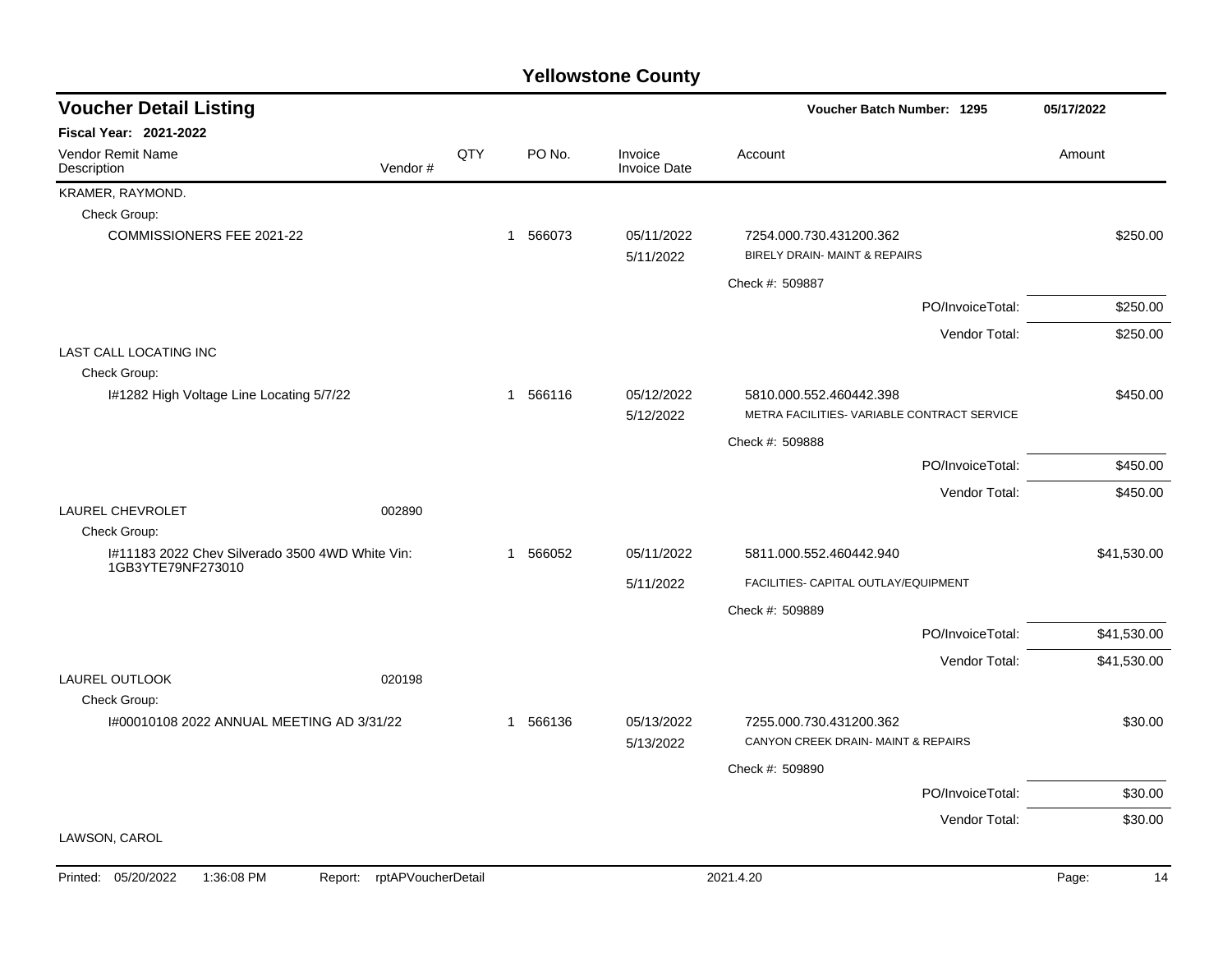| <b>Voucher Detail Listing</b>                                        |     |          |                                | Voucher Batch Number: 1295                                             | 05/17/2022  |
|----------------------------------------------------------------------|-----|----------|--------------------------------|------------------------------------------------------------------------|-------------|
| <b>Fiscal Year: 2021-2022</b>                                        |     |          |                                |                                                                        |             |
| Vendor Remit Name<br>Vendor#<br>Description                          | QTY | PO No.   | Invoice<br><b>Invoice Date</b> | Account                                                                | Amount      |
| KRAMER, RAYMOND.                                                     |     |          |                                |                                                                        |             |
| Check Group:                                                         |     |          |                                |                                                                        |             |
| COMMISSIONERS FEE 2021-22                                            |     | 1 566073 | 05/11/2022<br>5/11/2022        | 7254.000.730.431200.362<br>BIRELY DRAIN- MAINT & REPAIRS               | \$250.00    |
|                                                                      |     |          |                                | Check #: 509887                                                        |             |
|                                                                      |     |          |                                | PO/InvoiceTotal:                                                       | \$250.00    |
|                                                                      |     |          |                                | Vendor Total:                                                          | \$250.00    |
| <b>LAST CALL LOCATING INC</b>                                        |     |          |                                |                                                                        |             |
| Check Group:                                                         |     |          |                                |                                                                        |             |
| I#1282 High Voltage Line Locating 5/7/22                             |     | 1 566116 | 05/12/2022<br>5/12/2022        | 5810.000.552.460442.398<br>METRA FACILITIES- VARIABLE CONTRACT SERVICE | \$450.00    |
|                                                                      |     |          |                                | Check #: 509888                                                        |             |
|                                                                      |     |          |                                | PO/InvoiceTotal:                                                       | \$450.00    |
|                                                                      |     |          |                                | Vendor Total:                                                          | \$450.00    |
| <b>LAUREL CHEVROLET</b><br>002890                                    |     |          |                                |                                                                        |             |
| Check Group:                                                         |     |          |                                |                                                                        |             |
| I#11183 2022 Chev Silverado 3500 4WD White Vin:<br>1GB3YTE79NF273010 |     | 1 566052 | 05/11/2022                     | 5811.000.552.460442.940                                                | \$41,530.00 |
|                                                                      |     |          | 5/11/2022                      | FACILITIES- CAPITAL OUTLAY/EQUIPMENT                                   |             |
|                                                                      |     |          |                                | Check #: 509889                                                        |             |
|                                                                      |     |          |                                | PO/InvoiceTotal:                                                       | \$41,530.00 |
|                                                                      |     |          |                                | Vendor Total:                                                          | \$41,530.00 |
| <b>LAUREL OUTLOOK</b><br>020198<br>Check Group:                      |     |          |                                |                                                                        |             |
| I#00010108 2022 ANNUAL MEETING AD 3/31/22                            |     | 1 566136 | 05/13/2022                     | 7255.000.730.431200.362                                                | \$30.00     |
|                                                                      |     |          | 5/13/2022                      | CANYON CREEK DRAIN-MAINT & REPAIRS                                     |             |
|                                                                      |     |          |                                | Check #: 509890                                                        |             |
|                                                                      |     |          |                                | PO/InvoiceTotal:                                                       | \$30.00     |
|                                                                      |     |          |                                | Vendor Total:                                                          | \$30.00     |
| LAWSON, CAROL                                                        |     |          |                                |                                                                        |             |
| Printed: 05/20/2022<br>1:36:08 PM<br>rptAPVoucherDetail<br>Report:   |     |          |                                | 2021.4.20                                                              | Page:<br>14 |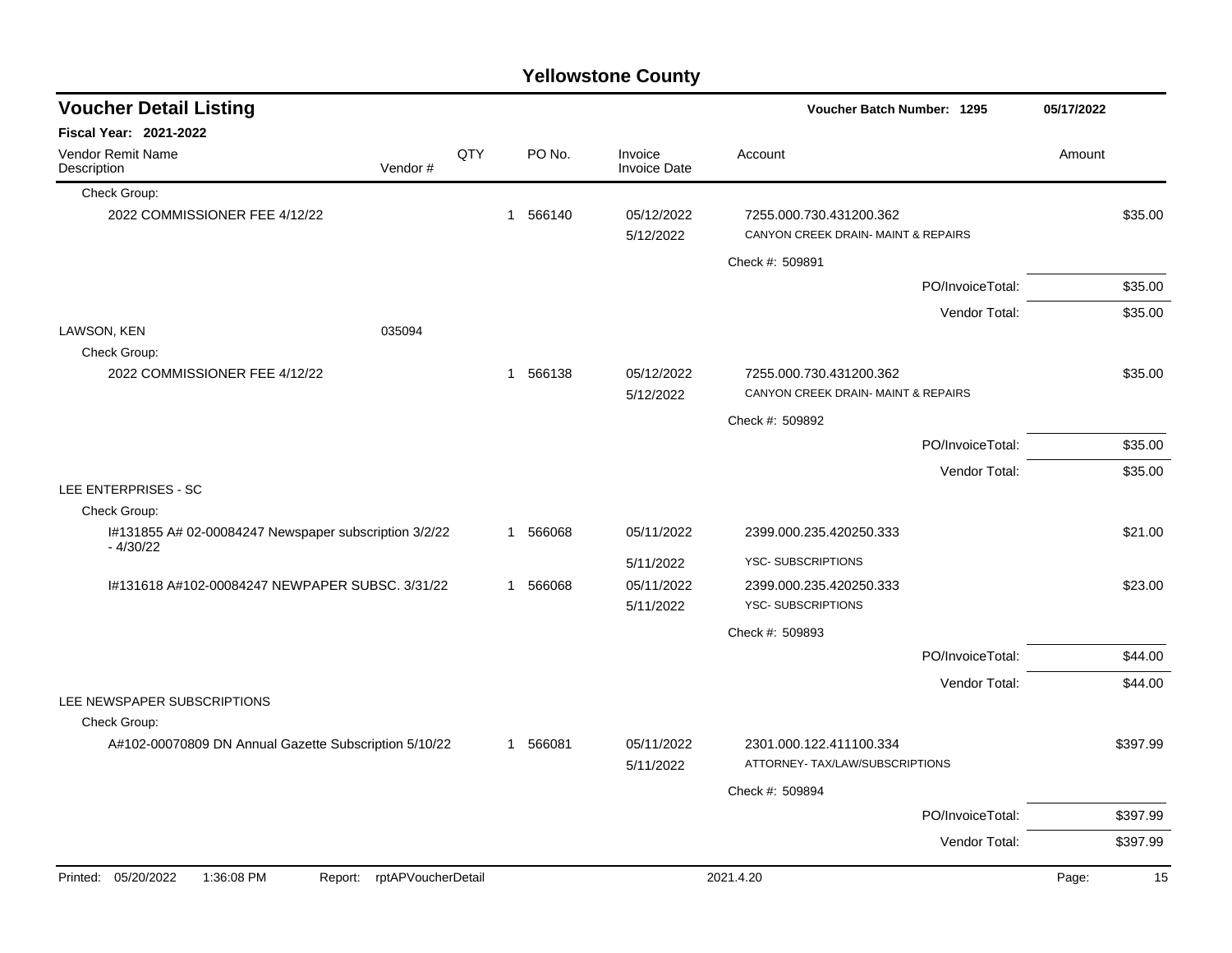| <b>Voucher Detail Listing</b>                                       |                    |          |                                | Voucher Batch Number: 1295                                     |                  | 05/17/2022 |          |
|---------------------------------------------------------------------|--------------------|----------|--------------------------------|----------------------------------------------------------------|------------------|------------|----------|
| <b>Fiscal Year: 2021-2022</b>                                       |                    |          |                                |                                                                |                  |            |          |
| Vendor Remit Name<br>Vendor#<br>Description                         | QTY                | PO No.   | Invoice<br><b>Invoice Date</b> | Account                                                        |                  | Amount     |          |
| Check Group:                                                        |                    |          |                                |                                                                |                  |            |          |
| 2022 COMMISSIONER FEE 4/12/22                                       |                    | 1 566140 | 05/12/2022<br>5/12/2022        | 7255.000.730.431200.362<br>CANYON CREEK DRAIN- MAINT & REPAIRS |                  |            | \$35.00  |
|                                                                     |                    |          |                                | Check #: 509891                                                |                  |            |          |
|                                                                     |                    |          |                                |                                                                | PO/InvoiceTotal: |            | \$35.00  |
|                                                                     |                    |          |                                |                                                                | Vendor Total:    |            | \$35.00  |
| LAWSON, KEN<br>035094                                               |                    |          |                                |                                                                |                  |            |          |
| Check Group:                                                        |                    |          |                                |                                                                |                  |            |          |
| 2022 COMMISSIONER FEE 4/12/22                                       |                    | 1 566138 | 05/12/2022<br>5/12/2022        | 7255.000.730.431200.362<br>CANYON CREEK DRAIN- MAINT & REPAIRS |                  |            | \$35.00  |
|                                                                     |                    |          |                                | Check #: 509892                                                |                  |            |          |
|                                                                     |                    |          |                                |                                                                | PO/InvoiceTotal: |            | \$35.00  |
|                                                                     |                    |          |                                |                                                                | Vendor Total:    |            | \$35.00  |
| LEE ENTERPRISES - SC                                                |                    |          |                                |                                                                |                  |            |          |
| Check Group:                                                        |                    |          |                                |                                                                |                  |            |          |
| I#131855 A# 02-00084247 Newspaper subscription 3/2/22<br>$-4/30/22$ |                    | 1 566068 | 05/11/2022                     | 2399.000.235.420250.333                                        |                  |            | \$21.00  |
|                                                                     |                    |          | 5/11/2022                      | YSC-SUBSCRIPTIONS                                              |                  |            |          |
| I#131618 A#102-00084247 NEWPAPER SUBSC. 3/31/22                     |                    | 1 566068 | 05/11/2022<br>5/11/2022        | 2399.000.235.420250.333<br>YSC-SUBSCRIPTIONS                   |                  |            | \$23.00  |
|                                                                     |                    |          |                                | Check #: 509893                                                |                  |            |          |
|                                                                     |                    |          |                                |                                                                | PO/InvoiceTotal: |            | \$44.00  |
|                                                                     |                    |          |                                |                                                                | Vendor Total:    |            | \$44.00  |
| LEE NEWSPAPER SUBSCRIPTIONS                                         |                    |          |                                |                                                                |                  |            |          |
| Check Group:                                                        |                    |          |                                |                                                                |                  |            |          |
| A#102-00070809 DN Annual Gazette Subscription 5/10/22               |                    | 1 566081 | 05/11/2022<br>5/11/2022        | 2301.000.122.411100.334<br>ATTORNEY- TAX/LAW/SUBSCRIPTIONS     |                  |            | \$397.99 |
|                                                                     |                    |          |                                | Check #: 509894                                                |                  |            |          |
|                                                                     |                    |          |                                |                                                                | PO/InvoiceTotal: |            | \$397.99 |
|                                                                     |                    |          |                                |                                                                | Vendor Total:    |            | \$397.99 |
| Printed: 05/20/2022<br>1:36:08 PM<br>Report:                        | rptAPVoucherDetail |          |                                | 2021.4.20                                                      |                  | Page:      | 15       |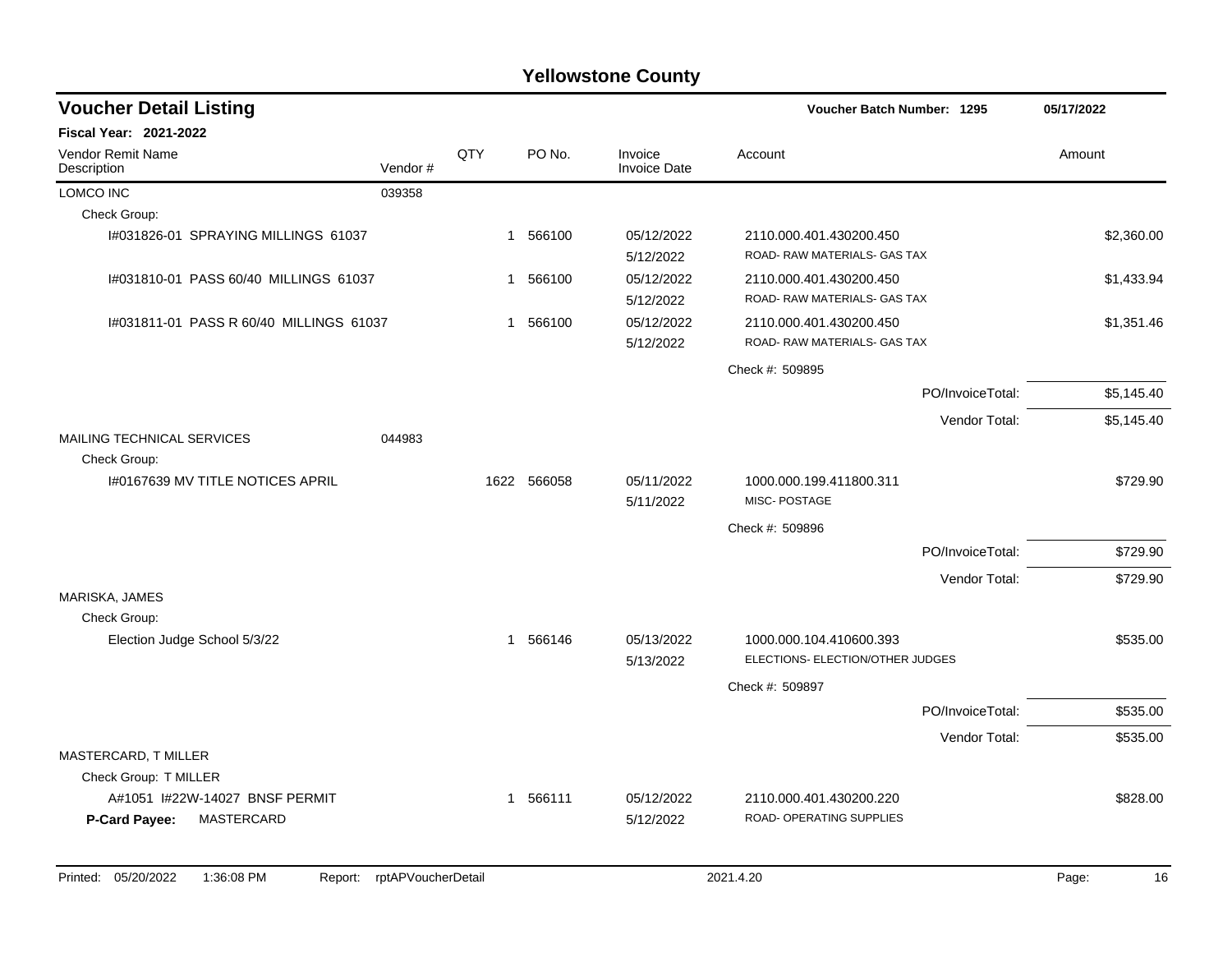| <b>Voucher Detail Listing</b>                 |         |              |             |                                | Voucher Batch Number: 1295                                  |                  | 05/17/2022 |
|-----------------------------------------------|---------|--------------|-------------|--------------------------------|-------------------------------------------------------------|------------------|------------|
| <b>Fiscal Year: 2021-2022</b>                 |         |              |             |                                |                                                             |                  |            |
| <b>Vendor Remit Name</b><br>Description       | Vendor# | QTY          | PO No.      | Invoice<br><b>Invoice Date</b> | Account                                                     |                  | Amount     |
| <b>LOMCO INC</b>                              | 039358  |              |             |                                |                                                             |                  |            |
| Check Group:                                  |         |              |             |                                |                                                             |                  |            |
| I#031826-01 SPRAYING MILLINGS 61037           |         |              | 1 566100    | 05/12/2022<br>5/12/2022        | 2110.000.401.430200.450<br>ROAD- RAW MATERIALS- GAS TAX     |                  | \$2,360.00 |
| I#031810-01 PASS 60/40 MILLINGS 61037         |         | 1            | 566100      | 05/12/2022<br>5/12/2022        | 2110.000.401.430200.450<br>ROAD-RAW MATERIALS- GAS TAX      |                  | \$1,433.94 |
| I#031811-01 PASS R 60/40 MILLINGS 61037       |         | 1            | 566100      | 05/12/2022<br>5/12/2022        | 2110.000.401.430200.450<br>ROAD- RAW MATERIALS- GAS TAX     |                  | \$1,351.46 |
|                                               |         |              |             |                                | Check #: 509895                                             |                  |            |
|                                               |         |              |             |                                |                                                             | PO/InvoiceTotal: | \$5,145.40 |
|                                               |         |              |             |                                |                                                             | Vendor Total:    | \$5,145.40 |
| MAILING TECHNICAL SERVICES                    | 044983  |              |             |                                |                                                             |                  |            |
| Check Group:                                  |         |              |             |                                |                                                             |                  |            |
| 1#0167639 MV TITLE NOTICES APRIL              |         |              | 1622 566058 | 05/11/2022<br>5/11/2022        | 1000.000.199.411800.311<br>MISC-POSTAGE                     |                  | \$729.90   |
|                                               |         |              |             |                                | Check #: 509896                                             |                  |            |
|                                               |         |              |             |                                |                                                             | PO/InvoiceTotal: | \$729.90   |
|                                               |         |              |             |                                |                                                             | Vendor Total:    | \$729.90   |
| MARISKA, JAMES                                |         |              |             |                                |                                                             |                  |            |
| Check Group:<br>Election Judge School 5/3/22  |         |              | 1 566146    | 05/13/2022<br>5/13/2022        | 1000.000.104.410600.393<br>ELECTIONS- ELECTION/OTHER JUDGES |                  | \$535.00   |
|                                               |         |              |             |                                | Check #: 509897                                             |                  |            |
|                                               |         |              |             |                                |                                                             | PO/InvoiceTotal: | \$535.00   |
|                                               |         |              |             |                                |                                                             | Vendor Total:    | \$535.00   |
| MASTERCARD, T MILLER<br>Check Group: T MILLER |         |              |             |                                |                                                             |                  |            |
| A#1051 I#22W-14027 BNSF PERMIT                |         | $\mathbf{1}$ | 566111      | 05/12/2022                     | 2110.000.401.430200.220                                     |                  | \$828.00   |
| MASTERCARD<br>P-Card Payee:                   |         |              |             | 5/12/2022                      | ROAD- OPERATING SUPPLIES                                    |                  |            |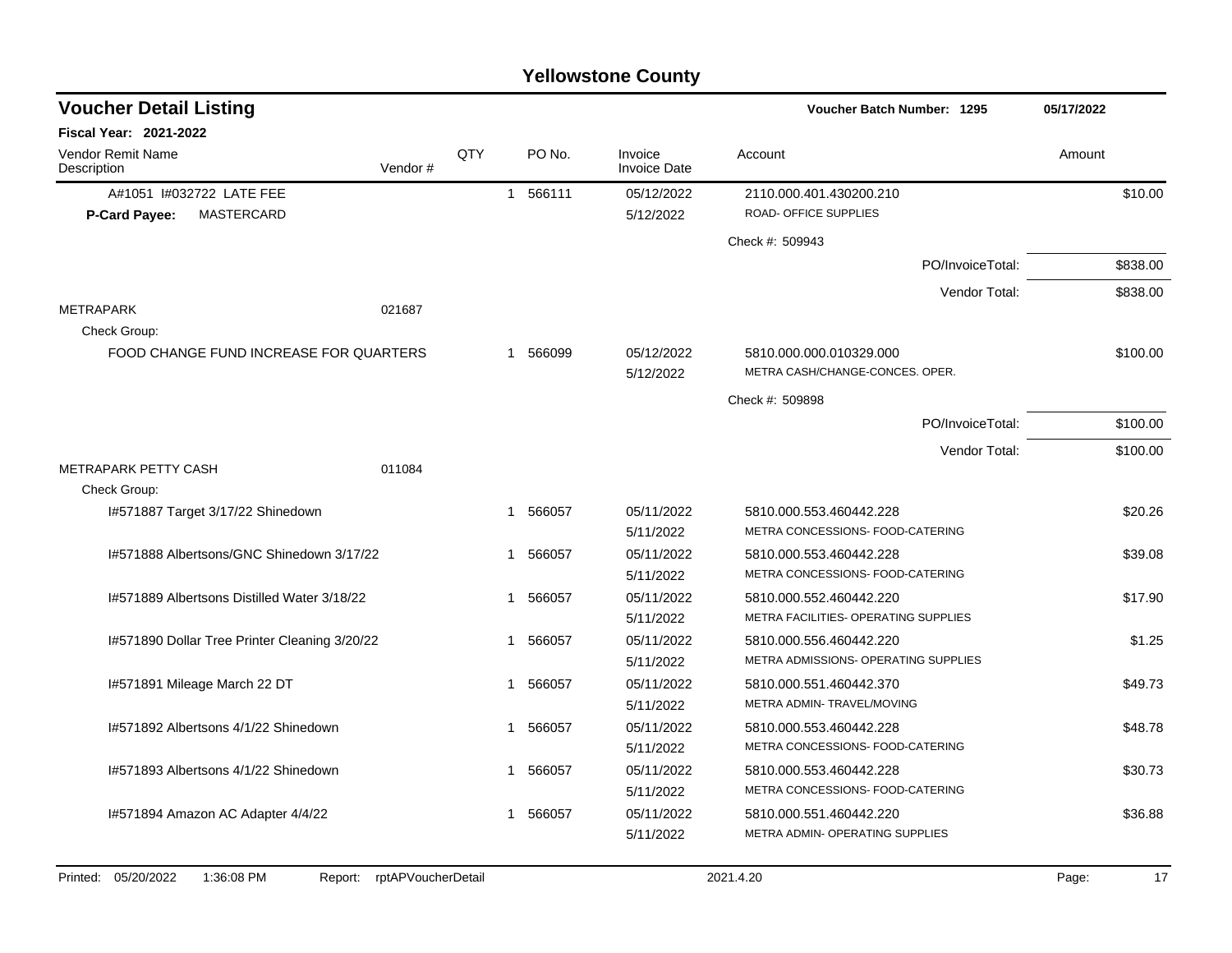| <b>Voucher Detail Listing</b>                 |         |     |              |          |                                |                                                            | Voucher Batch Number: 1295 |          |  |
|-----------------------------------------------|---------|-----|--------------|----------|--------------------------------|------------------------------------------------------------|----------------------------|----------|--|
| Fiscal Year: 2021-2022                        |         |     |              |          |                                |                                                            |                            |          |  |
| <b>Vendor Remit Name</b><br>Description       | Vendor# | QTY |              | PO No.   | Invoice<br><b>Invoice Date</b> | Account                                                    |                            | Amount   |  |
| A#1051 I#032722 LATE FEE                      |         |     |              | 1 566111 | 05/12/2022                     | 2110.000.401.430200.210                                    |                            | \$10.00  |  |
| <b>MASTERCARD</b><br><b>P-Card Payee:</b>     |         |     |              |          | 5/12/2022                      | <b>ROAD- OFFICE SUPPLIES</b>                               |                            |          |  |
|                                               |         |     |              |          |                                | Check #: 509943                                            |                            |          |  |
|                                               |         |     |              |          |                                |                                                            | PO/InvoiceTotal:           | \$838.00 |  |
|                                               |         |     |              |          |                                |                                                            | Vendor Total:              | \$838.00 |  |
| <b>METRAPARK</b>                              | 021687  |     |              |          |                                |                                                            |                            |          |  |
| Check Group:                                  |         |     |              |          |                                |                                                            |                            |          |  |
| FOOD CHANGE FUND INCREASE FOR QUARTERS        |         |     |              | 1 566099 | 05/12/2022                     | 5810.000.000.010329.000                                    |                            | \$100.00 |  |
|                                               |         |     |              |          | 5/12/2022                      | METRA CASH/CHANGE-CONCES. OPER.                            |                            |          |  |
|                                               |         |     |              |          |                                | Check #: 509898                                            |                            |          |  |
|                                               |         |     |              |          |                                |                                                            | PO/InvoiceTotal:           | \$100.00 |  |
|                                               |         |     |              |          |                                |                                                            | Vendor Total:              | \$100.00 |  |
| METRAPARK PETTY CASH                          | 011084  |     |              |          |                                |                                                            |                            |          |  |
| Check Group:                                  |         |     |              |          |                                |                                                            |                            |          |  |
| I#571887 Target 3/17/22 Shinedown             |         |     | 1            | 566057   | 05/11/2022                     | 5810.000.553.460442.228                                    |                            | \$20.26  |  |
|                                               |         |     |              |          | 5/11/2022                      | METRA CONCESSIONS- FOOD-CATERING                           |                            |          |  |
| I#571888 Albertsons/GNC Shinedown 3/17/22     |         |     | $\mathbf{1}$ | 566057   | 05/11/2022                     | 5810.000.553.460442.228                                    |                            | \$39.08  |  |
|                                               |         |     |              |          | 5/11/2022                      | METRA CONCESSIONS- FOOD-CATERING                           |                            |          |  |
| I#571889 Albertsons Distilled Water 3/18/22   |         |     | 1            | 566057   | 05/11/2022                     | 5810.000.552.460442.220                                    |                            | \$17.90  |  |
|                                               |         |     |              |          | 5/11/2022                      | METRA FACILITIES- OPERATING SUPPLIES                       |                            |          |  |
| I#571890 Dollar Tree Printer Cleaning 3/20/22 |         |     | 1            | 566057   | 05/11/2022                     | 5810.000.556.460442.220                                    |                            | \$1.25   |  |
|                                               |         |     |              |          | 5/11/2022                      | METRA ADMISSIONS- OPERATING SUPPLIES                       |                            |          |  |
| I#571891 Mileage March 22 DT                  |         |     | 1            | 566057   | 05/11/2022                     | 5810.000.551.460442.370                                    |                            | \$49.73  |  |
|                                               |         |     |              |          | 5/11/2022                      | METRA ADMIN-TRAVEL/MOVING                                  |                            |          |  |
| I#571892 Albertsons 4/1/22 Shinedown          |         |     | $\mathbf 1$  | 566057   | 05/11/2022                     | 5810.000.553.460442.228                                    |                            | \$48.78  |  |
|                                               |         |     |              |          | 5/11/2022                      | METRA CONCESSIONS- FOOD-CATERING                           |                            |          |  |
| I#571893 Albertsons 4/1/22 Shinedown          |         |     | 1            | 566057   | 05/11/2022                     | 5810.000.553.460442.228                                    |                            | \$30.73  |  |
|                                               |         |     |              |          | 5/11/2022                      | METRA CONCESSIONS- FOOD-CATERING                           |                            |          |  |
| 1#571894 Amazon AC Adapter 4/4/22             |         |     | 1            | 566057   | 05/11/2022                     | 5810.000.551.460442.220<br>METRA ADMIN- OPERATING SUPPLIES |                            | \$36.88  |  |
|                                               |         |     |              |          | 5/11/2022                      |                                                            |                            |          |  |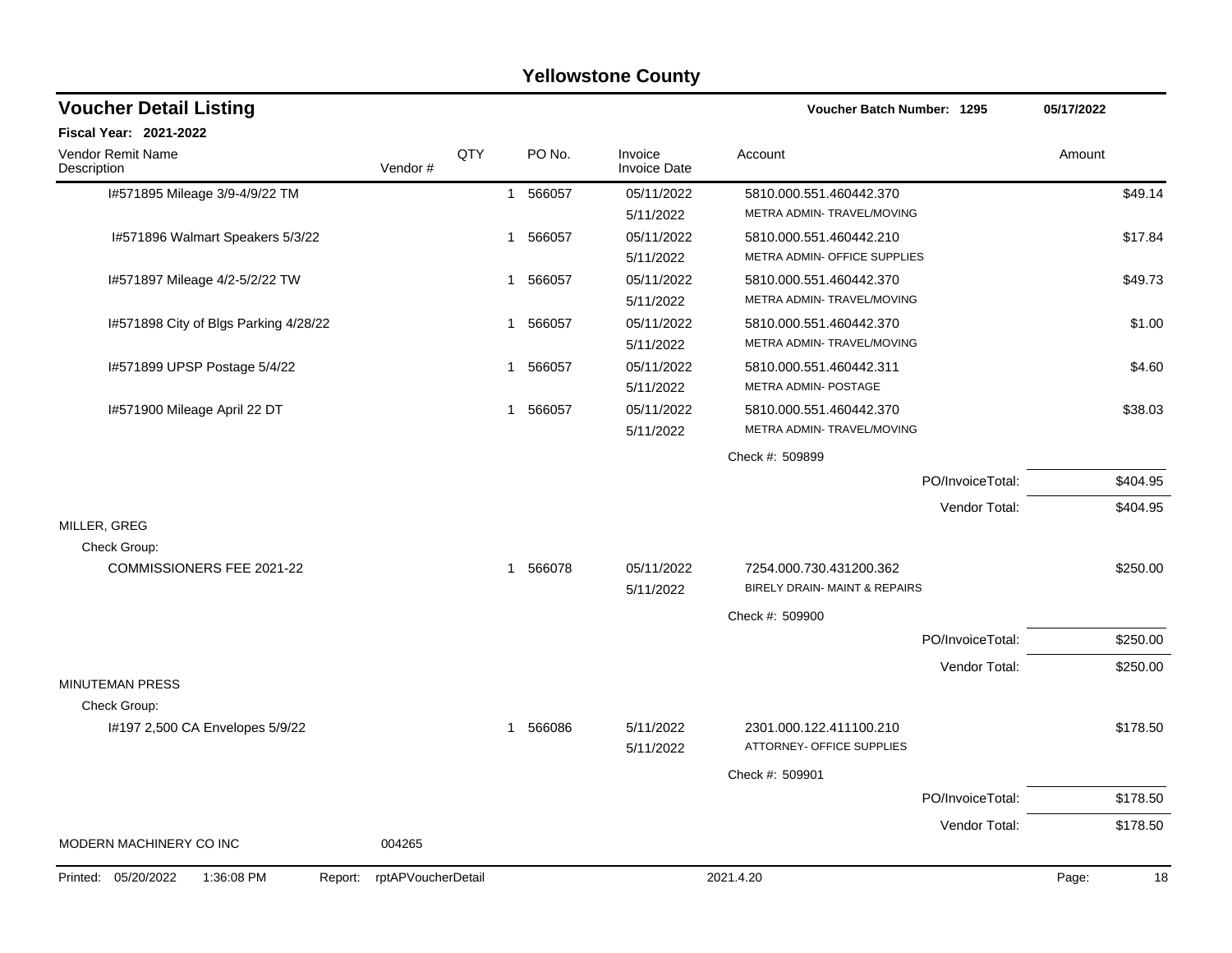|                                              |                    |     |        | <b>Yellowstone County</b>      |                               |                  |             |
|----------------------------------------------|--------------------|-----|--------|--------------------------------|-------------------------------|------------------|-------------|
| <b>Voucher Detail Listing</b>                |                    |     |        |                                | Voucher Batch Number: 1295    |                  | 05/17/2022  |
| <b>Fiscal Year: 2021-2022</b>                |                    |     |        |                                |                               |                  |             |
| Vendor Remit Name<br>Description             | Vendor#            | QTY | PO No. | Invoice<br><b>Invoice Date</b> | Account                       |                  | Amount      |
| I#571895 Mileage 3/9-4/9/22 TM               |                    | 1   | 566057 | 05/11/2022                     | 5810.000.551.460442.370       |                  | \$49.14     |
|                                              |                    |     |        | 5/11/2022                      | METRA ADMIN- TRAVEL/MOVING    |                  |             |
| I#571896 Walmart Speakers 5/3/22             |                    | 1   | 566057 | 05/11/2022                     | 5810.000.551.460442.210       |                  | \$17.84     |
|                                              |                    |     |        | 5/11/2022                      | METRA ADMIN- OFFICE SUPPLIES  |                  |             |
| I#571897 Mileage 4/2-5/2/22 TW               |                    | 1   | 566057 | 05/11/2022                     | 5810.000.551.460442.370       |                  | \$49.73     |
|                                              |                    |     |        | 5/11/2022                      | METRA ADMIN- TRAVEL/MOVING    |                  |             |
| I#571898 City of Blgs Parking 4/28/22        |                    | 1   | 566057 | 05/11/2022                     | 5810.000.551.460442.370       |                  | \$1.00      |
|                                              |                    |     |        | 5/11/2022                      | METRA ADMIN-TRAVEL/MOVING     |                  |             |
| I#571899 UPSP Postage 5/4/22                 |                    | 1   | 566057 | 05/11/2022                     | 5810.000.551.460442.311       |                  | \$4.60      |
|                                              |                    |     |        | 5/11/2022                      | <b>METRA ADMIN- POSTAGE</b>   |                  |             |
| I#571900 Mileage April 22 DT                 |                    | 1   | 566057 | 05/11/2022                     | 5810.000.551.460442.370       |                  | \$38.03     |
|                                              |                    |     |        | 5/11/2022                      | METRA ADMIN-TRAVEL/MOVING     |                  |             |
|                                              |                    |     |        |                                | Check #: 509899               |                  |             |
|                                              |                    |     |        |                                |                               | PO/InvoiceTotal: | \$404.95    |
|                                              |                    |     |        |                                |                               | Vendor Total:    | \$404.95    |
| MILLER, GREG                                 |                    |     |        |                                |                               |                  |             |
| Check Group:                                 |                    |     |        |                                |                               |                  |             |
| COMMISSIONERS FEE 2021-22                    |                    | 1   | 566078 | 05/11/2022                     | 7254.000.730.431200.362       |                  | \$250.00    |
|                                              |                    |     |        | 5/11/2022                      | BIRELY DRAIN- MAINT & REPAIRS |                  |             |
|                                              |                    |     |        |                                | Check #: 509900               |                  |             |
|                                              |                    |     |        |                                |                               | PO/InvoiceTotal: | \$250.00    |
|                                              |                    |     |        |                                |                               | Vendor Total:    | \$250.00    |
| <b>MINUTEMAN PRESS</b>                       |                    |     |        |                                |                               |                  |             |
| Check Group:                                 |                    |     |        |                                |                               |                  |             |
| I#197 2,500 CA Envelopes 5/9/22              |                    | 1   | 566086 | 5/11/2022                      | 2301.000.122.411100.210       |                  | \$178.50    |
|                                              |                    |     |        | 5/11/2022                      | ATTORNEY- OFFICE SUPPLIES     |                  |             |
|                                              |                    |     |        |                                | Check #: 509901               |                  |             |
|                                              |                    |     |        |                                |                               | PO/InvoiceTotal: | \$178.50    |
|                                              |                    |     |        |                                |                               | Vendor Total:    | \$178.50    |
| MODERN MACHINERY CO INC                      | 004265             |     |        |                                |                               |                  |             |
| Printed: 05/20/2022<br>1:36:08 PM<br>Report: | rptAPVoucherDetail |     |        |                                | 2021.4.20                     |                  | Page:<br>18 |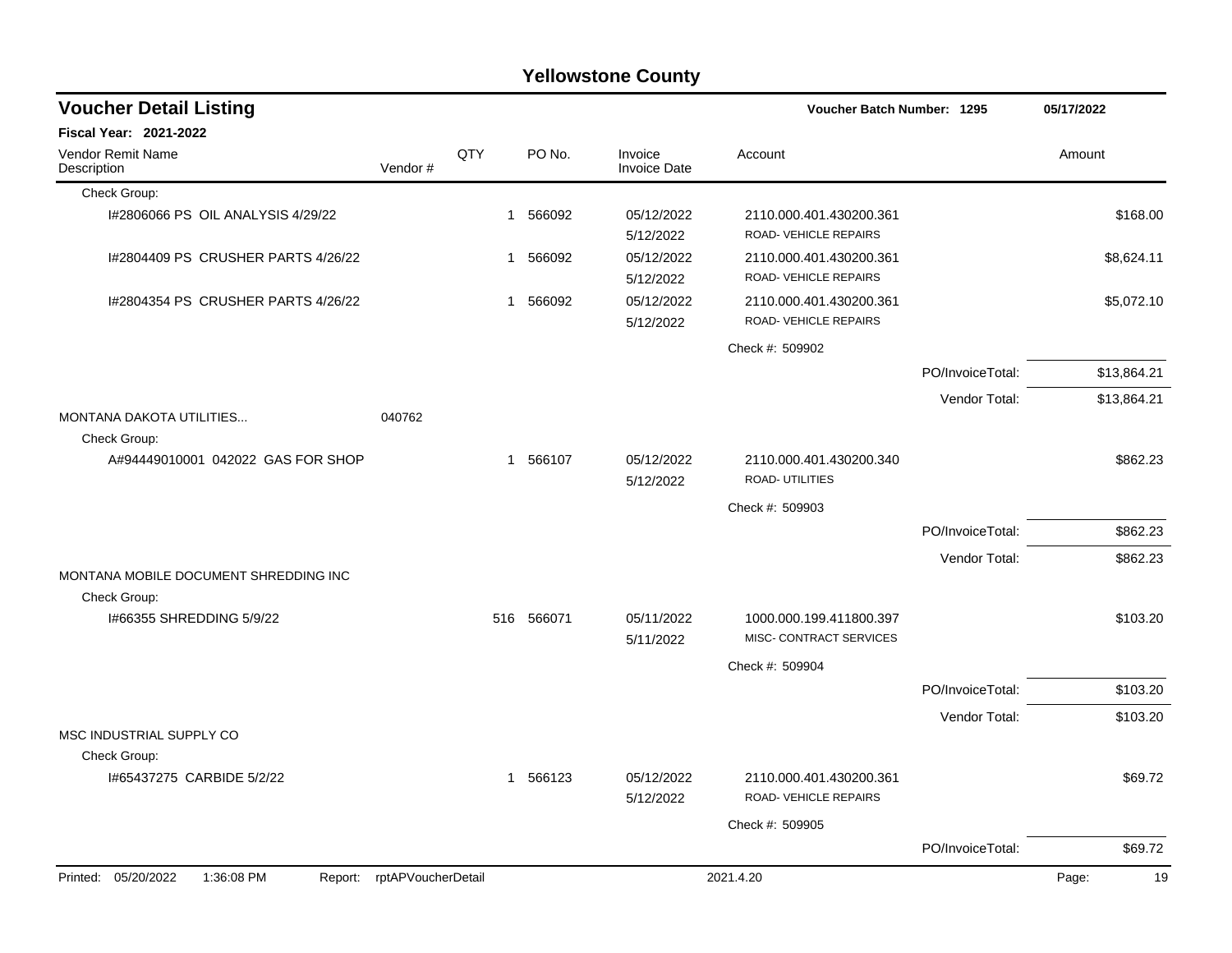| <b>Yellowstone County</b>                 |                            |     |             |                                |                                                    |                  |             |  |  |  |
|-------------------------------------------|----------------------------|-----|-------------|--------------------------------|----------------------------------------------------|------------------|-------------|--|--|--|
| <b>Voucher Detail Listing</b>             |                            |     |             |                                | Voucher Batch Number: 1295                         |                  | 05/17/2022  |  |  |  |
| Fiscal Year: 2021-2022                    |                            |     |             |                                |                                                    |                  |             |  |  |  |
| Vendor Remit Name<br>Description          | Vendor#                    | QTY | PO No.      | Invoice<br><b>Invoice Date</b> | Account                                            |                  | Amount      |  |  |  |
| Check Group:                              |                            |     |             |                                |                                                    |                  |             |  |  |  |
| 1#2806066 PS OIL ANALYSIS 4/29/22         |                            |     | 566092<br>1 | 05/12/2022<br>5/12/2022        | 2110.000.401.430200.361<br>ROAD-VEHICLE REPAIRS    |                  | \$168.00    |  |  |  |
| I#2804409 PS CRUSHER PARTS 4/26/22        |                            | 1   | 566092      | 05/12/2022<br>5/12/2022        | 2110.000.401.430200.361<br>ROAD-VEHICLE REPAIRS    |                  | \$8,624.11  |  |  |  |
| 1#2804354 PS CRUSHER PARTS 4/26/22        |                            |     | 1 566092    | 05/12/2022<br>5/12/2022        | 2110.000.401.430200.361<br>ROAD-VEHICLE REPAIRS    |                  | \$5,072.10  |  |  |  |
|                                           |                            |     |             |                                | Check #: 509902                                    |                  |             |  |  |  |
|                                           |                            |     |             |                                |                                                    | PO/InvoiceTotal: | \$13,864.21 |  |  |  |
| MONTANA DAKOTA UTILITIES                  | 040762                     |     |             |                                |                                                    | Vendor Total:    | \$13,864.21 |  |  |  |
| Check Group:                              |                            |     |             |                                |                                                    |                  |             |  |  |  |
| A#94449010001 042022 GAS FOR SHOP         |                            |     | 1 566107    | 05/12/2022<br>5/12/2022        | 2110.000.401.430200.340<br><b>ROAD- UTILITIES</b>  |                  | \$862.23    |  |  |  |
|                                           |                            |     |             |                                | Check #: 509903                                    |                  |             |  |  |  |
|                                           |                            |     |             |                                |                                                    | PO/InvoiceTotal: | \$862.23    |  |  |  |
|                                           |                            |     |             |                                |                                                    | Vendor Total:    | \$862.23    |  |  |  |
| MONTANA MOBILE DOCUMENT SHREDDING INC     |                            |     |             |                                |                                                    |                  |             |  |  |  |
| Check Group:                              |                            |     |             |                                |                                                    |                  |             |  |  |  |
| 1#66355 SHREDDING 5/9/22                  |                            |     | 516 566071  | 05/11/2022<br>5/11/2022        | 1000.000.199.411800.397<br>MISC- CONTRACT SERVICES |                  | \$103.20    |  |  |  |
|                                           |                            |     |             |                                | Check #: 509904                                    |                  |             |  |  |  |
|                                           |                            |     |             |                                |                                                    | PO/InvoiceTotal: | \$103.20    |  |  |  |
|                                           |                            |     |             |                                |                                                    | Vendor Total:    | \$103.20    |  |  |  |
| MSC INDUSTRIAL SUPPLY CO                  |                            |     |             |                                |                                                    |                  |             |  |  |  |
| Check Group:<br>I#65437275 CARBIDE 5/2/22 |                            |     | 1 566123    | 05/12/2022<br>5/12/2022        | 2110.000.401.430200.361<br>ROAD-VEHICLE REPAIRS    |                  | \$69.72     |  |  |  |
|                                           |                            |     |             |                                | Check #: 509905                                    |                  |             |  |  |  |
|                                           |                            |     |             |                                |                                                    | PO/InvoiceTotal: | \$69.72     |  |  |  |
| 1:36:08 PM<br>Printed: 05/20/2022         | Report: rptAPVoucherDetail |     |             |                                | 2021.4.20                                          |                  | Page:<br>19 |  |  |  |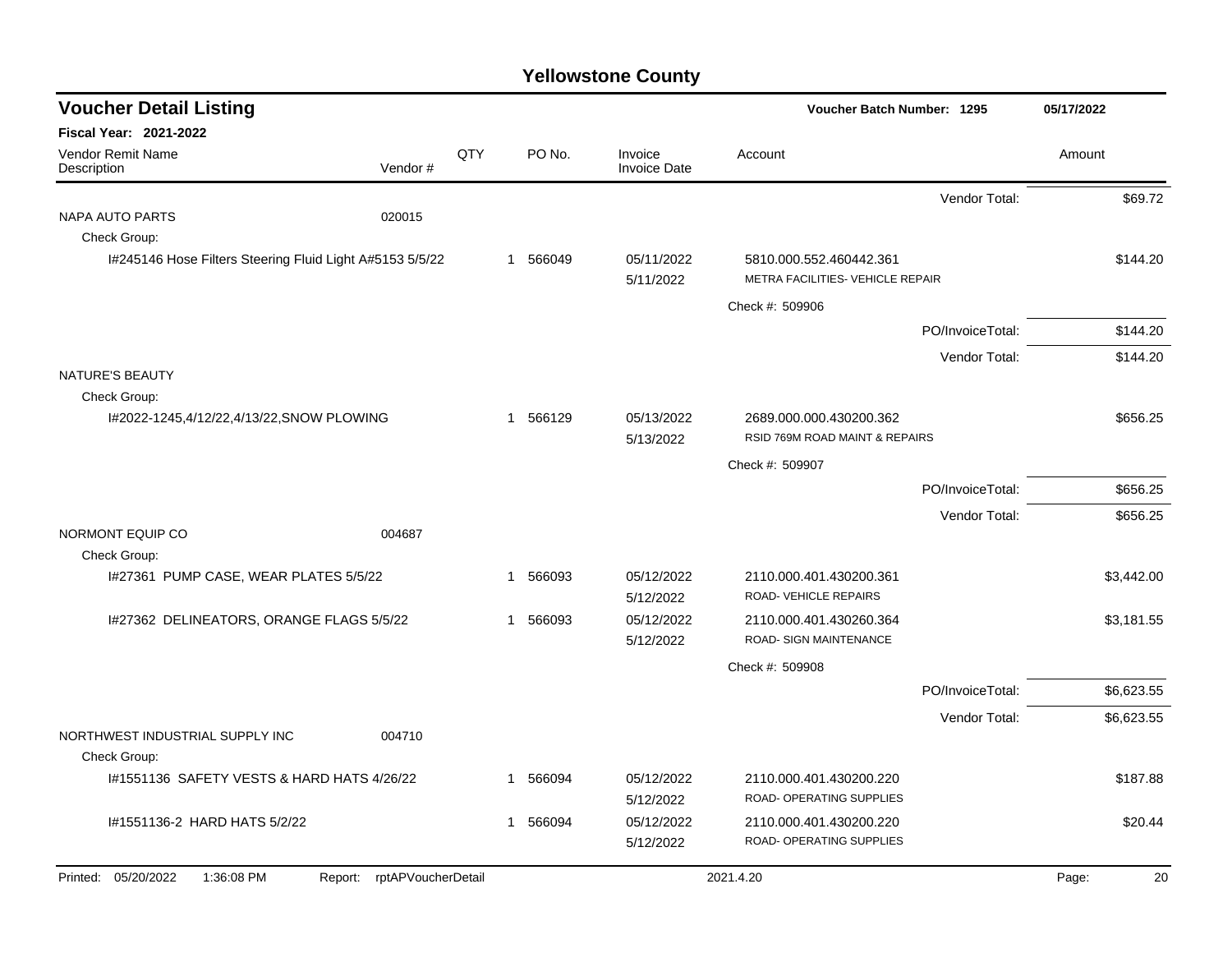| <b>Voucher Detail Listing</b>                            |                            |     |              |                                | <b>Voucher Batch Number: 1295</b>                           |                  | 05/17/2022  |
|----------------------------------------------------------|----------------------------|-----|--------------|--------------------------------|-------------------------------------------------------------|------------------|-------------|
| <b>Fiscal Year: 2021-2022</b>                            |                            |     |              |                                |                                                             |                  |             |
| Vendor Remit Name<br>Description                         | Vendor#                    | QTY | PO No.       | Invoice<br><b>Invoice Date</b> | Account                                                     |                  | Amount      |
|                                                          |                            |     |              |                                |                                                             | Vendor Total:    | \$69.72     |
| NAPA AUTO PARTS                                          | 020015                     |     |              |                                |                                                             |                  |             |
| Check Group:                                             |                            |     |              |                                |                                                             |                  |             |
| I#245146 Hose Filters Steering Fluid Light A#5153 5/5/22 |                            |     | 1 566049     | 05/11/2022<br>5/11/2022        | 5810.000.552.460442.361<br>METRA FACILITIES- VEHICLE REPAIR |                  | \$144.20    |
|                                                          |                            |     |              |                                | Check #: 509906                                             |                  |             |
|                                                          |                            |     |              |                                |                                                             | PO/InvoiceTotal: | \$144.20    |
|                                                          |                            |     |              |                                |                                                             | Vendor Total:    | \$144.20    |
| <b>NATURE'S BEAUTY</b>                                   |                            |     |              |                                |                                                             |                  |             |
| Check Group:                                             |                            |     |              |                                |                                                             |                  |             |
| I#2022-1245,4/12/22,4/13/22,SNOW PLOWING                 |                            |     | 566129<br>1  | 05/13/2022<br>5/13/2022        | 2689.000.000.430200.362<br>RSID 769M ROAD MAINT & REPAIRS   |                  | \$656.25    |
|                                                          |                            |     |              |                                | Check #: 509907                                             |                  |             |
|                                                          |                            |     |              |                                |                                                             | PO/InvoiceTotal: | \$656.25    |
|                                                          |                            |     |              |                                |                                                             | Vendor Total:    | \$656.25    |
| NORMONT EQUIP CO<br>Check Group:                         | 004687                     |     |              |                                |                                                             |                  |             |
| I#27361 PUMP CASE, WEAR PLATES 5/5/22                    |                            |     | 1 566093     | 05/12/2022<br>5/12/2022        | 2110.000.401.430200.361<br>ROAD-VEHICLE REPAIRS             |                  | \$3,442.00  |
| I#27362 DELINEATORS, ORANGE FLAGS 5/5/22                 |                            |     | 1 566093     | 05/12/2022                     | 2110.000.401.430260.364                                     |                  | \$3.181.55  |
|                                                          |                            |     |              | 5/12/2022                      | ROAD- SIGN MAINTENANCE                                      |                  |             |
|                                                          |                            |     |              |                                | Check #: 509908                                             |                  |             |
|                                                          |                            |     |              |                                |                                                             | PO/InvoiceTotal: | \$6,623.55  |
|                                                          |                            |     |              |                                |                                                             | Vendor Total:    | \$6,623.55  |
| NORTHWEST INDUSTRIAL SUPPLY INC<br>Check Group:          | 004710                     |     |              |                                |                                                             |                  |             |
| 1#1551136 SAFETY VESTS & HARD HATS 4/26/22               |                            |     | 566094<br>-1 | 05/12/2022<br>5/12/2022        | 2110.000.401.430200.220<br>ROAD- OPERATING SUPPLIES         |                  | \$187.88    |
| #1551136-2 HARD HATS 5/2/22                              |                            |     | 566094       | 05/12/2022                     | 2110.000.401.430200.220                                     |                  | \$20.44     |
|                                                          |                            |     |              | 5/12/2022                      | ROAD- OPERATING SUPPLIES                                    |                  |             |
| Printed: 05/20/2022<br>1:36:08 PM                        | Report: rptAPVoucherDetail |     |              |                                | 2021.4.20                                                   |                  | 20<br>Page: |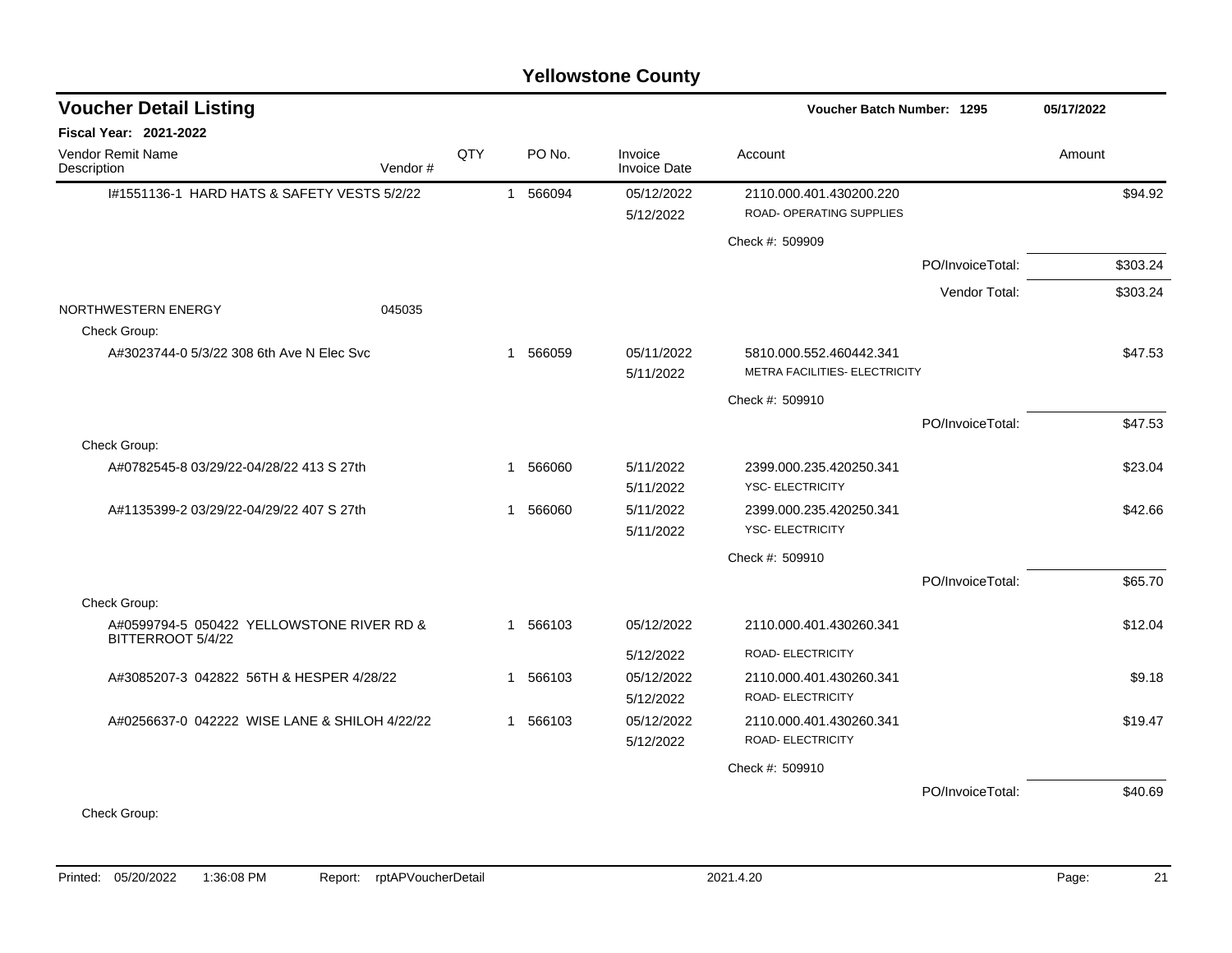| <b>Voucher Detail Listing</b>                                  |         |     |              |          |                                |                                                     | Voucher Batch Number: 1295 |          |  |
|----------------------------------------------------------------|---------|-----|--------------|----------|--------------------------------|-----------------------------------------------------|----------------------------|----------|--|
| <b>Fiscal Year: 2021-2022</b>                                  |         |     |              |          |                                |                                                     |                            |          |  |
| Vendor Remit Name<br>Description                               | Vendor# | QTY |              | PO No.   | Invoice<br><b>Invoice Date</b> | Account                                             |                            | Amount   |  |
| #1551136-1 HARD HATS & SAFETY VESTS 5/2/22                     |         |     | $\mathbf{1}$ | 566094   | 05/12/2022<br>5/12/2022        | 2110.000.401.430200.220<br>ROAD- OPERATING SUPPLIES |                            | \$94.92  |  |
|                                                                |         |     |              |          |                                | Check #: 509909                                     |                            |          |  |
|                                                                |         |     |              |          |                                |                                                     | PO/InvoiceTotal:           | \$303.24 |  |
|                                                                |         |     |              |          |                                |                                                     | Vendor Total:              | \$303.24 |  |
| NORTHWESTERN ENERGY<br>Check Group:                            | 045035  |     |              |          |                                |                                                     |                            |          |  |
| A#3023744-0 5/3/22 308 6th Ave N Elec Svc                      |         |     |              | 1 566059 | 05/11/2022                     | 5810.000.552.460442.341                             |                            | \$47.53  |  |
|                                                                |         |     |              |          | 5/11/2022                      | METRA FACILITIES- ELECTRICITY                       |                            |          |  |
|                                                                |         |     |              |          |                                | Check #: 509910                                     |                            |          |  |
|                                                                |         |     |              |          |                                |                                                     | PO/InvoiceTotal:           | \$47.53  |  |
| Check Group:                                                   |         |     |              |          |                                |                                                     |                            |          |  |
| A#0782545-8 03/29/22-04/28/22 413 S 27th                       |         |     | $\mathbf{1}$ | 566060   | 5/11/2022<br>5/11/2022         | 2399.000.235.420250.341<br><b>YSC- ELECTRICITY</b>  |                            | \$23.04  |  |
| A#1135399-2 03/29/22-04/29/22 407 S 27th                       |         |     | $\mathbf{1}$ | 566060   | 5/11/2022                      | 2399.000.235.420250.341                             |                            | \$42.66  |  |
|                                                                |         |     |              |          | 5/11/2022                      | <b>YSC- ELECTRICITY</b>                             |                            |          |  |
|                                                                |         |     |              |          |                                | Check #: 509910                                     |                            |          |  |
|                                                                |         |     |              |          |                                |                                                     | PO/InvoiceTotal:           | \$65.70  |  |
| Check Group:                                                   |         |     |              |          |                                |                                                     |                            |          |  |
| A#0599794-5 050422 YELLOWSTONE RIVER RD &<br>BITTERROOT 5/4/22 |         |     |              | 1 566103 | 05/12/2022                     | 2110.000.401.430260.341                             |                            | \$12.04  |  |
|                                                                |         |     |              |          | 5/12/2022                      | <b>ROAD- ELECTRICITY</b>                            |                            |          |  |
| A#3085207-3 042822 56TH & HESPER 4/28/22                       |         |     |              | 1 566103 | 05/12/2022                     | 2110.000.401.430260.341                             |                            | \$9.18   |  |
|                                                                |         |     |              |          | 5/12/2022                      | <b>ROAD- ELECTRICITY</b>                            |                            |          |  |
| A#0256637-0 042222 WISE LANE & SHILOH 4/22/22                  |         |     |              | 1 566103 | 05/12/2022                     | 2110.000.401.430260.341                             |                            | \$19.47  |  |
|                                                                |         |     |              |          | 5/12/2022                      | <b>ROAD- ELECTRICITY</b>                            |                            |          |  |
|                                                                |         |     |              |          |                                | Check #: 509910                                     |                            |          |  |
|                                                                |         |     |              |          |                                |                                                     | PO/InvoiceTotal:           | \$40.69  |  |
| Check Group:                                                   |         |     |              |          |                                |                                                     |                            |          |  |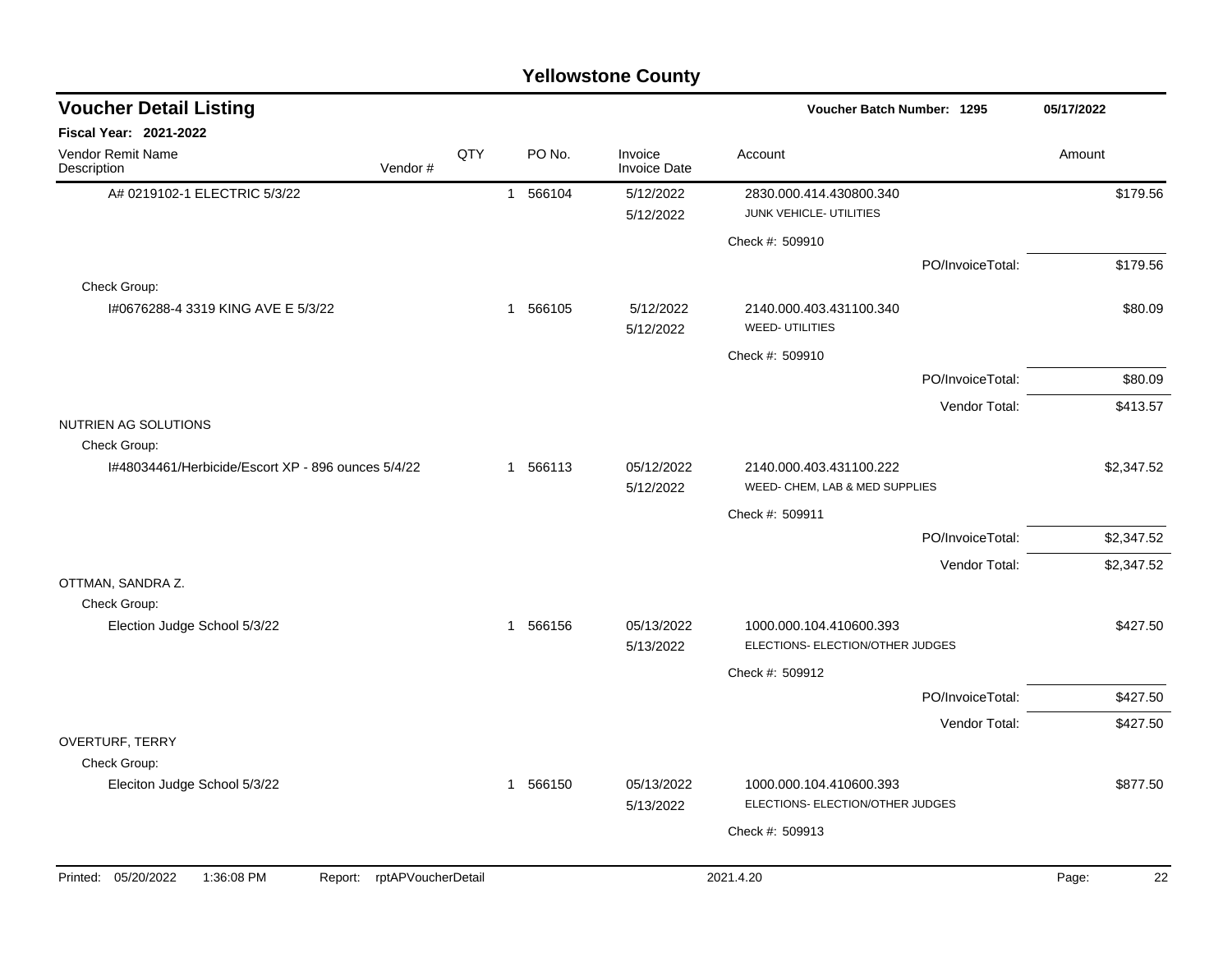| <b>Voucher Detail Listing</b>                      |                    |              |          |                                | Voucher Batch Number: 1295                                  | 05/17/2022       |             |
|----------------------------------------------------|--------------------|--------------|----------|--------------------------------|-------------------------------------------------------------|------------------|-------------|
| <b>Fiscal Year: 2021-2022</b>                      |                    |              |          |                                |                                                             |                  |             |
| Vendor Remit Name<br>Vendor#<br>Description        | QTY                |              | PO No.   | Invoice<br><b>Invoice Date</b> | Account                                                     |                  | Amount      |
| A# 0219102-1 ELECTRIC 5/3/22                       |                    |              | 1 566104 | 5/12/2022<br>5/12/2022         | 2830.000.414.430800.340<br>JUNK VEHICLE- UTILITIES          |                  | \$179.56    |
|                                                    |                    |              |          |                                | Check #: 509910                                             |                  |             |
|                                                    |                    |              |          |                                |                                                             | PO/InvoiceTotal: | \$179.56    |
| Check Group:                                       |                    |              |          |                                |                                                             |                  |             |
| I#0676288-4 3319 KING AVE E 5/3/22                 |                    |              | 1 566105 | 5/12/2022<br>5/12/2022         | 2140.000.403.431100.340<br><b>WEED- UTILITIES</b>           |                  | \$80.09     |
|                                                    |                    |              |          |                                | Check #: 509910                                             |                  |             |
|                                                    |                    |              |          |                                |                                                             | PO/InvoiceTotal: | \$80.09     |
|                                                    |                    |              |          |                                |                                                             | Vendor Total:    | \$413.57    |
| NUTRIEN AG SOLUTIONS<br>Check Group:               |                    |              |          |                                |                                                             |                  |             |
| 1#48034461/Herbicide/Escort XP - 896 ounces 5/4/22 |                    | $\mathbf{1}$ | 566113   | 05/12/2022<br>5/12/2022        | 2140.000.403.431100.222<br>WEED- CHEM, LAB & MED SUPPLIES   |                  | \$2,347.52  |
|                                                    |                    |              |          |                                | Check #: 509911                                             |                  |             |
|                                                    |                    |              |          |                                |                                                             | PO/InvoiceTotal: | \$2,347.52  |
|                                                    |                    |              |          |                                |                                                             | Vendor Total:    | \$2,347.52  |
| OTTMAN, SANDRA Z.                                  |                    |              |          |                                |                                                             |                  |             |
| Check Group:                                       |                    |              |          |                                |                                                             |                  |             |
| Election Judge School 5/3/22                       |                    | $\mathbf 1$  | 566156   | 05/13/2022<br>5/13/2022        | 1000.000.104.410600.393<br>ELECTIONS- ELECTION/OTHER JUDGES |                  | \$427.50    |
|                                                    |                    |              |          |                                | Check #: 509912                                             |                  |             |
|                                                    |                    |              |          |                                |                                                             | PO/InvoiceTotal: | \$427.50    |
|                                                    |                    |              |          |                                |                                                             | Vendor Total:    | \$427.50    |
| OVERTURF, TERRY                                    |                    |              |          |                                |                                                             |                  |             |
| Check Group:                                       |                    |              |          |                                |                                                             |                  |             |
| Eleciton Judge School 5/3/22                       |                    | $\mathbf{1}$ | 566150   | 05/13/2022<br>5/13/2022        | 1000.000.104.410600.393<br>ELECTIONS- ELECTION/OTHER JUDGES |                  | \$877.50    |
|                                                    |                    |              |          |                                |                                                             |                  |             |
|                                                    |                    |              |          |                                | Check #: 509913                                             |                  |             |
| Printed: 05/20/2022<br>1:36:08 PM<br>Report:       | rptAPVoucherDetail |              |          |                                | 2021.4.20                                                   |                  | Page:<br>22 |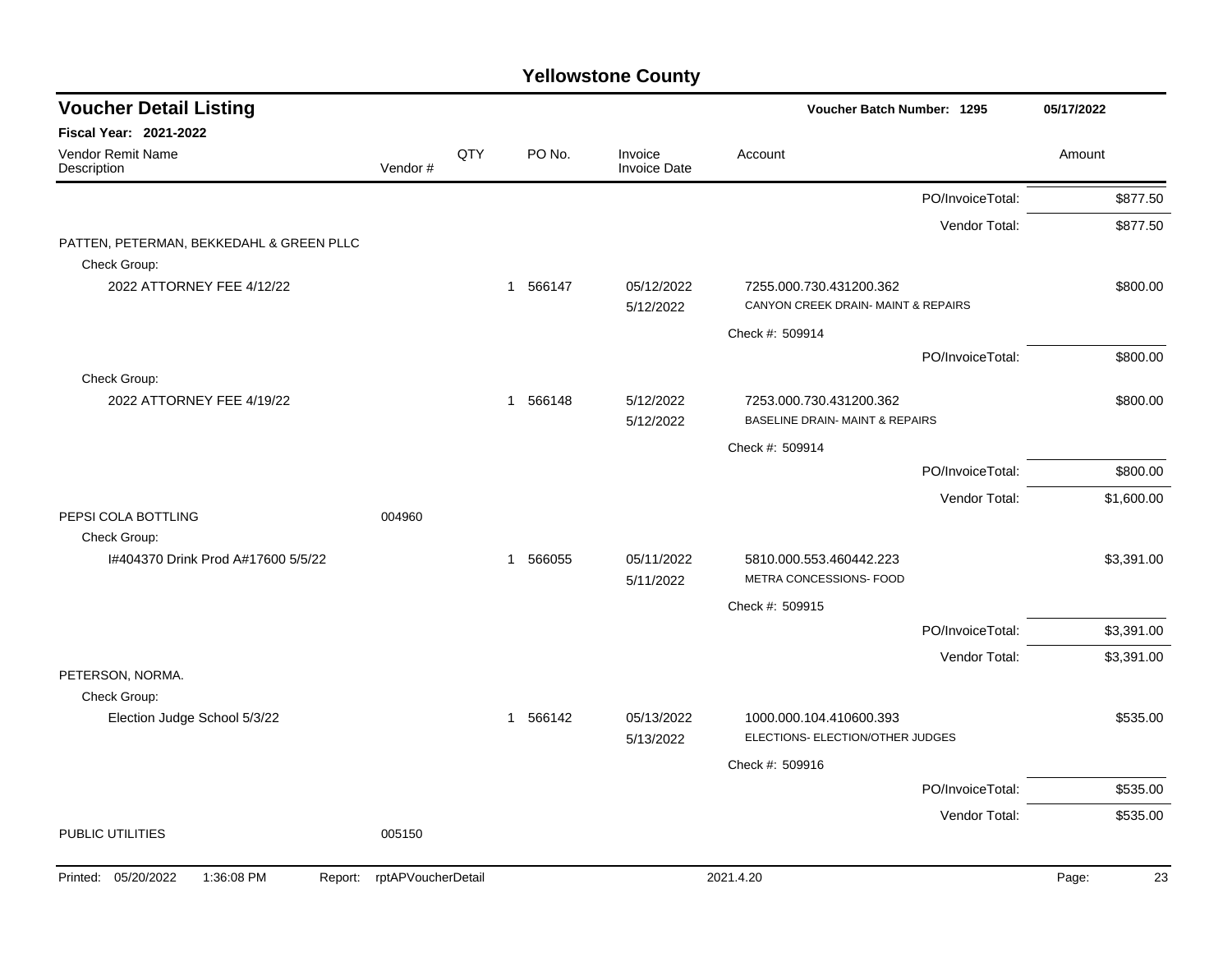| <b>Voucher Detail Listing</b>                            |                    |     |             |                                | Voucher Batch Number: 1295                                            |                  | 05/17/2022 |            |
|----------------------------------------------------------|--------------------|-----|-------------|--------------------------------|-----------------------------------------------------------------------|------------------|------------|------------|
| Fiscal Year: 2021-2022                                   |                    |     |             |                                |                                                                       |                  |            |            |
| Vendor Remit Name<br>Description                         | Vendor#            | QTY | PO No.      | Invoice<br><b>Invoice Date</b> | Account                                                               |                  | Amount     |            |
|                                                          |                    |     |             |                                |                                                                       | PO/InvoiceTotal: |            | \$877.50   |
| PATTEN, PETERMAN, BEKKEDAHL & GREEN PLLC<br>Check Group: |                    |     |             |                                |                                                                       | Vendor Total:    |            | \$877.50   |
| 2022 ATTORNEY FEE 4/12/22                                |                    |     | 1 566147    | 05/12/2022<br>5/12/2022        | 7255.000.730.431200.362<br>CANYON CREEK DRAIN- MAINT & REPAIRS        |                  |            | \$800.00   |
|                                                          |                    |     |             |                                | Check #: 509914                                                       |                  |            |            |
| Check Group:                                             |                    |     |             |                                |                                                                       | PO/InvoiceTotal: |            | \$800.00   |
| 2022 ATTORNEY FEE 4/19/22                                |                    |     | 1 566148    | 5/12/2022<br>5/12/2022         | 7253.000.730.431200.362<br><b>BASELINE DRAIN- MAINT &amp; REPAIRS</b> |                  |            | \$800.00   |
|                                                          |                    |     |             |                                | Check #: 509914                                                       |                  |            |            |
|                                                          |                    |     |             |                                |                                                                       | PO/InvoiceTotal: |            | \$800.00   |
|                                                          |                    |     |             |                                |                                                                       | Vendor Total:    |            | \$1,600.00 |
| PEPSI COLA BOTTLING<br>Check Group:                      | 004960             |     |             |                                |                                                                       |                  |            |            |
| I#404370 Drink Prod A#17600 5/5/22                       |                    |     | 566055<br>1 | 05/11/2022<br>5/11/2022        | 5810.000.553.460442.223<br>METRA CONCESSIONS- FOOD                    |                  |            | \$3,391.00 |
|                                                          |                    |     |             |                                | Check #: 509915                                                       |                  |            |            |
|                                                          |                    |     |             |                                |                                                                       | PO/InvoiceTotal: |            | \$3,391.00 |
| PETERSON, NORMA.                                         |                    |     |             |                                |                                                                       | Vendor Total:    |            | \$3,391.00 |
| Check Group:                                             |                    |     |             |                                |                                                                       |                  |            |            |
| Election Judge School 5/3/22                             |                    |     | 1 566142    | 05/13/2022<br>5/13/2022        | 1000.000.104.410600.393<br>ELECTIONS- ELECTION/OTHER JUDGES           |                  |            | \$535.00   |
|                                                          |                    |     |             |                                | Check #: 509916                                                       |                  |            |            |
|                                                          |                    |     |             |                                |                                                                       | PO/InvoiceTotal: |            | \$535.00   |
| PUBLIC UTILITIES                                         | 005150             |     |             |                                |                                                                       | Vendor Total:    |            | \$535.00   |
| Printed: 05/20/2022<br>1:36:08 PM<br>Report:             | rptAPVoucherDetail |     |             |                                | 2021.4.20                                                             |                  | Page:      | 23         |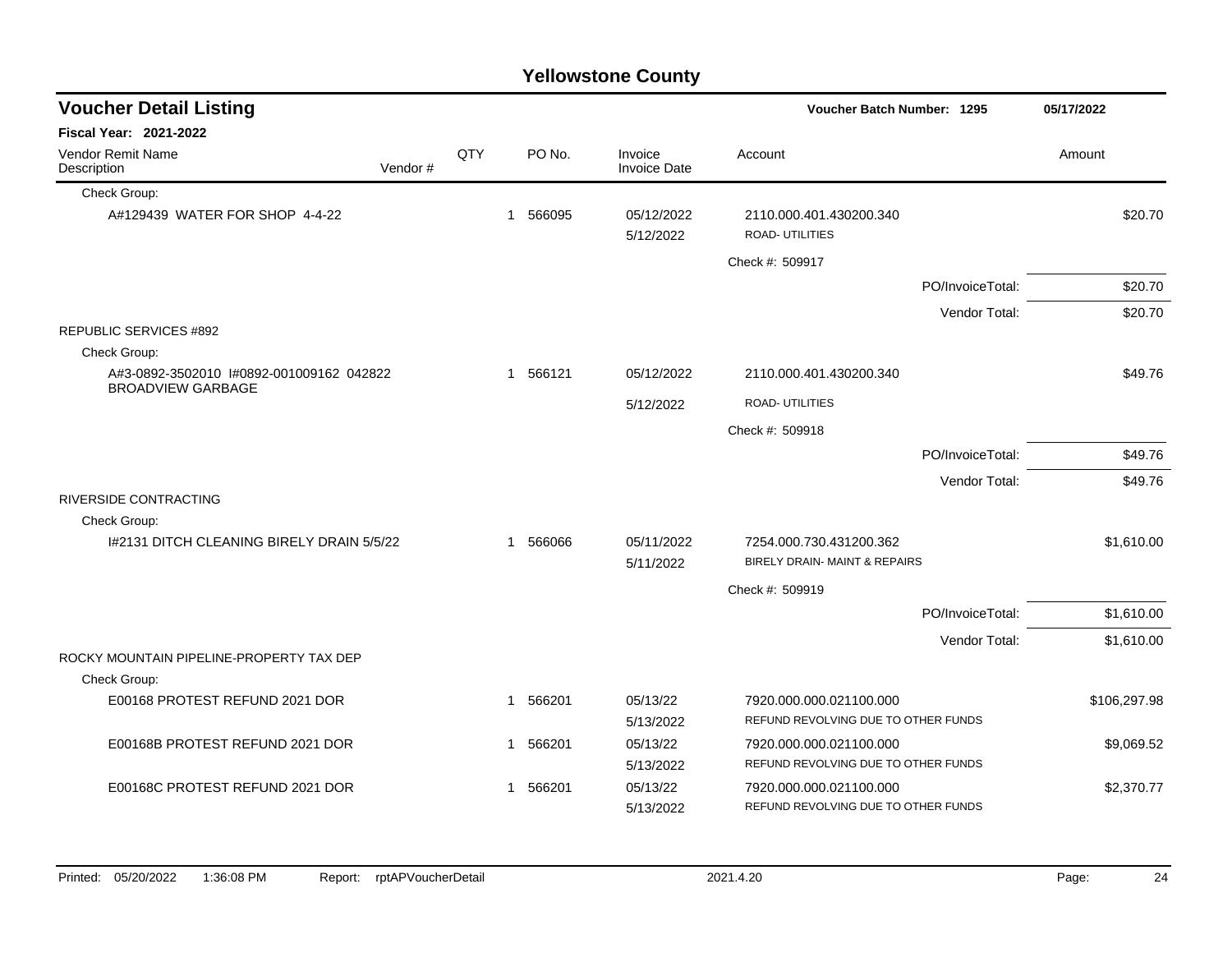|                                                          |         |     |                |        | <b>Yellowstone County</b>      |                                                                |                  |              |
|----------------------------------------------------------|---------|-----|----------------|--------|--------------------------------|----------------------------------------------------------------|------------------|--------------|
| <b>Voucher Detail Listing</b>                            |         |     |                |        |                                | Voucher Batch Number: 1295                                     |                  | 05/17/2022   |
| <b>Fiscal Year: 2021-2022</b>                            |         |     |                |        |                                |                                                                |                  |              |
| Vendor Remit Name<br>Description                         | Vendor# | QTY |                | PO No. | Invoice<br><b>Invoice Date</b> | Account                                                        |                  | Amount       |
| Check Group:                                             |         |     |                |        |                                |                                                                |                  |              |
| A#129439 WATER FOR SHOP 4-4-22                           |         |     | $\overline{1}$ | 566095 | 05/12/2022<br>5/12/2022        | 2110.000.401.430200.340<br><b>ROAD- UTILITIES</b>              |                  | \$20.70      |
|                                                          |         |     |                |        |                                | Check #: 509917                                                |                  |              |
|                                                          |         |     |                |        |                                |                                                                | PO/InvoiceTotal: | \$20.70      |
|                                                          |         |     |                |        |                                |                                                                | Vendor Total:    | \$20.70      |
| <b>REPUBLIC SERVICES #892</b><br>Check Group:            |         |     |                |        |                                |                                                                |                  |              |
| A#3-0892-3502010 #0892-001009162 042822                  |         |     | $\mathbf 1$    | 566121 | 05/12/2022                     | 2110.000.401.430200.340                                        |                  | \$49.76      |
| <b>BROADVIEW GARBAGE</b>                                 |         |     |                |        | 5/12/2022                      | <b>ROAD- UTILITIES</b>                                         |                  |              |
|                                                          |         |     |                |        |                                | Check #: 509918                                                |                  |              |
|                                                          |         |     |                |        |                                |                                                                | PO/InvoiceTotal: | \$49.76      |
|                                                          |         |     |                |        |                                |                                                                | Vendor Total:    | \$49.76      |
| RIVERSIDE CONTRACTING<br>Check Group:                    |         |     |                |        |                                |                                                                |                  |              |
| 1#2131 DITCH CLEANING BIRELY DRAIN 5/5/22                |         |     | 1              | 566066 | 05/11/2022<br>5/11/2022        | 7254.000.730.431200.362<br>BIRELY DRAIN- MAINT & REPAIRS       |                  | \$1,610.00   |
|                                                          |         |     |                |        |                                | Check #: 509919                                                |                  |              |
|                                                          |         |     |                |        |                                |                                                                | PO/InvoiceTotal: | \$1,610.00   |
|                                                          |         |     |                |        |                                |                                                                | Vendor Total:    | \$1,610.00   |
| ROCKY MOUNTAIN PIPELINE-PROPERTY TAX DEP<br>Check Group: |         |     |                |        |                                |                                                                |                  |              |
| E00168 PROTEST REFUND 2021 DOR                           |         |     | $\mathbf 1$    | 566201 | 05/13/22                       | 7920.000.000.021100.000                                        |                  | \$106,297.98 |
|                                                          |         |     |                |        | 5/13/2022                      | REFUND REVOLVING DUE TO OTHER FUNDS                            |                  |              |
| E00168B PROTEST REFUND 2021 DOR                          |         |     | 1              | 566201 | 05/13/22                       | 7920.000.000.021100.000                                        |                  | \$9,069.52   |
|                                                          |         |     |                |        | 5/13/2022                      | REFUND REVOLVING DUE TO OTHER FUNDS                            |                  |              |
| E00168C PROTEST REFUND 2021 DOR                          |         |     | $\mathbf 1$    | 566201 | 05/13/22<br>5/13/2022          | 7920.000.000.021100.000<br>REFUND REVOLVING DUE TO OTHER FUNDS |                  | \$2,370.77   |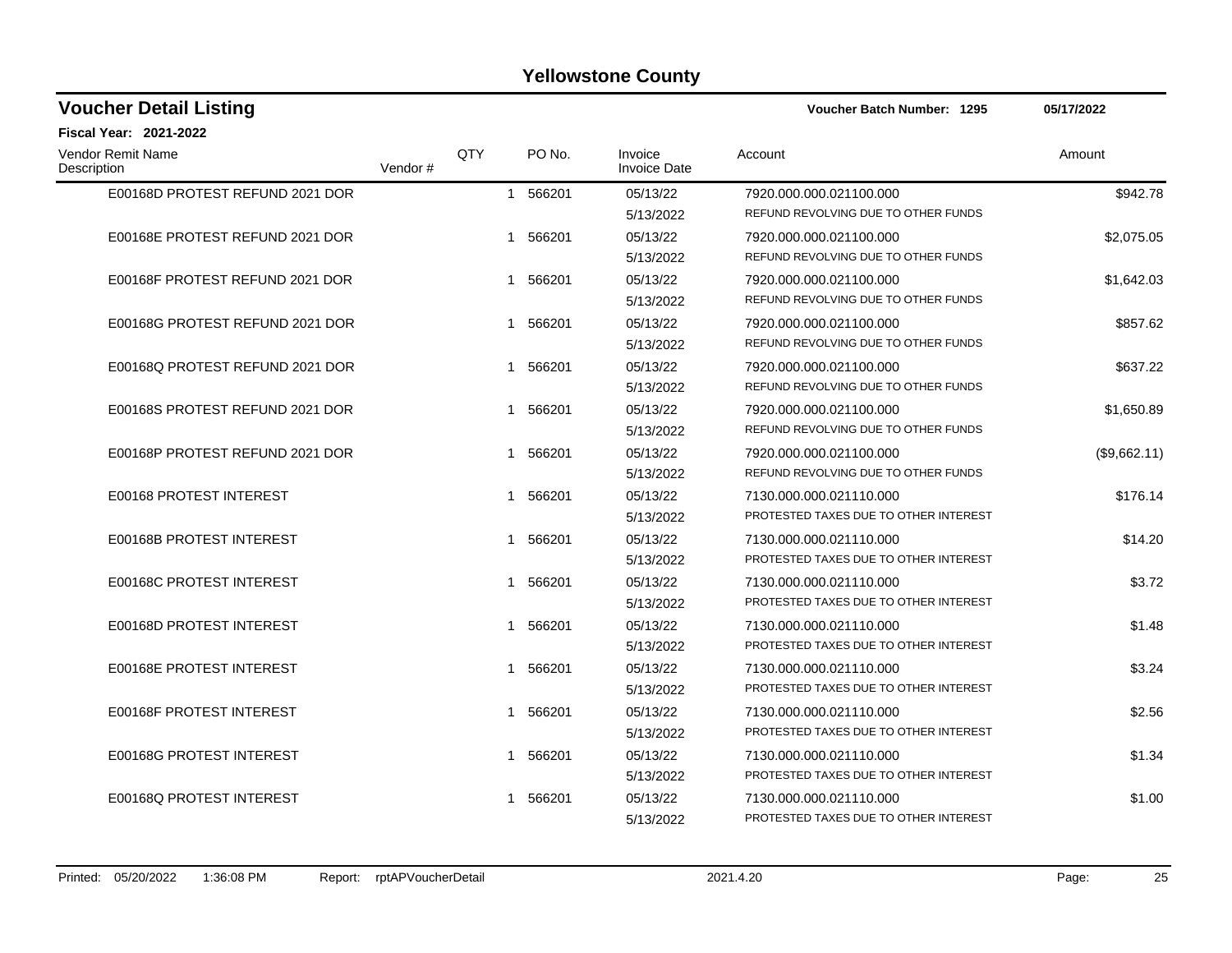| <b>Voucher Detail Listing</b>    |         |     |                       |                                | Voucher Batch Number: 1295                                       | 05/17/2022   |  |
|----------------------------------|---------|-----|-----------------------|--------------------------------|------------------------------------------------------------------|--------------|--|
| Fiscal Year: 2021-2022           |         |     |                       |                                |                                                                  |              |  |
| Vendor Remit Name<br>Description | Vendor# | QTY | PO No.                | Invoice<br><b>Invoice Date</b> | Account                                                          | Amount       |  |
| E00168D PROTEST REFUND 2021 DOR  |         |     | 1 566201              | 05/13/22<br>5/13/2022          | 7920.000.000.021100.000<br>REFUND REVOLVING DUE TO OTHER FUNDS   | \$942.78     |  |
| E00168E PROTEST REFUND 2021 DOR  |         |     | 566201<br>1           | 05/13/22<br>5/13/2022          | 7920.000.000.021100.000<br>REFUND REVOLVING DUE TO OTHER FUNDS   | \$2,075.05   |  |
| E00168F PROTEST REFUND 2021 DOR  |         |     | 566201<br>1           | 05/13/22<br>5/13/2022          | 7920.000.000.021100.000<br>REFUND REVOLVING DUE TO OTHER FUNDS   | \$1,642.03   |  |
| E00168G PROTEST REFUND 2021 DOR  |         |     | 566201<br>1           | 05/13/22<br>5/13/2022          | 7920.000.000.021100.000<br>REFUND REVOLVING DUE TO OTHER FUNDS   | \$857.62     |  |
| E00168Q PROTEST REFUND 2021 DOR  |         |     | 566201<br>$\mathbf 1$ | 05/13/22<br>5/13/2022          | 7920.000.000.021100.000<br>REFUND REVOLVING DUE TO OTHER FUNDS   | \$637.22     |  |
| E00168S PROTEST REFUND 2021 DOR  |         |     | 566201                | 05/13/22<br>5/13/2022          | 7920.000.000.021100.000<br>REFUND REVOLVING DUE TO OTHER FUNDS   | \$1,650.89   |  |
| E00168P PROTEST REFUND 2021 DOR  |         |     | 566201<br>1           | 05/13/22<br>5/13/2022          | 7920.000.000.021100.000<br>REFUND REVOLVING DUE TO OTHER FUNDS   | (\$9,662.11) |  |
| E00168 PROTEST INTEREST          |         |     | 566201<br>1           | 05/13/22<br>5/13/2022          | 7130.000.000.021110.000<br>PROTESTED TAXES DUE TO OTHER INTEREST | \$176.14     |  |
| E00168B PROTEST INTEREST         |         |     | 566201<br>1           | 05/13/22<br>5/13/2022          | 7130.000.000.021110.000<br>PROTESTED TAXES DUE TO OTHER INTEREST | \$14.20      |  |
| E00168C PROTEST INTEREST         |         |     | 566201<br>1           | 05/13/22<br>5/13/2022          | 7130.000.000.021110.000<br>PROTESTED TAXES DUE TO OTHER INTEREST | \$3.72       |  |
| E00168D PROTEST INTEREST         |         |     | 566201                | 05/13/22<br>5/13/2022          | 7130.000.000.021110.000<br>PROTESTED TAXES DUE TO OTHER INTEREST | \$1.48       |  |
| E00168E PROTEST INTEREST         |         |     | 566201<br>1           | 05/13/22<br>5/13/2022          | 7130.000.000.021110.000<br>PROTESTED TAXES DUE TO OTHER INTEREST | \$3.24       |  |
| E00168F PROTEST INTEREST         |         |     | 566201                | 05/13/22<br>5/13/2022          | 7130.000.000.021110.000<br>PROTESTED TAXES DUE TO OTHER INTEREST | \$2.56       |  |
| E00168G PROTEST INTEREST         |         |     | 566201<br>1           | 05/13/22<br>5/13/2022          | 7130.000.000.021110.000<br>PROTESTED TAXES DUE TO OTHER INTEREST | \$1.34       |  |
| E00168Q PROTEST INTEREST         |         |     | 566201                | 05/13/22<br>5/13/2022          | 7130.000.000.021110.000<br>PROTESTED TAXES DUE TO OTHER INTEREST | \$1.00       |  |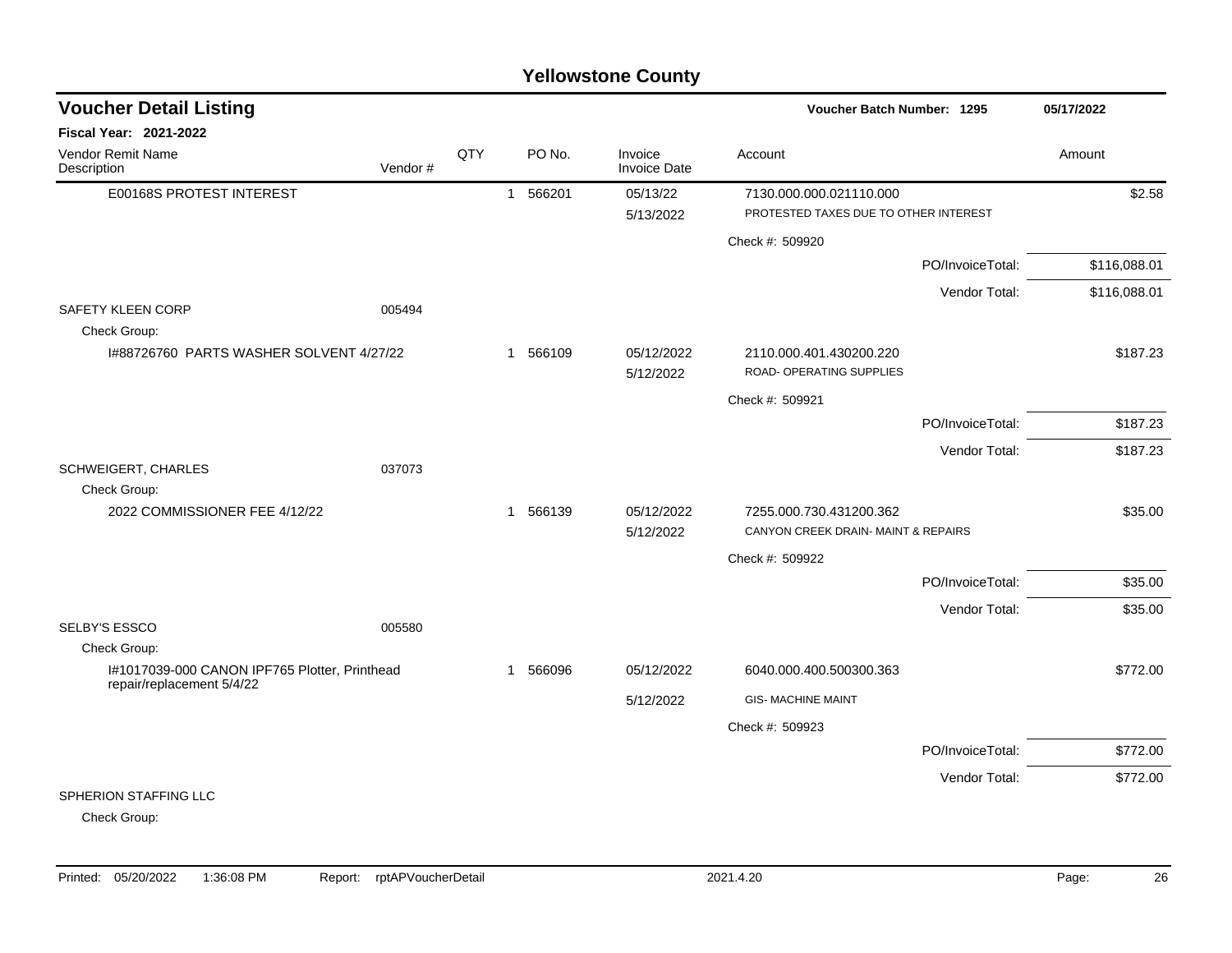| <b>Voucher Detail Listing</b>                                              |         |     |              |          |                         | Voucher Batch Number: 1295                                       |                  | 05/17/2022   |
|----------------------------------------------------------------------------|---------|-----|--------------|----------|-------------------------|------------------------------------------------------------------|------------------|--------------|
| Fiscal Year: 2021-2022                                                     |         |     |              |          |                         |                                                                  |                  |              |
| Vendor Remit Name<br>Description                                           | Vendor# | QTY |              | PO No.   | Invoice<br>Invoice Date | Account                                                          |                  | Amount       |
| E00168S PROTEST INTEREST                                                   |         |     | $\mathbf{1}$ | 566201   | 05/13/22<br>5/13/2022   | 7130.000.000.021110.000<br>PROTESTED TAXES DUE TO OTHER INTEREST |                  | \$2.58       |
|                                                                            |         |     |              |          |                         | Check #: 509920                                                  |                  |              |
|                                                                            |         |     |              |          |                         |                                                                  | PO/InvoiceTotal: | \$116,088.01 |
|                                                                            |         |     |              |          |                         |                                                                  | Vendor Total:    | \$116,088.01 |
| <b>SAFETY KLEEN CORP</b><br>Check Group:                                   | 005494  |     |              |          |                         |                                                                  |                  |              |
| 1#88726760 PARTS WASHER SOLVENT 4/27/22                                    |         |     |              | 1 566109 | 05/12/2022<br>5/12/2022 | 2110.000.401.430200.220<br>ROAD- OPERATING SUPPLIES              |                  | \$187.23     |
|                                                                            |         |     |              |          |                         | Check #: 509921                                                  |                  |              |
|                                                                            |         |     |              |          |                         |                                                                  | PO/InvoiceTotal: | \$187.23     |
|                                                                            |         |     |              |          |                         |                                                                  | Vendor Total:    | \$187.23     |
| SCHWEIGERT, CHARLES<br>Check Group:                                        | 037073  |     |              |          |                         |                                                                  |                  |              |
| 2022 COMMISSIONER FEE 4/12/22                                              |         |     |              | 1 566139 | 05/12/2022<br>5/12/2022 | 7255.000.730.431200.362<br>CANYON CREEK DRAIN- MAINT & REPAIRS   |                  | \$35.00      |
|                                                                            |         |     |              |          |                         | Check #: 509922                                                  |                  |              |
|                                                                            |         |     |              |          |                         |                                                                  | PO/InvoiceTotal: | \$35.00      |
|                                                                            |         |     |              |          |                         |                                                                  | Vendor Total:    | \$35.00      |
| <b>SELBY'S ESSCO</b>                                                       | 005580  |     |              |          |                         |                                                                  |                  |              |
| Check Group:                                                               |         |     |              |          |                         |                                                                  |                  |              |
| I#1017039-000 CANON IPF765 Plotter, Printhead<br>repair/replacement 5/4/22 |         |     |              | 1 566096 | 05/12/2022              | 6040.000.400.500300.363                                          |                  | \$772.00     |
|                                                                            |         |     |              |          | 5/12/2022               | <b>GIS- MACHINE MAINT</b>                                        |                  |              |
|                                                                            |         |     |              |          |                         | Check #: 509923                                                  |                  |              |
|                                                                            |         |     |              |          |                         |                                                                  | PO/InvoiceTotal: | \$772.00     |
|                                                                            |         |     |              |          |                         |                                                                  | Vendor Total:    | \$772.00     |
| SPHERION STAFFING LLC                                                      |         |     |              |          |                         |                                                                  |                  |              |

Check Group: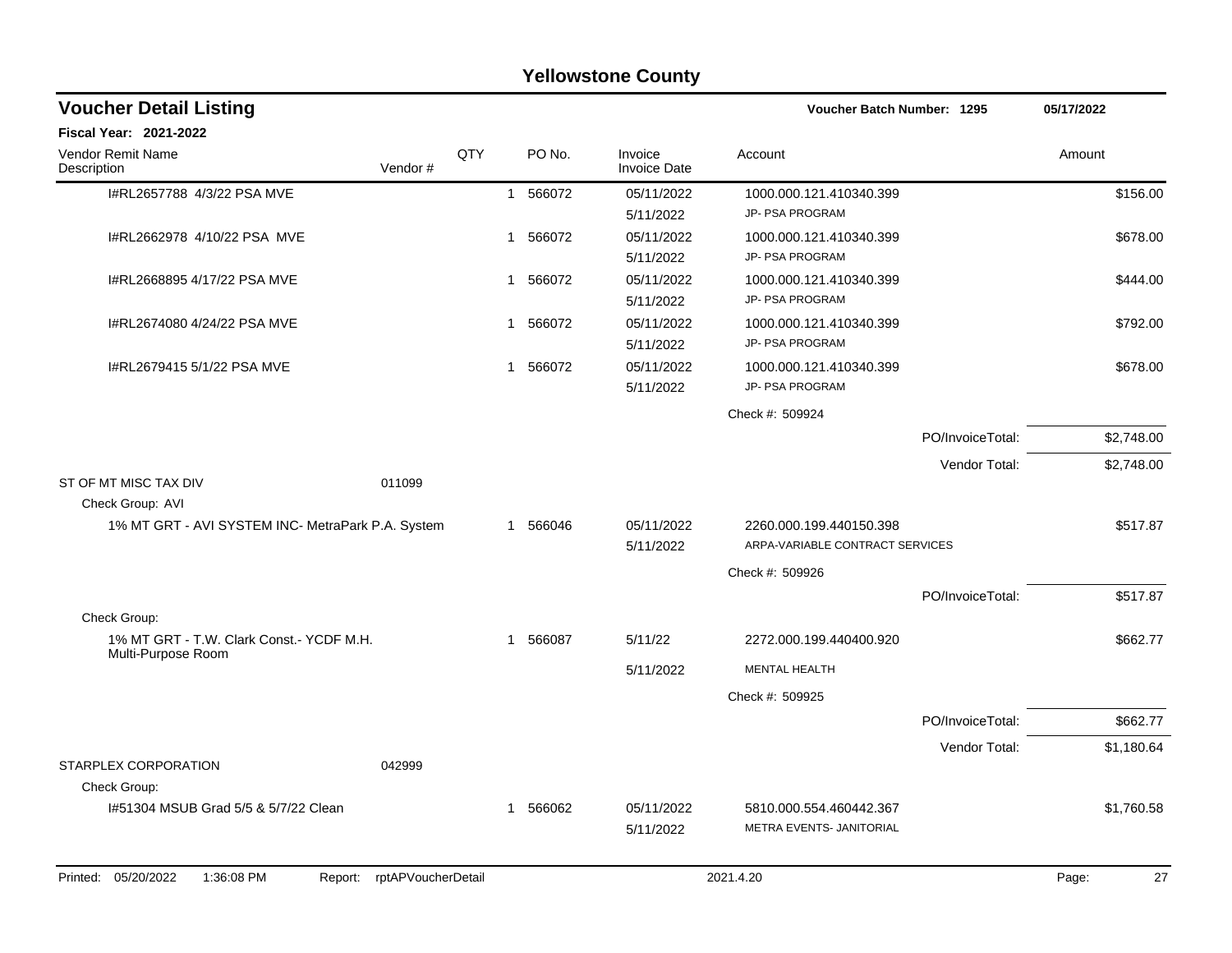|                                                          |                            |     |             | <b>Yellowstone County</b>      |                                                            |                  |             |
|----------------------------------------------------------|----------------------------|-----|-------------|--------------------------------|------------------------------------------------------------|------------------|-------------|
| <b>Voucher Detail Listing</b>                            |                            |     |             |                                | Voucher Batch Number: 1295                                 |                  | 05/17/2022  |
| Fiscal Year: 2021-2022                                   |                            |     |             |                                |                                                            |                  |             |
| Vendor Remit Name<br>Description                         | Vendor#                    | QTY | PO No.      | Invoice<br><b>Invoice Date</b> | Account                                                    |                  | Amount      |
| I#RL2657788 4/3/22 PSA MVE                               |                            |     | 1 566072    | 05/11/2022<br>5/11/2022        | 1000.000.121.410340.399<br>JP- PSA PROGRAM                 |                  | \$156.00    |
| I#RL2662978 4/10/22 PSA MVE                              |                            |     | 1 566072    | 05/11/2022<br>5/11/2022        | 1000.000.121.410340.399<br>JP- PSA PROGRAM                 |                  | \$678.00    |
| I#RL2668895 4/17/22 PSA MVE                              |                            |     | 1 566072    | 05/11/2022<br>5/11/2022        | 1000.000.121.410340.399<br>JP- PSA PROGRAM                 |                  | \$444.00    |
| I#RL2674080 4/24/22 PSA MVE                              |                            |     | 566072<br>1 | 05/11/2022<br>5/11/2022        | 1000.000.121.410340.399<br>JP- PSA PROGRAM                 |                  | \$792.00    |
| I#RL2679415 5/1/22 PSA MVE                               |                            |     | 1 566072    | 05/11/2022<br>5/11/2022        | 1000.000.121.410340.399<br>JP- PSA PROGRAM                 |                  | \$678.00    |
|                                                          |                            |     |             |                                | Check #: 509924                                            |                  |             |
|                                                          |                            |     |             |                                |                                                            | PO/InvoiceTotal: | \$2,748.00  |
|                                                          |                            |     |             |                                |                                                            | Vendor Total:    | \$2,748.00  |
| ST OF MT MISC TAX DIV<br>Check Group: AVI                | 011099                     |     |             |                                |                                                            |                  |             |
| 1% MT GRT - AVI SYSTEM INC- MetraPark P.A. System        |                            |     | 1 566046    | 05/11/2022<br>5/11/2022        | 2260.000.199.440150.398<br>ARPA-VARIABLE CONTRACT SERVICES |                  | \$517.87    |
|                                                          |                            |     |             |                                | Check #: 509926                                            |                  |             |
|                                                          |                            |     |             |                                |                                                            | PO/InvoiceTotal: | \$517.87    |
| Check Group:<br>1% MT GRT - T.W. Clark Const.- YCDF M.H. |                            |     | 1 566087    | 5/11/22                        | 2272.000.199.440400.920                                    |                  | \$662.77    |
| Multi-Purpose Room                                       |                            |     |             | 5/11/2022                      | <b>MENTAL HEALTH</b>                                       |                  |             |
|                                                          |                            |     |             |                                | Check #: 509925                                            |                  |             |
|                                                          |                            |     |             |                                |                                                            | PO/InvoiceTotal: | \$662.77    |
|                                                          |                            |     |             |                                |                                                            | Vendor Total:    | \$1,180.64  |
| STARPLEX CORPORATION<br>Check Group:                     | 042999                     |     |             |                                |                                                            |                  |             |
| 1#51304 MSUB Grad 5/5 & 5/7/22 Clean                     |                            |     | 1 566062    | 05/11/2022<br>5/11/2022        | 5810.000.554.460442.367<br>METRA EVENTS- JANITORIAL        |                  | \$1,760.58  |
| Printed: 05/20/2022<br>1:36:08 PM                        | Report: rptAPVoucherDetail |     |             |                                | 2021.4.20                                                  |                  | Page:<br>27 |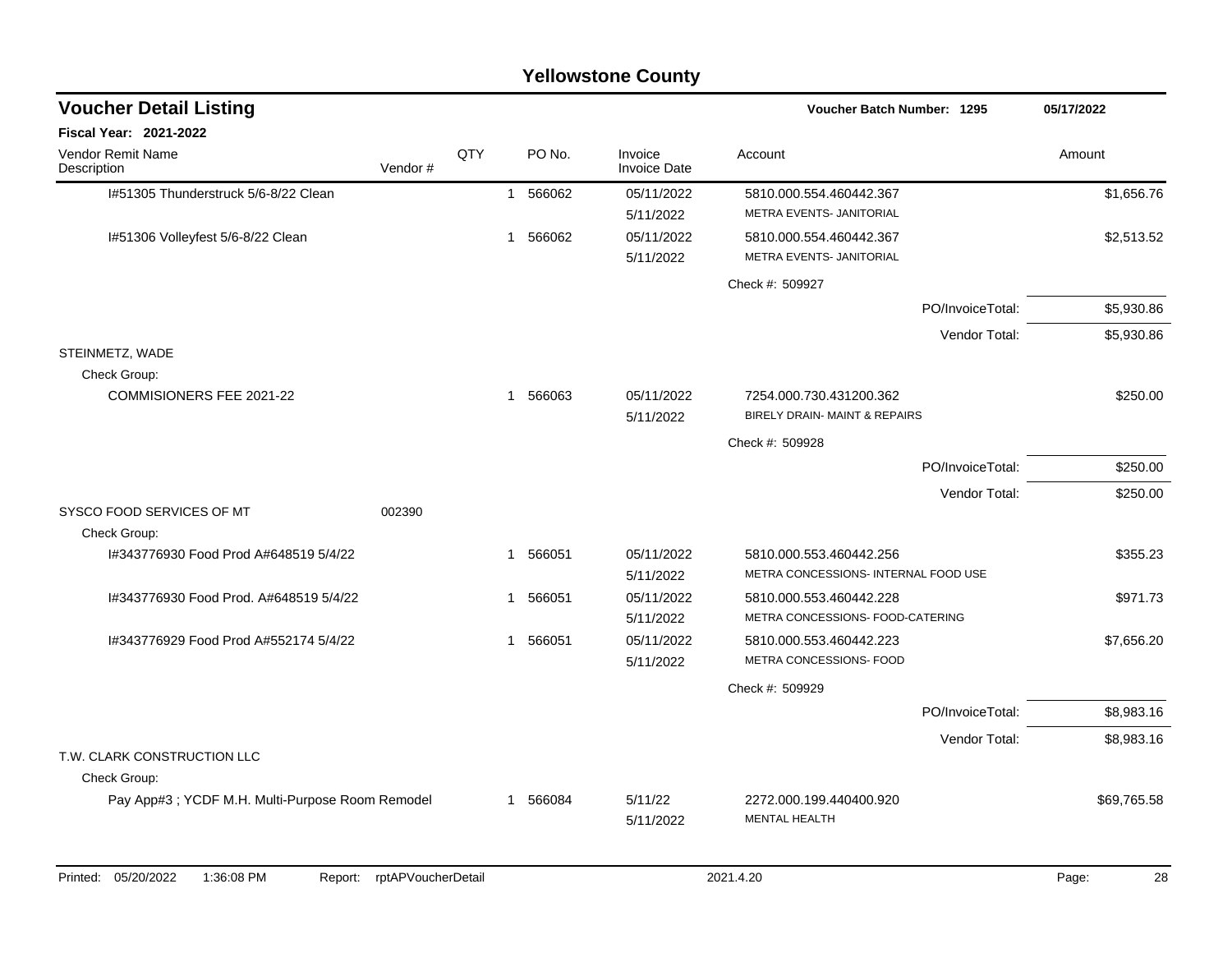| <b>Yellowstone County</b>                        |         |     |              |          |                                |                                                                 |                  |             |
|--------------------------------------------------|---------|-----|--------------|----------|--------------------------------|-----------------------------------------------------------------|------------------|-------------|
| <b>Voucher Detail Listing</b>                    |         |     |              |          |                                | <b>Voucher Batch Number: 1295</b>                               |                  | 05/17/2022  |
| <b>Fiscal Year: 2021-2022</b>                    |         |     |              |          |                                |                                                                 |                  |             |
| <b>Vendor Remit Name</b><br>Description          | Vendor# | QTY |              | PO No.   | Invoice<br><b>Invoice Date</b> | Account                                                         |                  | Amount      |
| I#51305 Thunderstruck 5/6-8/22 Clean             |         |     |              | 1 566062 | 05/11/2022                     | 5810.000.554.460442.367                                         |                  | \$1,656.76  |
|                                                  |         |     |              |          | 5/11/2022                      | METRA EVENTS- JANITORIAL                                        |                  |             |
| I#51306 Volleyfest 5/6-8/22 Clean                |         |     | $\mathbf{1}$ | 566062   | 05/11/2022                     | 5810.000.554.460442.367                                         |                  | \$2,513.52  |
|                                                  |         |     |              |          | 5/11/2022                      | METRA EVENTS- JANITORIAL                                        |                  |             |
|                                                  |         |     |              |          |                                | Check #: 509927                                                 |                  |             |
|                                                  |         |     |              |          |                                |                                                                 | PO/InvoiceTotal: | \$5,930.86  |
|                                                  |         |     |              |          |                                |                                                                 | Vendor Total:    | \$5,930.86  |
| STEINMETZ, WADE                                  |         |     |              |          |                                |                                                                 |                  |             |
| Check Group:                                     |         |     |              |          |                                |                                                                 |                  |             |
| COMMISIONERS FEE 2021-22                         |         |     | $\mathbf{1}$ | 566063   | 05/11/2022                     | 7254.000.730.431200.362                                         |                  | \$250.00    |
|                                                  |         |     |              |          | 5/11/2022                      | <b>BIRELY DRAIN- MAINT &amp; REPAIRS</b>                        |                  |             |
|                                                  |         |     |              |          |                                | Check #: 509928                                                 |                  |             |
|                                                  |         |     |              |          |                                |                                                                 | PO/InvoiceTotal: | \$250.00    |
|                                                  |         |     |              |          |                                |                                                                 | Vendor Total:    | \$250.00    |
| SYSCO FOOD SERVICES OF MT                        | 002390  |     |              |          |                                |                                                                 |                  |             |
| Check Group:                                     |         |     |              |          |                                |                                                                 |                  |             |
| I#343776930 Food Prod A#648519 5/4/22            |         |     | $\mathbf{1}$ | 566051   | 05/11/2022                     | 5810.000.553.460442.256<br>METRA CONCESSIONS- INTERNAL FOOD USE |                  | \$355.23    |
|                                                  |         |     |              |          | 5/11/2022                      |                                                                 |                  |             |
| I#343776930 Food Prod, A#648519 5/4/22           |         |     | $\mathbf{1}$ | 566051   | 05/11/2022<br>5/11/2022        | 5810.000.553.460442.228<br>METRA CONCESSIONS- FOOD-CATERING     |                  | \$971.73    |
| I#343776929 Food Prod A#552174 5/4/22            |         |     | $\mathbf 1$  | 566051   | 05/11/2022                     | 5810.000.553.460442.223                                         |                  | \$7,656.20  |
|                                                  |         |     |              |          | 5/11/2022                      | METRA CONCESSIONS- FOOD                                         |                  |             |
|                                                  |         |     |              |          |                                | Check #: 509929                                                 |                  |             |
|                                                  |         |     |              |          |                                |                                                                 | PO/InvoiceTotal: | \$8,983.16  |
|                                                  |         |     |              |          |                                |                                                                 |                  |             |
| T.W. CLARK CONSTRUCTION LLC                      |         |     |              |          |                                |                                                                 | Vendor Total:    | \$8,983.16  |
| Check Group:                                     |         |     |              |          |                                |                                                                 |                  |             |
| Pay App#3 ; YCDF M.H. Multi-Purpose Room Remodel |         |     | $\mathbf{1}$ | 566084   | 5/11/22                        | 2272.000.199.440400.920                                         |                  | \$69,765.58 |
|                                                  |         |     |              |          | 5/11/2022                      | <b>MENTAL HEALTH</b>                                            |                  |             |
|                                                  |         |     |              |          |                                |                                                                 |                  |             |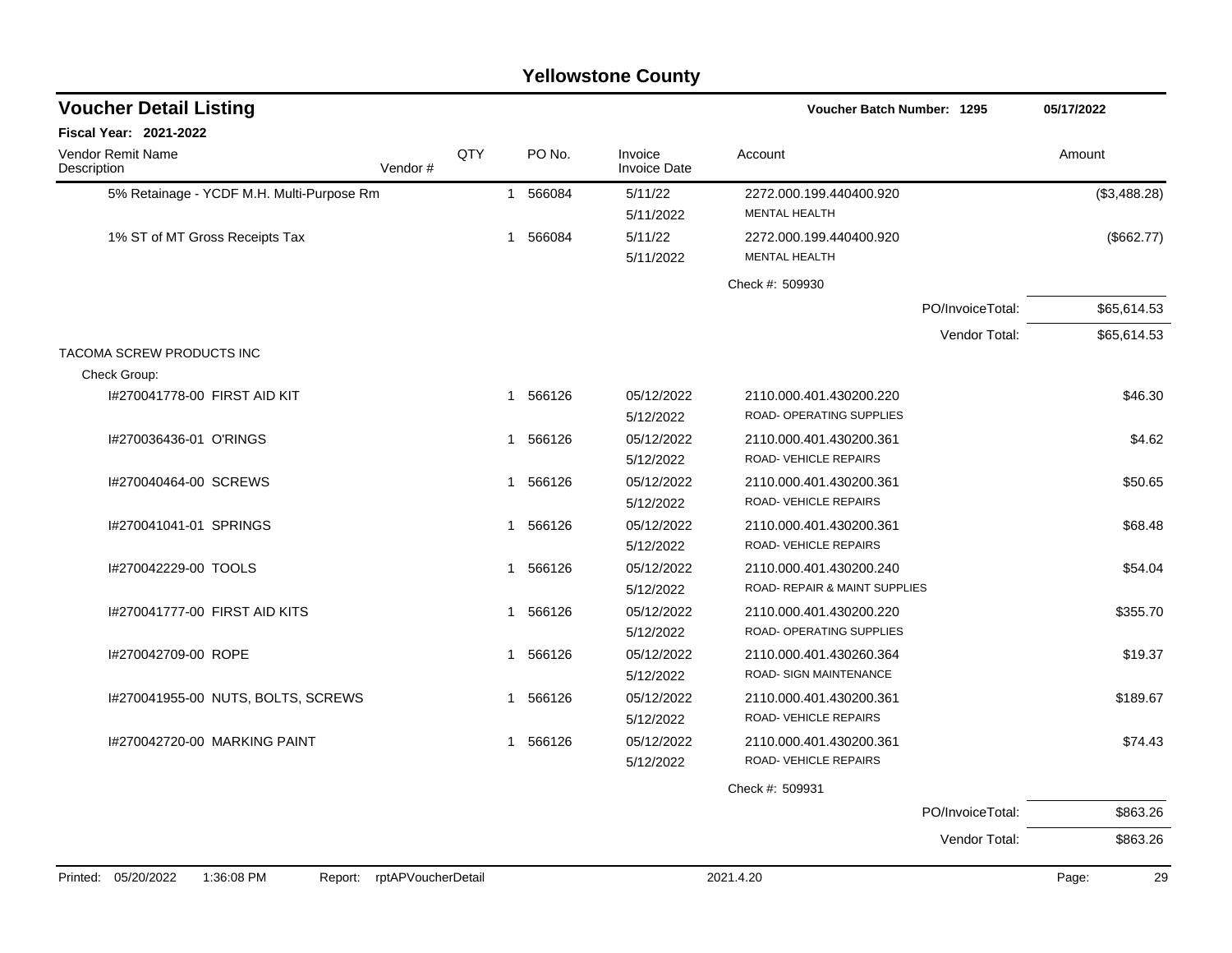## 5% Retainage - YCDF M.H. Multi-Purpose Rm 1 566084 5/11/22 2272.000.199.440400.920 (\$3,488.28) 5/11/2022 MENTAL HEALTH 1% ST of MT Gross Receipts Tax 1 566084 5/11/22 2272.000.199.440400.920 (\$662.77) 5/11/2022 MENTAL HEALTH Check #: 509930 PO/InvoiceTotal: \$65,614.53 Vendor Total: \$65,614.53 TACOMA SCREW PRODUCTS INC Check Group: I#270041778-00 FIRST AID KIT **1 566126** 1 566126 05/12/2022 2110.000.401.430200.220 5/12/2022 ROAD- OPERATING SUPPLIES I#270036436-01 O'RINGS 1 566126 05/12/2022 2110.000.401.430200.361 \$4.62 5/12/2022 ROAD- VEHICLE REPAIRS I#270040464-00 SCREWS 1 566126 05/12/2022 2110.000.401.430200.361 \$50.65 5/12/2022 ROAD- VEHICLE REPAIRS 1#270041041-01 SPRINGS 668.48 5/12/2022 ROAD- VEHICLE REPAIRS I#270042229-00 TOOLS 1 566126 05/12/2022 2110.000.401.430200.240 \$54.04 5/12/2022 ROAD- REPAIR & MAINT SUPPLIES I#270041777-00 FIRST AID KITS 1 566126 1 566126 1 566126 1 56612/2022 2110.000.401.430200.220 5/12/2022 ROAD- OPERATING SUPPLIES I#270042709-00 ROPE \$19.37 \$19.37 \$19.37 \$19.37 \$19.37 \$19.37 \$19.37 \$19.37 \$19.37 \$19.37 \$19.37 \$19.37 5/12/2022 ROAD- SIGN MAINTENANCE I#270041955-00 NUTS, BOLTS, SCREWS 1 566126 05/12/2022 2110.000.401.430200.361 \$189.67 5/12/2022 ROAD- VEHICLE REPAIRS I#270042720-00 MARKING PAINT 1 566126 05/12/2022 2110.000.401.430200.361 \$74.43 5/12/2022 ROAD- VEHICLE REPAIRS Check #: 509931 PO/InvoiceTotal: \$863.26 **Voucher Batch Number:** Vendor Remit Name **Description Voucher Detail Listing Fiscal Year: 2021-2022 1295 05/17/2022** PO No. Invoice Account Amount Amount Amount Amount Vendor # QTY Invoice Date

Vendor Total: \$863.26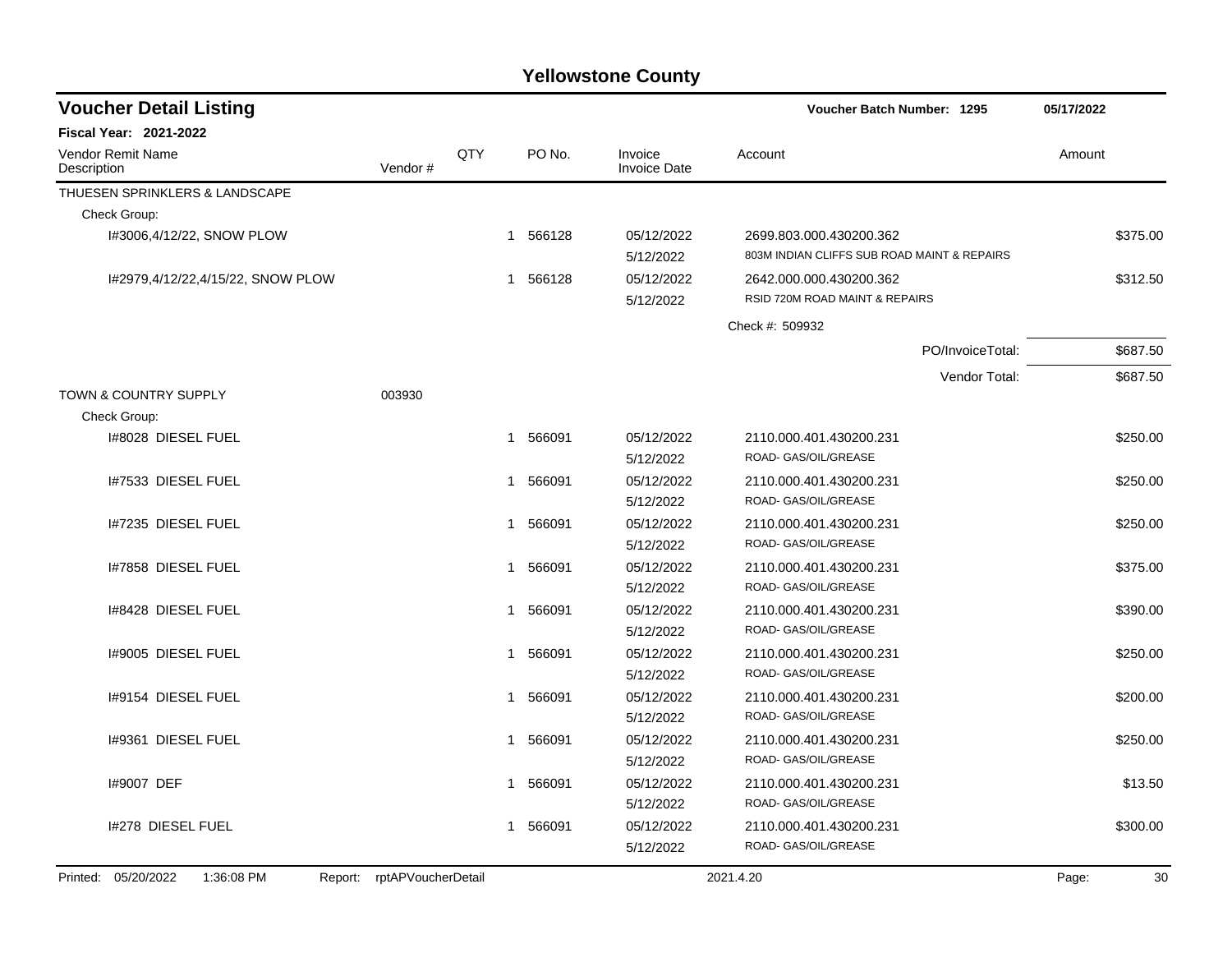| <b>Voucher Detail Listing</b>                    |                    |     |             |                                | <b>Voucher Batch Number: 1295</b>                                      |                  | 05/17/2022  |
|--------------------------------------------------|--------------------|-----|-------------|--------------------------------|------------------------------------------------------------------------|------------------|-------------|
| <b>Fiscal Year: 2021-2022</b>                    |                    |     |             |                                |                                                                        |                  |             |
| <b>Vendor Remit Name</b><br>Description          | Vendor#            | QTY | PO No.      | Invoice<br><b>Invoice Date</b> | Account                                                                |                  | Amount      |
| THUESEN SPRINKLERS & LANDSCAPE                   |                    |     |             |                                |                                                                        |                  |             |
| Check Group:                                     |                    |     |             |                                |                                                                        |                  |             |
| I#3006,4/12/22, SNOW PLOW                        |                    |     | 1 566128    | 05/12/2022<br>5/12/2022        | 2699.803.000.430200.362<br>803M INDIAN CLIFFS SUB ROAD MAINT & REPAIRS |                  | \$375.00    |
| 1#2979,4/12/22,4/15/22, SNOW PLOW                |                    |     | 1 566128    | 05/12/2022<br>5/12/2022        | 2642.000.000.430200.362<br>RSID 720M ROAD MAINT & REPAIRS              |                  | \$312.50    |
|                                                  |                    |     |             |                                | Check #: 509932                                                        |                  |             |
|                                                  |                    |     |             |                                |                                                                        | PO/InvoiceTotal: | \$687.50    |
|                                                  |                    |     |             |                                |                                                                        | Vendor Total:    | \$687.50    |
| <b>TOWN &amp; COUNTRY SUPPLY</b><br>Check Group: | 003930             |     |             |                                |                                                                        |                  |             |
| 1#8028 DIESEL FUEL                               |                    |     | 566091<br>1 | 05/12/2022<br>5/12/2022        | 2110.000.401.430200.231<br>ROAD- GAS/OIL/GREASE                        |                  | \$250.00    |
| 1#7533 DIESEL FUEL                               |                    |     | 566091<br>1 | 05/12/2022<br>5/12/2022        | 2110.000.401.430200.231<br>ROAD- GAS/OIL/GREASE                        |                  | \$250.00    |
| I#7235 DIESEL FUEL                               |                    |     | 566091<br>1 | 05/12/2022<br>5/12/2022        | 2110.000.401.430200.231<br>ROAD- GAS/OIL/GREASE                        |                  | \$250.00    |
| I#7858 DIESEL FUEL                               |                    |     | 566091<br>1 | 05/12/2022<br>5/12/2022        | 2110.000.401.430200.231<br>ROAD- GAS/OIL/GREASE                        |                  | \$375.00    |
| 1#8428 DIESEL FUEL                               |                    |     | 566091<br>1 | 05/12/2022<br>5/12/2022        | 2110.000.401.430200.231<br>ROAD- GAS/OIL/GREASE                        |                  | \$390.00    |
| 1#9005 DIESEL FUEL                               |                    |     | 566091<br>1 | 05/12/2022<br>5/12/2022        | 2110.000.401.430200.231<br>ROAD- GAS/OIL/GREASE                        |                  | \$250.00    |
| 1#9154 DIESEL FUEL                               |                    |     | 566091<br>1 | 05/12/2022<br>5/12/2022        | 2110.000.401.430200.231<br>ROAD- GAS/OIL/GREASE                        |                  | \$200.00    |
| 1#9361 DIESEL FUEL                               |                    |     | 566091<br>1 | 05/12/2022<br>5/12/2022        | 2110.000.401.430200.231<br>ROAD- GAS/OIL/GREASE                        |                  | \$250.00    |
| 1#9007 DEF                                       |                    |     | 566091<br>1 | 05/12/2022<br>5/12/2022        | 2110.000.401.430200.231<br>ROAD- GAS/OIL/GREASE                        |                  | \$13.50     |
| I#278 DIESEL FUEL                                |                    |     | 1 566091    | 05/12/2022<br>5/12/2022        | 2110.000.401.430200.231<br>ROAD- GAS/OIL/GREASE                        |                  | \$300.00    |
| Printed: 05/20/2022<br>1:36:08 PM<br>Report:     | rptAPVoucherDetail |     |             |                                | 2021.4.20                                                              |                  | 30<br>Page: |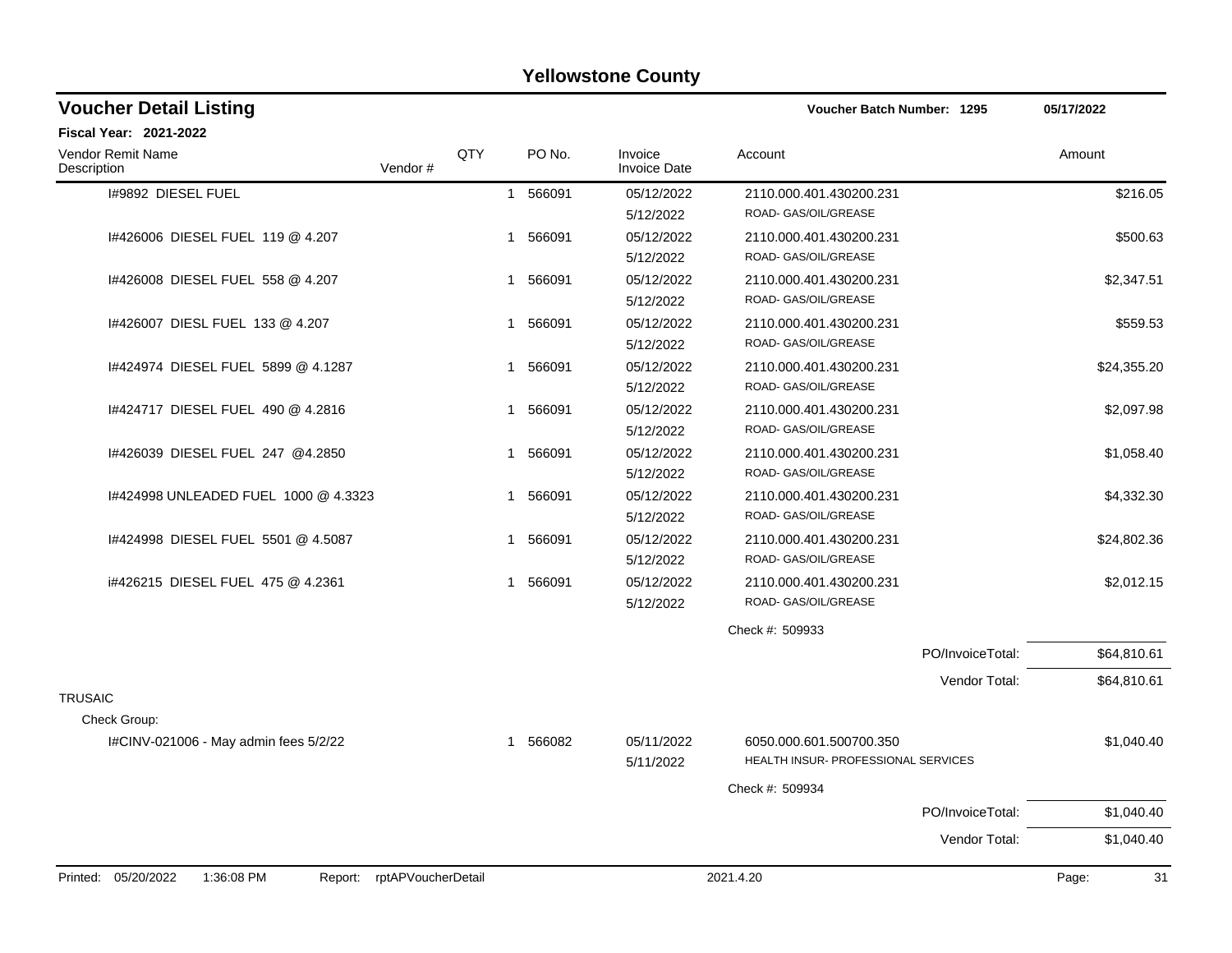| <b>Voucher Detail Listing</b>                                      |     |             |                                | <b>Voucher Batch Number: 1295</b>   | 05/17/2022  |
|--------------------------------------------------------------------|-----|-------------|--------------------------------|-------------------------------------|-------------|
| Fiscal Year: 2021-2022                                             |     |             |                                |                                     |             |
| Vendor Remit Name<br>Vendor#<br>Description                        | QTY | PO No.      | Invoice<br><b>Invoice Date</b> | Account                             | Amount      |
| I#9892 DIESEL FUEL                                                 |     | 1 566091    | 05/12/2022                     | 2110.000.401.430200.231             | \$216.05    |
|                                                                    |     |             | 5/12/2022                      | ROAD- GAS/OIL/GREASE                |             |
| 1#426006 DIESEL FUEL 119 @ 4.207                                   |     | 1 566091    | 05/12/2022                     | 2110.000.401.430200.231             | \$500.63    |
|                                                                    |     |             | 5/12/2022                      | ROAD- GAS/OIL/GREASE                |             |
| 1#426008 DIESEL FUEL 558 @ 4.207                                   |     | 1 566091    | 05/12/2022                     | 2110.000.401.430200.231             | \$2,347.51  |
|                                                                    |     |             | 5/12/2022                      | ROAD- GAS/OIL/GREASE                |             |
| 1#426007 DIESL FUEL 133 @ 4.207                                    |     | 566091<br>1 | 05/12/2022                     | 2110.000.401.430200.231             | \$559.53    |
|                                                                    |     |             | 5/12/2022                      | ROAD- GAS/OIL/GREASE                |             |
| 1#424974 DIESEL FUEL 5899 @ 4.1287                                 |     | 566091<br>1 | 05/12/2022                     | 2110.000.401.430200.231             | \$24,355.20 |
|                                                                    |     |             | 5/12/2022                      | ROAD- GAS/OIL/GREASE                |             |
| 1#424717 DIESEL FUEL 490 @ 4.2816                                  |     | 566091<br>1 | 05/12/2022                     | 2110.000.401.430200.231             | \$2,097.98  |
|                                                                    |     |             | 5/12/2022                      | ROAD- GAS/OIL/GREASE                |             |
| I#426039 DIESEL FUEL 247 @4.2850                                   |     | 566091<br>1 | 05/12/2022                     | 2110.000.401.430200.231             | \$1,058.40  |
|                                                                    |     |             | 5/12/2022                      | ROAD- GAS/OIL/GREASE                |             |
| I#424998 UNLEADED FUEL 1000 @ 4.3323                               |     | 566091<br>1 | 05/12/2022                     | 2110.000.401.430200.231             | \$4,332.30  |
|                                                                    |     |             | 5/12/2022                      | ROAD- GAS/OIL/GREASE                |             |
| 1#424998 DIESEL FUEL 5501 @ 4.5087                                 |     | 566091<br>1 | 05/12/2022                     | 2110.000.401.430200.231             | \$24,802.36 |
|                                                                    |     |             | 5/12/2022                      | ROAD- GAS/OIL/GREASE                |             |
| i#426215 DIESEL FUEL 475 @ 4.2361                                  |     | 566091<br>1 | 05/12/2022                     | 2110.000.401.430200.231             | \$2,012.15  |
|                                                                    |     |             | 5/12/2022                      | ROAD- GAS/OIL/GREASE                |             |
|                                                                    |     |             |                                | Check #: 509933                     |             |
|                                                                    |     |             |                                | PO/InvoiceTotal:                    | \$64,810.61 |
|                                                                    |     |             |                                | Vendor Total:                       | \$64,810.61 |
| <b>TRUSAIC</b>                                                     |     |             |                                |                                     |             |
| Check Group:                                                       |     |             |                                |                                     |             |
| I#CINV-021006 - May admin fees 5/2/22                              |     | 1 566082    | 05/11/2022                     | 6050.000.601.500700.350             | \$1,040.40  |
|                                                                    |     |             | 5/11/2022                      | HEALTH INSUR- PROFESSIONAL SERVICES |             |
|                                                                    |     |             |                                | Check #: 509934                     |             |
|                                                                    |     |             |                                | PO/InvoiceTotal:                    | \$1,040.40  |
|                                                                    |     |             |                                | Vendor Total:                       | \$1,040.40  |
| Printed: 05/20/2022<br>rptAPVoucherDetail<br>1:36:08 PM<br>Report: |     |             |                                | 2021.4.20                           | Page:<br>31 |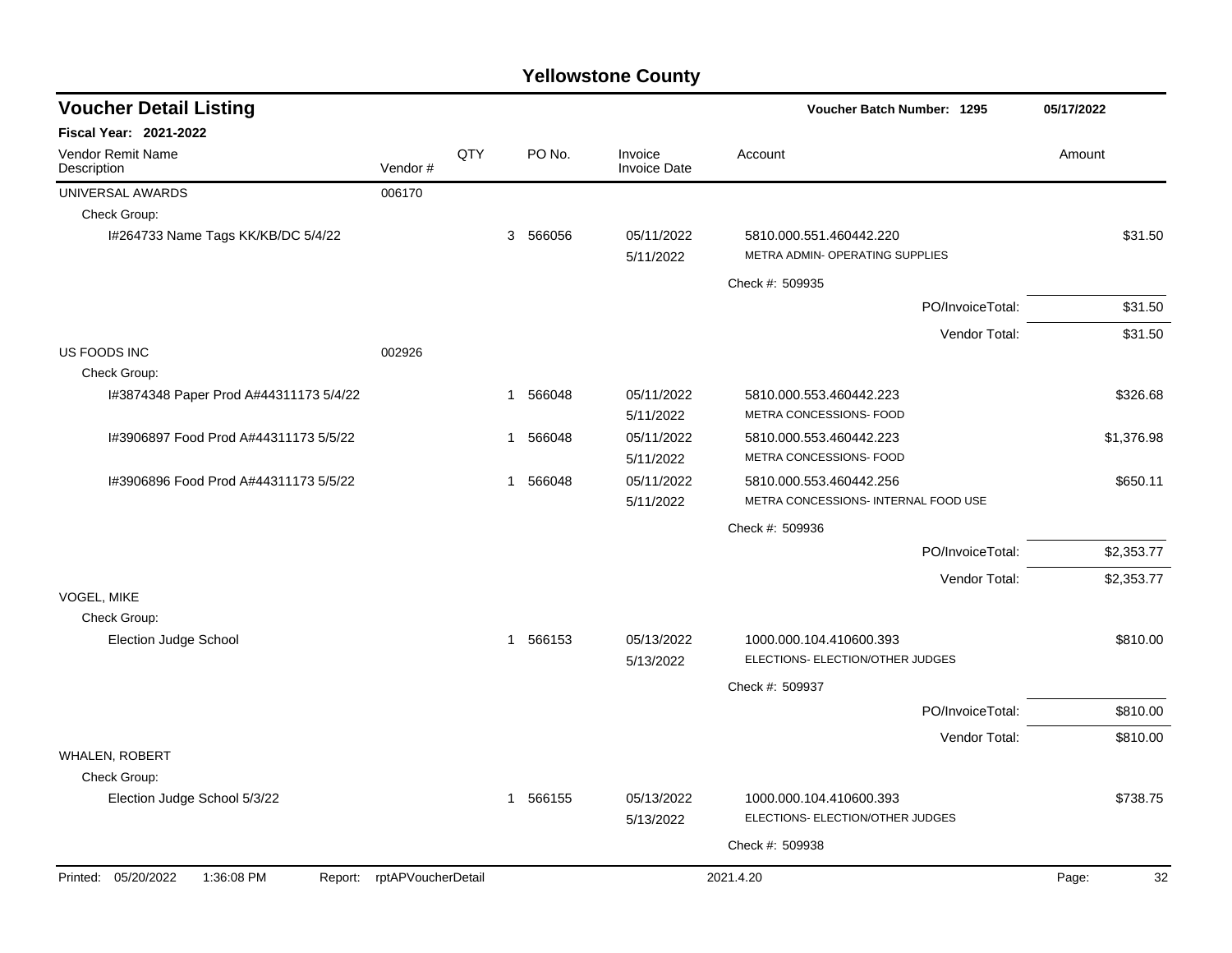| <b>Voucher Detail Listing</b>           |                            |     |              |          |                                | Voucher Batch Number: 1295                                      |                  | 05/17/2022  |
|-----------------------------------------|----------------------------|-----|--------------|----------|--------------------------------|-----------------------------------------------------------------|------------------|-------------|
| <b>Fiscal Year: 2021-2022</b>           |                            |     |              |          |                                |                                                                 |                  |             |
| <b>Vendor Remit Name</b><br>Description | Vendor#                    | QTY |              | PO No.   | Invoice<br><b>Invoice Date</b> | Account                                                         |                  | Amount      |
| UNIVERSAL AWARDS                        | 006170                     |     |              |          |                                |                                                                 |                  |             |
| Check Group:                            |                            |     |              |          |                                |                                                                 |                  |             |
| I#264733 Name Tags KK/KB/DC 5/4/22      |                            |     |              | 3 566056 | 05/11/2022<br>5/11/2022        | 5810.000.551.460442.220<br>METRA ADMIN- OPERATING SUPPLIES      |                  | \$31.50     |
|                                         |                            |     |              |          |                                | Check #: 509935                                                 |                  |             |
|                                         |                            |     |              |          |                                |                                                                 | PO/InvoiceTotal: | \$31.50     |
|                                         |                            |     |              |          |                                |                                                                 | Vendor Total:    | \$31.50     |
| US FOODS INC                            | 002926                     |     |              |          |                                |                                                                 |                  |             |
| Check Group:                            |                            |     |              |          |                                |                                                                 |                  |             |
| I#3874348 Paper Prod A#44311173 5/4/22  |                            |     |              | 1 566048 | 05/11/2022<br>5/11/2022        | 5810.000.553.460442.223<br>METRA CONCESSIONS- FOOD              |                  | \$326.68    |
| I#3906897 Food Prod A#44311173 5/5/22   |                            |     | $\mathbf{1}$ | 566048   | 05/11/2022<br>5/11/2022        | 5810.000.553.460442.223<br>METRA CONCESSIONS- FOOD              |                  | \$1,376.98  |
| 1#3906896 Food Prod A#44311173 5/5/22   |                            |     | $\mathbf 1$  | 566048   | 05/11/2022<br>5/11/2022        | 5810.000.553.460442.256<br>METRA CONCESSIONS- INTERNAL FOOD USE |                  | \$650.11    |
|                                         |                            |     |              |          |                                | Check #: 509936                                                 |                  |             |
|                                         |                            |     |              |          |                                |                                                                 | PO/InvoiceTotal: | \$2,353.77  |
|                                         |                            |     |              |          |                                |                                                                 | Vendor Total:    | \$2,353.77  |
| VOGEL, MIKE<br>Check Group:             |                            |     |              |          |                                |                                                                 |                  |             |
| Election Judge School                   |                            |     |              | 1 566153 | 05/13/2022<br>5/13/2022        | 1000.000.104.410600.393<br>ELECTIONS- ELECTION/OTHER JUDGES     |                  | \$810.00    |
|                                         |                            |     |              |          |                                | Check #: 509937                                                 |                  |             |
|                                         |                            |     |              |          |                                |                                                                 | PO/InvoiceTotal: | \$810.00    |
|                                         |                            |     |              |          |                                |                                                                 | Vendor Total:    | \$810.00    |
| WHALEN, ROBERT                          |                            |     |              |          |                                |                                                                 |                  |             |
| Check Group:                            |                            |     |              |          |                                |                                                                 |                  |             |
| Election Judge School 5/3/22            |                            |     |              | 1 566155 | 05/13/2022<br>5/13/2022        | 1000.000.104.410600.393<br>ELECTIONS- ELECTION/OTHER JUDGES     |                  | \$738.75    |
|                                         |                            |     |              |          |                                | Check #: 509938                                                 |                  |             |
| Printed: 05/20/2022<br>1:36:08 PM       | Report: rptAPVoucherDetail |     |              |          |                                | 2021.4.20                                                       |                  | Page:<br>32 |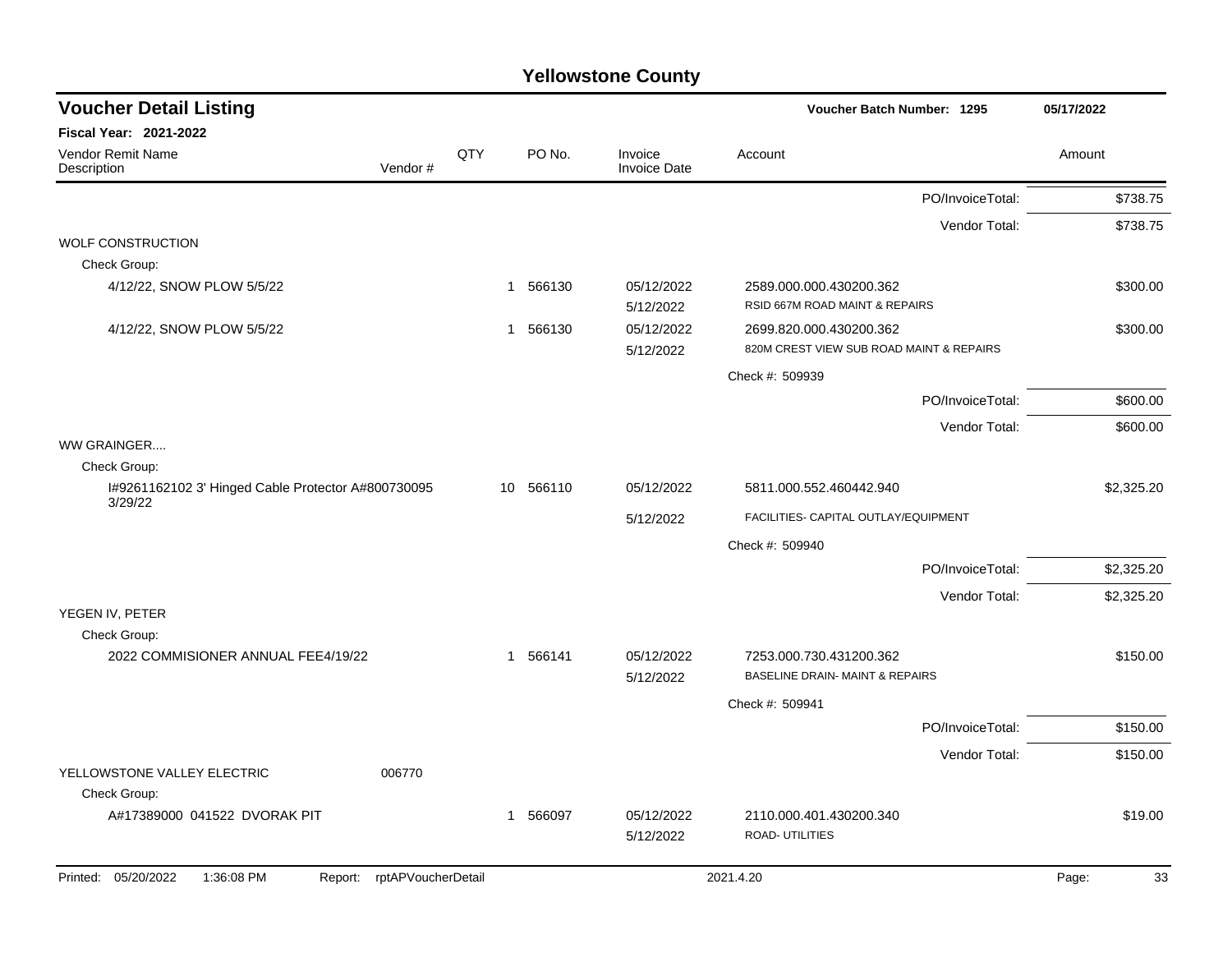| <b>Voucher Detail Listing</b>                                      |     |                        |                                | Voucher Batch Number: 1295                                          | 05/17/2022  |
|--------------------------------------------------------------------|-----|------------------------|--------------------------------|---------------------------------------------------------------------|-------------|
| <b>Fiscal Year: 2021-2022</b>                                      |     |                        |                                |                                                                     |             |
| Vendor Remit Name<br>Description<br>Vendor#                        | QTY | PO No.                 | Invoice<br><b>Invoice Date</b> | Account                                                             | Amount      |
|                                                                    |     |                        |                                | PO/InvoiceTotal:                                                    | \$738.75    |
|                                                                    |     |                        |                                | Vendor Total:                                                       | \$738.75    |
| <b>WOLF CONSTRUCTION</b><br>Check Group:                           |     |                        |                                |                                                                     |             |
| 4/12/22, SNOW PLOW 5/5/22                                          |     | 566130<br>$\mathbf{1}$ | 05/12/2022<br>5/12/2022        | 2589.000.000.430200.362<br>RSID 667M ROAD MAINT & REPAIRS           | \$300.00    |
| 4/12/22, SNOW PLOW 5/5/22                                          |     | 566130<br>1            | 05/12/2022<br>5/12/2022        | 2699.820.000.430200.362<br>820M CREST VIEW SUB ROAD MAINT & REPAIRS | \$300.00    |
|                                                                    |     |                        |                                | Check #: 509939                                                     |             |
|                                                                    |     |                        |                                | PO/InvoiceTotal:                                                    | \$600.00    |
|                                                                    |     |                        |                                | Vendor Total:                                                       | \$600.00    |
| WW GRAINGER                                                        |     |                        |                                |                                                                     |             |
| Check Group:                                                       |     |                        |                                |                                                                     |             |
| I#9261162102 3' Hinged Cable Protector A#800730095<br>3/29/22      |     | 10 566110              | 05/12/2022                     | 5811.000.552.460442.940                                             | \$2,325.20  |
|                                                                    |     |                        | 5/12/2022                      | FACILITIES- CAPITAL OUTLAY/EQUIPMENT                                |             |
|                                                                    |     |                        |                                | Check #: 509940                                                     |             |
|                                                                    |     |                        |                                | PO/InvoiceTotal:                                                    | \$2,325.20  |
| YEGEN IV, PETER                                                    |     |                        |                                | Vendor Total:                                                       | \$2,325.20  |
| Check Group:                                                       |     |                        |                                |                                                                     |             |
| 2022 COMMISIONER ANNUAL FEE4/19/22                                 |     | 1 566141               | 05/12/2022<br>5/12/2022        | 7253.000.730.431200.362<br>BASELINE DRAIN- MAINT & REPAIRS          | \$150.00    |
|                                                                    |     |                        |                                | Check #: 509941                                                     |             |
|                                                                    |     |                        |                                | PO/InvoiceTotal:                                                    | \$150.00    |
|                                                                    |     |                        |                                | Vendor Total:                                                       | \$150.00    |
| YELLOWSTONE VALLEY ELECTRIC<br>006770<br>Check Group:              |     |                        |                                |                                                                     |             |
| A#17389000 041522 DVORAK PIT                                       |     | 566097<br>1            | 05/12/2022<br>5/12/2022        | 2110.000.401.430200.340<br>ROAD- UTILITIES                          | \$19.00     |
| Printed: 05/20/2022<br>1:36:08 PM<br>rptAPVoucherDetail<br>Report: |     |                        |                                | 2021.4.20                                                           | Page:<br>33 |